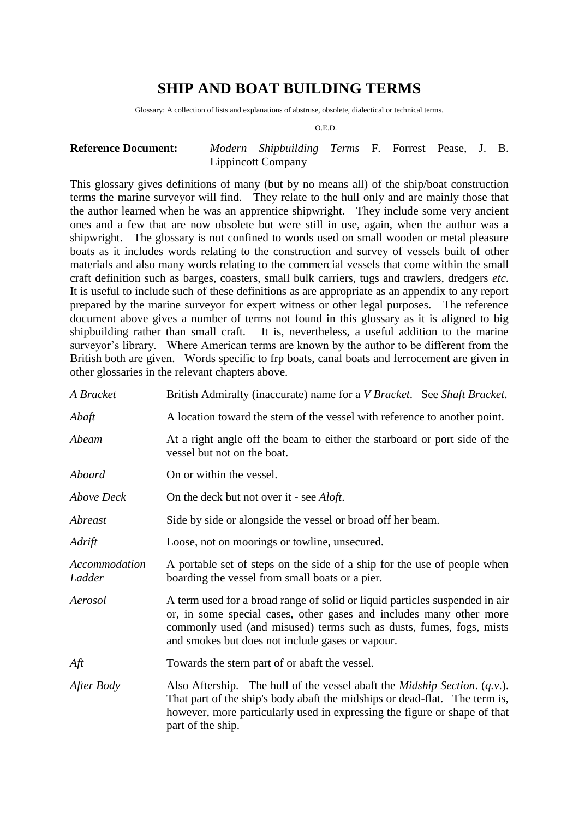# **SHIP AND BOAT BUILDING TERMS**

Glossary: A collection of lists and explanations of abstruse, obsolete, dialectical or technical terms.

O.E.D.

#### **Reference Document:** *Modern Shipbuilding Terms* F. Forrest Pease, J. B. Lippincott Company

This glossary gives definitions of many (but by no means all) of the ship/boat construction terms the marine surveyor will find. They relate to the hull only and are mainly those that the author learned when he was an apprentice shipwright. They include some very ancient ones and a few that are now obsolete but were still in use, again, when the author was a shipwright. The glossary is not confined to words used on small wooden or metal pleasure boats as it includes words relating to the construction and survey of vessels built of other materials and also many words relating to the commercial vessels that come within the small craft definition such as barges, coasters, small bulk carriers, tugs and trawlers, dredgers *etc*. It is useful to include such of these definitions as are appropriate as an appendix to any report prepared by the marine surveyor for expert witness or other legal purposes. The reference document above gives a number of terms not found in this glossary as it is aligned to big shipbuilding rather than small craft. It is, nevertheless, a useful addition to the marine surveyor's library. Where American terms are known by the author to be different from the British both are given. Words specific to frp boats, canal boats and ferrocement are given in other glossaries in the relevant chapters above.

| A Bracket               | British Admiralty (inaccurate) name for a <i>V Bracket</i> . See <i>Shaft Bracket</i> .                                                                                                                                                                                       |
|-------------------------|-------------------------------------------------------------------------------------------------------------------------------------------------------------------------------------------------------------------------------------------------------------------------------|
| Abaft                   | A location toward the stern of the vessel with reference to another point.                                                                                                                                                                                                    |
| Abeam                   | At a right angle off the beam to either the starboard or port side of the<br>vessel but not on the boat.                                                                                                                                                                      |
| Aboard                  | On or within the vessel.                                                                                                                                                                                                                                                      |
| <b>Above Deck</b>       | On the deck but not over it - see <i>Aloft</i> .                                                                                                                                                                                                                              |
| Abreast                 | Side by side or alongside the vessel or broad off her beam.                                                                                                                                                                                                                   |
| Adrift                  | Loose, not on moorings or towline, unsecured.                                                                                                                                                                                                                                 |
| Accommodation<br>Ladder | A portable set of steps on the side of a ship for the use of people when<br>boarding the vessel from small boats or a pier.                                                                                                                                                   |
| Aerosol                 | A term used for a broad range of solid or liquid particles suspended in air<br>or, in some special cases, other gases and includes many other more<br>commonly used (and misused) terms such as dusts, fumes, fogs, mists<br>and smokes but does not include gases or vapour. |
| Aft                     | Towards the stern part of or abaft the vessel.                                                                                                                                                                                                                                |
| After Body              | Also Aftership. The hull of the vessel abaft the <i>Midship Section.</i> $(q, v)$ .<br>That part of the ship's body abaft the midships or dead-flat. The term is,<br>however, more particularly used in expressing the figure or shape of that<br>part of the ship.           |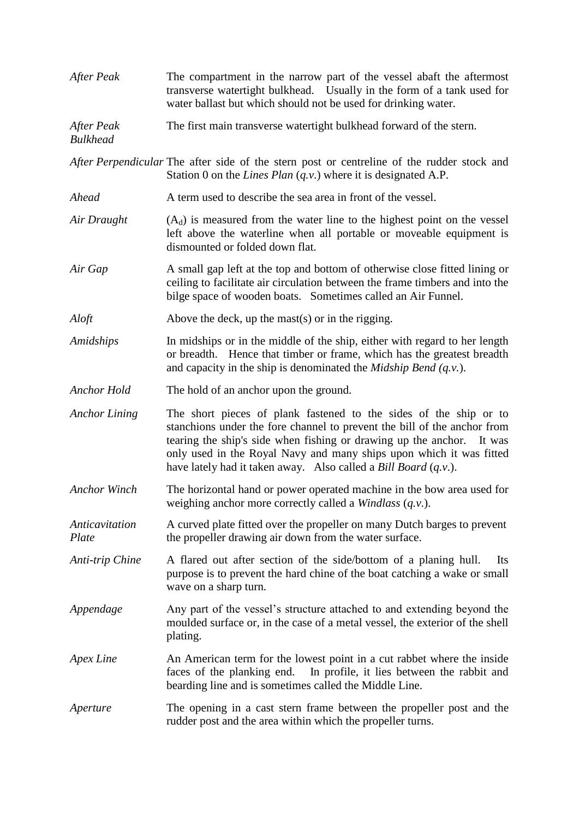| After Peak                    | The compartment in the narrow part of the vessel abaft the aftermost<br>transverse watertight bulkhead. Usually in the form of a tank used for<br>water ballast but which should not be used for drinking water.                                                                                                                                                    |
|-------------------------------|---------------------------------------------------------------------------------------------------------------------------------------------------------------------------------------------------------------------------------------------------------------------------------------------------------------------------------------------------------------------|
| After Peak<br><b>Bulkhead</b> | The first main transverse watertight bulkhead forward of the stern.                                                                                                                                                                                                                                                                                                 |
|                               | After Perpendicular The after side of the stern post or centreline of the rudder stock and<br>Station 0 on the <i>Lines Plan</i> $(q, v)$ where it is designated A.P.                                                                                                                                                                                               |
| Ahead                         | A term used to describe the sea area in front of the vessel.                                                                                                                                                                                                                                                                                                        |
| Air Draught                   | $(A_d)$ is measured from the water line to the highest point on the vessel<br>left above the waterline when all portable or moveable equipment is<br>dismounted or folded down flat.                                                                                                                                                                                |
| Air Gap                       | A small gap left at the top and bottom of otherwise close fitted lining or<br>ceiling to facilitate air circulation between the frame timbers and into the<br>bilge space of wooden boats. Sometimes called an Air Funnel.                                                                                                                                          |
| Aloft                         | Above the deck, up the mast(s) or in the rigging.                                                                                                                                                                                                                                                                                                                   |
| Amidships                     | In midships or in the middle of the ship, either with regard to her length<br>or breadth. Hence that timber or frame, which has the greatest breadth<br>and capacity in the ship is denominated the <i>Midship Bend</i> $(q.v.)$ .                                                                                                                                  |
| <b>Anchor Hold</b>            | The hold of an anchor upon the ground.                                                                                                                                                                                                                                                                                                                              |
| <b>Anchor Lining</b>          | The short pieces of plank fastened to the sides of the ship or to<br>stanchions under the fore channel to prevent the bill of the anchor from<br>tearing the ship's side when fishing or drawing up the anchor. It was<br>only used in the Royal Navy and many ships upon which it was fitted<br>have lately had it taken away. Also called a Bill Board $(q.v.)$ . |
| <b>Anchor Winch</b>           | The horizontal hand or power operated machine in the bow area used for<br>weighing anchor more correctly called a <i>Windlass</i> $(q.v.)$ .                                                                                                                                                                                                                        |
| Anticavitation<br>Plate       | A curved plate fitted over the propeller on many Dutch barges to prevent<br>the propeller drawing air down from the water surface.                                                                                                                                                                                                                                  |
| Anti-trip Chine               | A flared out after section of the side/bottom of a planing hull.<br>Its<br>purpose is to prevent the hard chine of the boat catching a wake or small<br>wave on a sharp turn.                                                                                                                                                                                       |
| Appendage                     | Any part of the vessel's structure attached to and extending beyond the<br>moulded surface or, in the case of a metal vessel, the exterior of the shell<br>plating.                                                                                                                                                                                                 |
| Apex Line                     | An American term for the lowest point in a cut rabbet where the inside<br>faces of the planking end.<br>In profile, it lies between the rabbit and<br>bearding line and is sometimes called the Middle Line.                                                                                                                                                        |
| Aperture                      | The opening in a cast stern frame between the propeller post and the<br>rudder post and the area within which the propeller turns.                                                                                                                                                                                                                                  |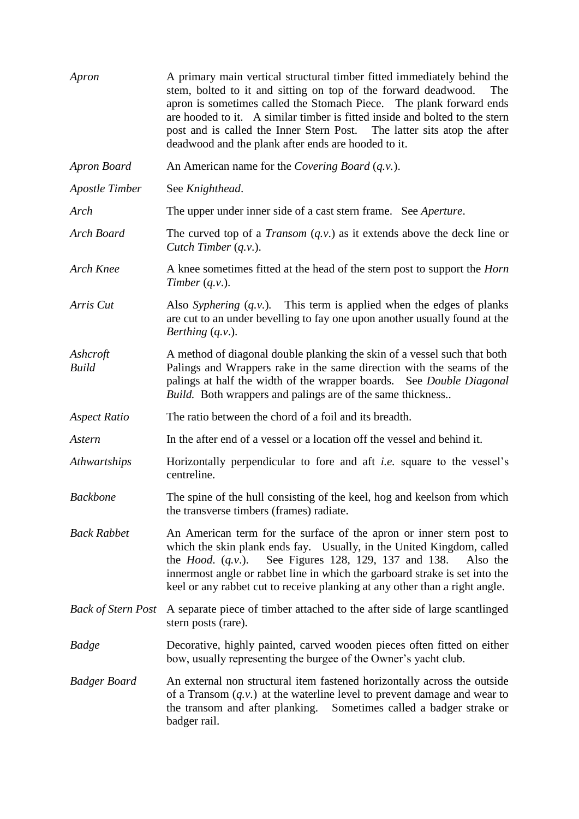| Apron                     | A primary main vertical structural timber fitted immediately behind the<br>stem, bolted to it and sitting on top of the forward deadwood.<br>The<br>apron is sometimes called the Stomach Piece. The plank forward ends<br>are hooded to it. A similar timber is fitted inside and bolted to the stern<br>post and is called the Inner Stern Post. The latter sits atop the after<br>deadwood and the plank after ends are hooded to it. |
|---------------------------|------------------------------------------------------------------------------------------------------------------------------------------------------------------------------------------------------------------------------------------------------------------------------------------------------------------------------------------------------------------------------------------------------------------------------------------|
| Apron Board               | An American name for the Covering Board $(q.v.)$ .                                                                                                                                                                                                                                                                                                                                                                                       |
| <b>Apostle Timber</b>     | See Knighthead.                                                                                                                                                                                                                                                                                                                                                                                                                          |
| Arch                      | The upper under inner side of a cast stern frame. See Aperture.                                                                                                                                                                                                                                                                                                                                                                          |
| Arch Board                | The curved top of a <i>Transom</i> $(q.v.)$ as it extends above the deck line or<br>Cutch Timber $(q.v.)$ .                                                                                                                                                                                                                                                                                                                              |
| Arch Knee                 | A knee sometimes fitted at the head of the stern post to support the <i>Horn</i><br>Timber $(q.v.)$ .                                                                                                                                                                                                                                                                                                                                    |
| Arris Cut                 | Also Syphering $(q, v)$ . This term is applied when the edges of planks<br>are cut to an under bevelling to fay one upon another usually found at the<br>Berthing $(q.v.)$ .                                                                                                                                                                                                                                                             |
| Ashcroft<br><b>Build</b>  | A method of diagonal double planking the skin of a vessel such that both<br>Palings and Wrappers rake in the same direction with the seams of the<br>palings at half the width of the wrapper boards. See Double Diagonal<br><i>Build.</i> Both wrappers and palings are of the same thickness                                                                                                                                           |
| <b>Aspect Ratio</b>       | The ratio between the chord of a foil and its breadth.                                                                                                                                                                                                                                                                                                                                                                                   |
| Astern                    | In the after end of a vessel or a location off the vessel and behind it.                                                                                                                                                                                                                                                                                                                                                                 |
| Athwartships              | Horizontally perpendicular to fore and aft <i>i.e.</i> square to the vessel's<br>centreline.                                                                                                                                                                                                                                                                                                                                             |
| <b>Backbone</b>           | The spine of the hull consisting of the keel, hog and keelson from which<br>the transverse timbers (frames) radiate.                                                                                                                                                                                                                                                                                                                     |
| <b>Back Rabbet</b>        | An American term for the surface of the apron or inner stern post to<br>which the skin plank ends fay. Usually, in the United Kingdom, called<br>See Figures 128, 129, 137 and 138.<br>the <i>Hood.</i> $(q.v.)$ .<br>Also the<br>innermost angle or rabbet line in which the garboard strake is set into the<br>keel or any rabbet cut to receive planking at any other than a right angle.                                             |
| <b>Back of Stern Post</b> | A separate piece of timber attached to the after side of large scantlinged<br>stern posts (rare).                                                                                                                                                                                                                                                                                                                                        |
| Badge                     | Decorative, highly painted, carved wooden pieces often fitted on either<br>bow, usually representing the burgee of the Owner's yacht club.                                                                                                                                                                                                                                                                                               |
| <b>Badger Board</b>       | An external non structural item fastened horizontally across the outside<br>of a Transom $(q, v)$ at the waterline level to prevent damage and wear to<br>the transom and after planking. Sometimes called a badger strake or<br>badger rail.                                                                                                                                                                                            |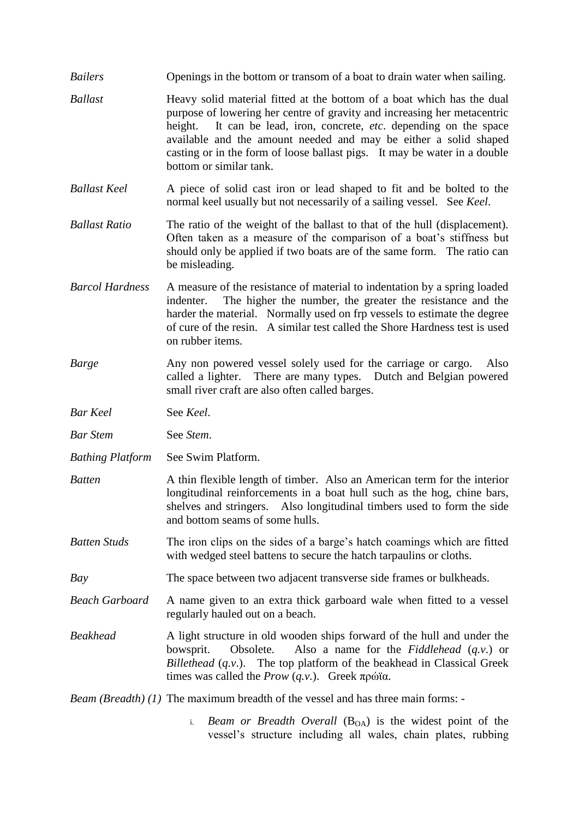- *Bailers* Openings in the bottom or transom of a boat to drain water when sailing.
- *Ballast* Heavy solid material fitted at the bottom of a boat which has the dual purpose of lowering her centre of gravity and increasing her metacentric height. It can be lead, iron, concrete, *etc*. depending on the space available and the amount needed and may be either a solid shaped casting or in the form of loose ballast pigs. It may be water in a double bottom or similar tank.
- *Ballast Keel* A piece of solid cast iron or lead shaped to fit and be bolted to the normal keel usually but not necessarily of a sailing vessel. See *Keel*.
- *Ballast Ratio* The ratio of the weight of the ballast to that of the hull (displacement). Often taken as a measure of the comparison of a boat's stiffness but should only be applied if two boats are of the same form. The ratio can be misleading.
- *Barcol Hardness* A measure of the resistance of material to indentation by a spring loaded indenter. The higher the number, the greater the resistance and the harder the material. Normally used on frp vessels to estimate the degree of cure of the resin. A similar test called the Shore Hardness test is used on rubber items.
- *Barge* Any non powered vessel solely used for the carriage or cargo. Also called a lighter. There are many types. Dutch and Belgian powered small river craft are also often called barges.
- *Bar Keel* See *Keel*.
- *Bar Stem* See *Stem*.
- *Bathing Platform* See Swim Platform.
- *Batten* A thin flexible length of timber. Also an American term for the interior longitudinal reinforcements in a boat hull such as the hog, chine bars, shelves and stringers. Also longitudinal timbers used to form the side and bottom seams of some hulls.
- *Batten Studs* The iron clips on the sides of a barge's hatch coamings which are fitted with wedged steel battens to secure the hatch tarpaulins or cloths.
- *Bay* The space between two adjacent transverse side frames or bulkheads.
- *Beach Garboard* A name given to an extra thick garboard wale when fitted to a vessel regularly hauled out on a beach.
- *Beakhead* A light structure in old wooden ships forward of the hull and under the bowsprit. Obsolete. Also a name for the *Fiddlehead* (*q.v*.) or *Billethead* (*q.v.*). The top platform of the beakhead in Classical Greek times was called the *Prow* (*q.v.*). Greek πρώϊα.

*Beam (Breadth) (1)* The maximum breadth of the vessel and has three main forms: -

i. *Beam or Breadth Overall* (B<sub>OA</sub>) is the widest point of the vessel's structure including all wales, chain plates, rubbing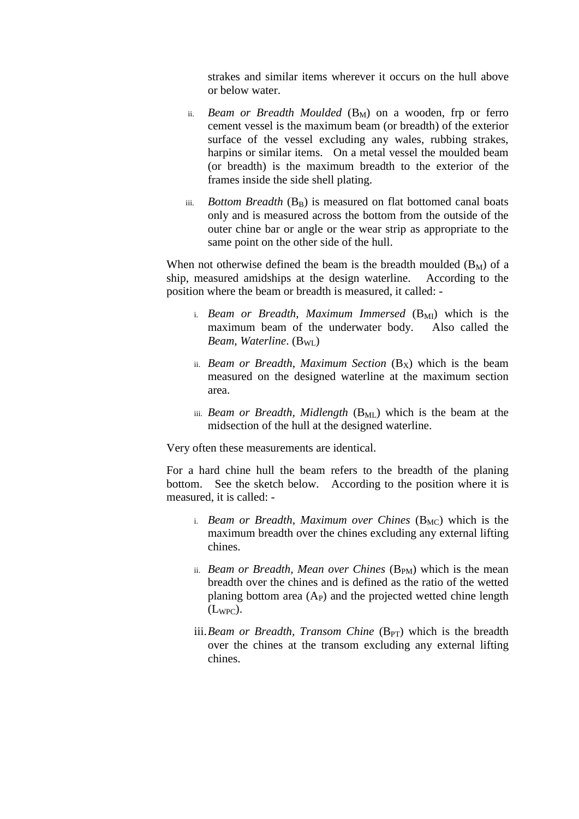strakes and similar items wherever it occurs on the hull above or below water.

- ii. *Beam or Breadth Moulded* (B<sub>M</sub>) on a wooden, frp or ferro cement vessel is the maximum beam (or breadth) of the exterior surface of the vessel excluding any wales, rubbing strakes, harpins or similar items. On a metal vessel the moulded beam (or breadth) is the maximum breadth to the exterior of the frames inside the side shell plating.
- iii. *Bottom Breadth* (B<sub>B</sub>) is measured on flat bottomed canal boats only and is measured across the bottom from the outside of the outer chine bar or angle or the wear strip as appropriate to the same point on the other side of the hull.

When not otherwise defined the beam is the breadth moulded  $(B_M)$  of a ship, measured amidships at the design waterline. According to the position where the beam or breadth is measured, it called: -

- i. *Beam or Breadth, Maximum Immersed* (B<sub>MI</sub>) which is the maximum beam of the underwater body. Also called the *Beam, Waterline.* (B<sub>WL</sub>)
- ii. *Beam or Breadth, Maximum Section*  $(B_X)$  which is the beam measured on the designed waterline at the maximum section area.
- iii. *Beam or Breadth, Midlength*  $(B_{ML})$  which is the beam at the midsection of the hull at the designed waterline.

Very often these measurements are identical.

For a hard chine hull the beam refers to the breadth of the planing bottom. See the sketch below. According to the position where it is measured, it is called: -

- i. *Beam or Breadth, Maximum over Chines* (B<sub>MC</sub>) which is the maximum breadth over the chines excluding any external lifting chines.
- ii. *Beam or Breadth, Mean over Chines* (B<sub>PM</sub>) which is the mean breadth over the chines and is defined as the ratio of the wetted planing bottom area  $(A_P)$  and the projected wetted chine length  $(L_{WPC})$ .
- iii.*Beam or Breadth, Transom Chine* (B<sub>PT</sub>) which is the breadth over the chines at the transom excluding any external lifting chines.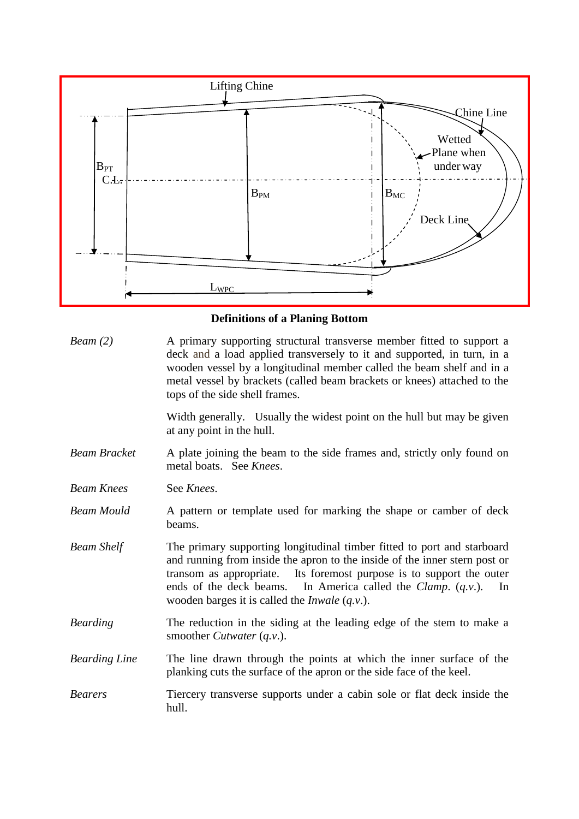

# **Definitions of a Planing Bottom**

| Bean(2)              | A primary supporting structural transverse member fitted to support a<br>deck and a load applied transversely to it and supported, in turn, in a<br>wooden vessel by a longitudinal member called the beam shelf and in a<br>metal vessel by brackets (called beam brackets or knees) attached to the<br>tops of the side shell frames.                                     |
|----------------------|-----------------------------------------------------------------------------------------------------------------------------------------------------------------------------------------------------------------------------------------------------------------------------------------------------------------------------------------------------------------------------|
|                      | Width generally. Usually the widest point on the hull but may be given<br>at any point in the hull.                                                                                                                                                                                                                                                                         |
| <b>Beam Bracket</b>  | A plate joining the beam to the side frames and, strictly only found on<br>metal boats. See Knees.                                                                                                                                                                                                                                                                          |
| <b>Beam Knees</b>    | See Knees.                                                                                                                                                                                                                                                                                                                                                                  |
| <b>Beam Mould</b>    | A pattern or template used for marking the shape or camber of deck<br>beams.                                                                                                                                                                                                                                                                                                |
| <b>Beam Shelf</b>    | The primary supporting longitudinal timber fitted to port and starboard<br>and running from inside the apron to the inside of the inner stern post or<br>Its foremost purpose is to support the outer<br>transom as appropriate.<br>ends of the deck beams. In America called the <i>Clamp.</i> $(q.v.)$ .<br>In<br>wooden barges it is called the <i>Inwale</i> $(q.v.)$ . |
| <b>Bearding</b>      | The reduction in the siding at the leading edge of the stem to make a<br>smoother <i>Cutwater</i> $(q.v.)$ .                                                                                                                                                                                                                                                                |
| <b>Bearding Line</b> | The line drawn through the points at which the inner surface of the<br>planking cuts the surface of the apron or the side face of the keel.                                                                                                                                                                                                                                 |
| <b>Bearers</b>       | Tiercery transverse supports under a cabin sole or flat deck inside the<br>hull.                                                                                                                                                                                                                                                                                            |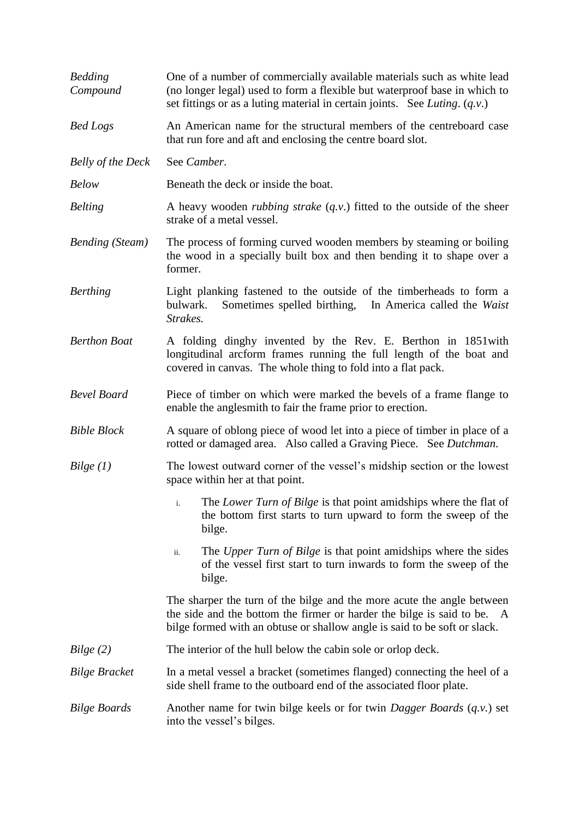| <b>Bedding</b><br>Compound | One of a number of commercially available materials such as white lead<br>(no longer legal) used to form a flexible but waterproof base in which to<br>set fittings or as a luting material in certain joints. See Luting. $(q, v)$ . |
|----------------------------|---------------------------------------------------------------------------------------------------------------------------------------------------------------------------------------------------------------------------------------|
| <b>Bed Logs</b>            | An American name for the structural members of the centreboard case<br>that run fore and aft and enclosing the centre board slot.                                                                                                     |
| <b>Belly of the Deck</b>   | See Camber.                                                                                                                                                                                                                           |
| <b>Below</b>               | Beneath the deck or inside the boat.                                                                                                                                                                                                  |
| <b>Belting</b>             | A heavy wooden <i>rubbing strake</i> $(q.v.)$ fitted to the outside of the sheer<br>strake of a metal vessel.                                                                                                                         |
| <b>Bending</b> (Steam)     | The process of forming curved wooden members by steaming or boiling<br>the wood in a specially built box and then bending it to shape over a<br>former.                                                                               |
| <b>Berthing</b>            | Light planking fastened to the outside of the timberheads to form a<br>Sometimes spelled birthing, In America called the Waist<br>bulwark.<br>Strakes.                                                                                |
| <b>Berthon Boat</b>        | A folding dinghy invented by the Rev. E. Berthon in 1851 with<br>longitudinal arcform frames running the full length of the boat and<br>covered in canvas. The whole thing to fold into a flat pack.                                  |
| <b>Bevel Board</b>         | Piece of timber on which were marked the bevels of a frame flange to<br>enable the anglesmith to fair the frame prior to erection.                                                                                                    |
| <b>Bible Block</b>         | A square of oblong piece of wood let into a piece of timber in place of a<br>rotted or damaged area. Also called a Graving Piece. See Dutchman.                                                                                       |
| Bilge(1)                   | The lowest outward corner of the vessel's midship section or the lowest<br>space within her at that point.                                                                                                                            |
|                            | The Lower Turn of Bilge is that point amidships where the flat of<br>the bottom first starts to turn upward to form the sweep of the<br>bilge.                                                                                        |
|                            | The Upper Turn of Bilge is that point amidships where the sides<br>ii.<br>of the vessel first start to turn inwards to form the sweep of the<br>bilge.                                                                                |
|                            | The sharper the turn of the bilge and the more acute the angle between<br>the side and the bottom the firmer or harder the bilge is said to be. A<br>bilge formed with an obtuse or shallow angle is said to be soft or slack.        |
| Bilge(2)                   | The interior of the hull below the cabin sole or orlop deck.                                                                                                                                                                          |
| <b>Bilge Bracket</b>       | In a metal vessel a bracket (sometimes flanged) connecting the heel of a<br>side shell frame to the outboard end of the associated floor plate.                                                                                       |
| <b>Bilge Boards</b>        | Another name for twin bilge keels or for twin <i>Dagger Boards</i> $(q.v.)$ set<br>into the vessel's bilges.                                                                                                                          |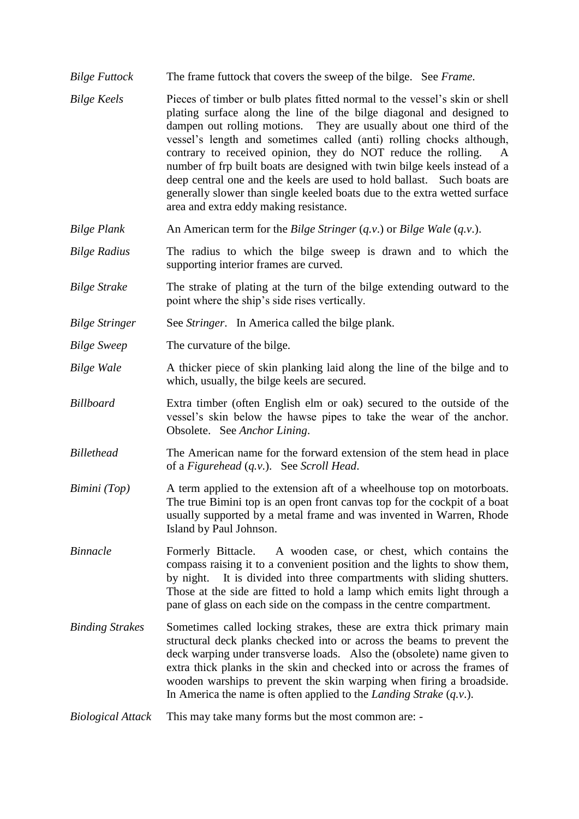- *Bilge Futtock* The frame futtock that covers the sweep of the bilge. See *Frame*.
- *Bilge Keels* Pieces of timber or bulb plates fitted normal to the vessel's skin or shell plating surface along the line of the bilge diagonal and designed to dampen out rolling motions. They are usually about one third of the vessel's length and sometimes called (anti) rolling chocks although, contrary to received opinion, they do NOT reduce the rolling. A number of frp built boats are designed with twin bilge keels instead of a deep central one and the keels are used to hold ballast. Such boats are generally slower than single keeled boats due to the extra wetted surface area and extra eddy making resistance.
- *Bilge Plank* An American term for the *Bilge Stringer* (*q.v*.) or *Bilge Wale* (*q.v*.).
- *Bilge Radius* The radius to which the bilge sweep is drawn and to which the supporting interior frames are curved.
- *Bilge Strake* The strake of plating at the turn of the bilge extending outward to the point where the ship's side rises vertically.
- *Bilge Stringer* See *Stringer*. In America called the bilge plank.
- *Bilge Sweep* The curvature of the bilge.
- *Bilge Wale* A thicker piece of skin planking laid along the line of the bilge and to which, usually, the bilge keels are secured.
- *Billboard* Extra timber (often English elm or oak) secured to the outside of the vessel's skin below the hawse pipes to take the wear of the anchor. Obsolete. See *Anchor Lining*.
- *Billethead* The American name for the forward extension of the stem head in place of a *Figurehead* (*q.v*.). See *Scroll Head*.
- *Bimini (Top)* A term applied to the extension aft of a wheelhouse top on motorboats. The true Bimini top is an open front canvas top for the cockpit of a boat usually supported by a metal frame and was invented in Warren, Rhode Island by Paul Johnson.
- *Binnacle* Formerly Bittacle. A wooden case, or chest, which contains the compass raising it to a convenient position and the lights to show them, by night. It is divided into three compartments with sliding shutters. Those at the side are fitted to hold a lamp which emits light through a pane of glass on each side on the compass in the centre compartment.
- *Binding Strakes* Sometimes called locking strakes, these are extra thick primary main structural deck planks checked into or across the beams to prevent the deck warping under transverse loads. Also the (obsolete) name given to extra thick planks in the skin and checked into or across the frames of wooden warships to prevent the skin warping when firing a broadside. In America the name is often applied to the *Landing Strake* (*q.v*.).
- *Biological Attack* This may take many forms but the most common are: -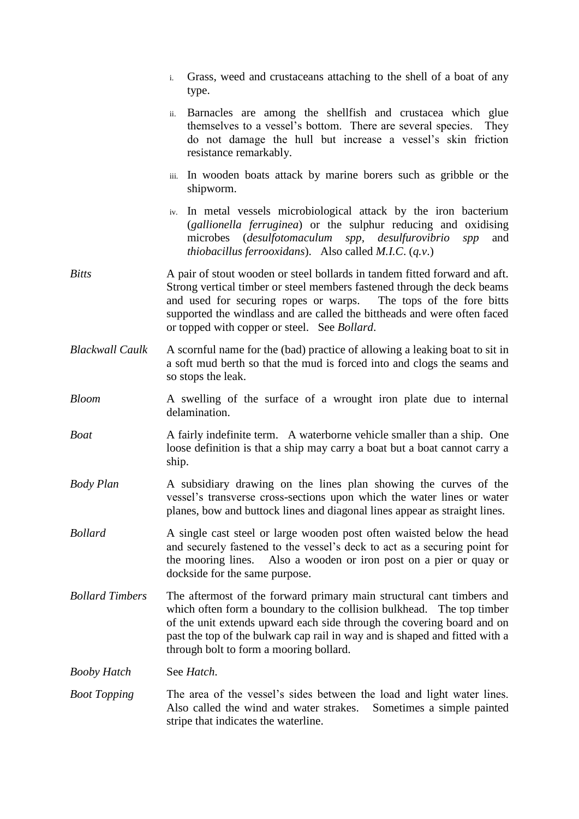|                        | Grass, weed and crustaceans attaching to the shell of a boat of any<br>$\mathbf{i}$ .<br>type.                                                                                                                                                                                                                                                           |
|------------------------|----------------------------------------------------------------------------------------------------------------------------------------------------------------------------------------------------------------------------------------------------------------------------------------------------------------------------------------------------------|
|                        | Barnacles are among the shellfish and crustacea which glue<br>ii.<br>themselves to a vessel's bottom. There are several species.<br>They<br>do not damage the hull but increase a vessel's skin friction<br>resistance remarkably.                                                                                                                       |
|                        | iii. In wooden boats attack by marine borers such as gribble or the<br>shipworm.                                                                                                                                                                                                                                                                         |
|                        | iv. In metal vessels microbiological attack by the iron bacterium<br>(gallionella ferruginea) or the sulphur reducing and oxidising<br>microbes ( <i>desulfotomaculum</i><br>spp, desulfurovibrio<br>and<br>spp<br><i>thiobacillus ferrooxidans</i> ). Also called <i>M.I.C.</i> $(q.v.)$                                                                |
| <b>Bitts</b>           | A pair of stout wooden or steel bollards in tandem fitted forward and aft.<br>Strong vertical timber or steel members fastened through the deck beams<br>and used for securing ropes or warps.<br>The tops of the fore bitts<br>supported the windlass and are called the bittheads and were often faced<br>or topped with copper or steel. See Bollard. |
| <b>Blackwall Caulk</b> | A scornful name for the (bad) practice of allowing a leaking boat to sit in<br>a soft mud berth so that the mud is forced into and clogs the seams and<br>so stops the leak.                                                                                                                                                                             |
| <b>Bloom</b>           | A swelling of the surface of a wrought iron plate due to internal<br>delamination.                                                                                                                                                                                                                                                                       |
| <b>Boat</b>            | A fairly indefinite term. A waterborne vehicle smaller than a ship. One<br>loose definition is that a ship may carry a boat but a boat cannot carry a<br>ship.                                                                                                                                                                                           |
| <b>Body Plan</b>       | A subsidiary drawing on the lines plan showing the curves of the<br>vessel's transverse cross-sections upon which the water lines or water<br>planes, bow and buttock lines and diagonal lines appear as straight lines.                                                                                                                                 |
| <b>Bollard</b>         | A single cast steel or large wooden post often waisted below the head<br>and securely fastened to the vessel's deck to act as a securing point for<br>Also a wooden or iron post on a pier or quay or<br>the mooring lines.<br>dockside for the same purpose.                                                                                            |
| <b>Bollard Timbers</b> | The aftermost of the forward primary main structural cant timbers and<br>which often form a boundary to the collision bulkhead. The top timber<br>of the unit extends upward each side through the covering board and on<br>past the top of the bulwark cap rail in way and is shaped and fitted with a<br>through bolt to form a mooring bollard.       |
| <b>Booby Hatch</b>     | See Hatch.                                                                                                                                                                                                                                                                                                                                               |
| <b>Boot Topping</b>    | The area of the vessel's sides between the load and light water lines.<br>Also called the wind and water strakes.<br>Sometimes a simple painted<br>stripe that indicates the waterline.                                                                                                                                                                  |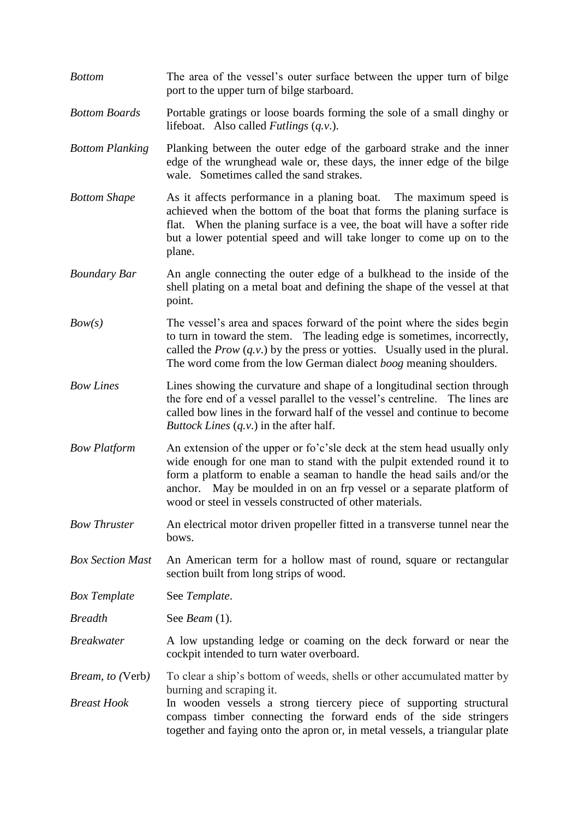| <b>Bottom</b>           | The area of the vessel's outer surface between the upper turn of bilge<br>port to the upper turn of bilge starboard.                                                                                                                                                                                                                                            |
|-------------------------|-----------------------------------------------------------------------------------------------------------------------------------------------------------------------------------------------------------------------------------------------------------------------------------------------------------------------------------------------------------------|
| <b>Bottom Boards</b>    | Portable gratings or loose boards forming the sole of a small dinghy or<br>lifeboat. Also called <i>Futlings</i> $(q.v.)$ .                                                                                                                                                                                                                                     |
| <b>Bottom Planking</b>  | Planking between the outer edge of the garboard strake and the inner<br>edge of the wrunghead wale or, these days, the inner edge of the bilge<br>wale. Sometimes called the sand strakes.                                                                                                                                                                      |
| <b>Bottom Shape</b>     | As it affects performance in a planing boat. The maximum speed is<br>achieved when the bottom of the boat that forms the planing surface is<br>flat. When the planing surface is a vee, the boat will have a softer ride<br>but a lower potential speed and will take longer to come up on to the<br>plane.                                                     |
| <b>Boundary Bar</b>     | An angle connecting the outer edge of a bulkhead to the inside of the<br>shell plating on a metal boat and defining the shape of the vessel at that<br>point.                                                                                                                                                                                                   |
| Bow(s)                  | The vessel's area and spaces forward of the point where the sides begin<br>to turn in toward the stem. The leading edge is sometimes, incorrectly,<br>called the $Prov(q.v.)$ by the press or yotties. Usually used in the plural.<br>The word come from the low German dialect <i>boog</i> meaning shoulders.                                                  |
| <b>Bow Lines</b>        | Lines showing the curvature and shape of a longitudinal section through<br>the fore end of a vessel parallel to the vessel's centreline. The lines are<br>called bow lines in the forward half of the vessel and continue to become<br><i>Buttock Lines</i> $(q.v.)$ in the after half.                                                                         |
| <b>Bow Platform</b>     | An extension of the upper or fo'c'sle deck at the stem head usually only<br>wide enough for one man to stand with the pulpit extended round it to<br>form a platform to enable a seaman to handle the head sails and/or the<br>anchor. May be moulded in on an frp vessel or a separate platform of<br>wood or steel in vessels constructed of other materials. |
| <b>Bow Thruster</b>     | An electrical motor driven propeller fitted in a transverse tunnel near the<br>bows.                                                                                                                                                                                                                                                                            |
| <b>Box Section Mast</b> | An American term for a hollow mast of round, square or rectangular<br>section built from long strips of wood.                                                                                                                                                                                                                                                   |
| <b>Box Template</b>     | See Template.                                                                                                                                                                                                                                                                                                                                                   |
| <b>Breadth</b>          | See <i>Beam</i> $(1)$ .                                                                                                                                                                                                                                                                                                                                         |
| <b>Breakwater</b>       | A low upstanding ledge or coaming on the deck forward or near the<br>cockpit intended to turn water overboard.                                                                                                                                                                                                                                                  |
| <i>Bream, to (Verb)</i> | To clear a ship's bottom of weeds, shells or other accumulated matter by                                                                                                                                                                                                                                                                                        |
| <b>Breast Hook</b>      | burning and scraping it.<br>In wooden vessels a strong tiercery piece of supporting structural<br>compass timber connecting the forward ends of the side stringers<br>together and faying onto the apron or, in metal vessels, a triangular plate                                                                                                               |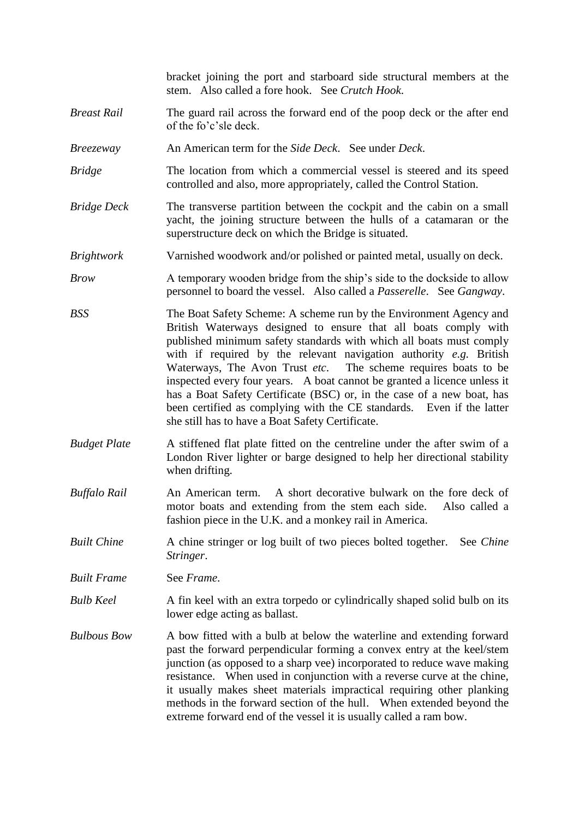bracket joining the port and starboard side structural members at the stem. Also called a fore hook. See *Crutch Hook*.

- *Breast Rail* The guard rail across the forward end of the poop deck or the after end of the fo'c'sle deck.
- *Breezeway* An American term for the *Side Deck*. See under *Deck*.
- *Bridge* The location from which a commercial vessel is steered and its speed controlled and also, more appropriately, called the Control Station.
- *Bridge Deck* The transverse partition between the cockpit and the cabin on a small yacht, the joining structure between the hulls of a catamaran or the superstructure deck on which the Bridge is situated.
- *Brightwork* Varnished woodwork and/or polished or painted metal, usually on deck.
- *Brow* A temporary wooden bridge from the ship's side to the dockside to allow personnel to board the vessel. Also called a *Passerelle*. See *Gangway*.
- *BSS* The Boat Safety Scheme: A scheme run by the Environment Agency and British Waterways designed to ensure that all boats comply with published minimum safety standards with which all boats must comply with if required by the relevant navigation authority *e.g.* British Waterways, The Avon Trust *etc*. The scheme requires boats to be inspected every four years. A boat cannot be granted a licence unless it has a Boat Safety Certificate (BSC) or, in the case of a new boat, has been certified as complying with the CE standards. Even if the latter she still has to have a Boat Safety Certificate.
- *Budget Plate* A stiffened flat plate fitted on the centreline under the after swim of a London River lighter or barge designed to help her directional stability when drifting.
- *Buffalo Rail* An American term. A short decorative bulwark on the fore deck of motor boats and extending from the stem each side. Also called a fashion piece in the U.K. and a monkey rail in America.
- *Built Chine* A chine stringer or log built of two pieces bolted together. See *Chine Stringer*.

*Built Frame* See *Frame*.

- *Bulb Keel* A fin keel with an extra torpedo or cylindrically shaped solid bulb on its lower edge acting as ballast.
- *Bulbous Bow* A bow fitted with a bulb at below the waterline and extending forward past the forward perpendicular forming a convex entry at the keel/stem junction (as opposed to a sharp vee) incorporated to reduce wave making resistance. When used in conjunction with a reverse curve at the chine, it usually makes sheet materials impractical requiring other planking methods in the forward section of the hull. When extended beyond the extreme forward end of the vessel it is usually called a ram bow.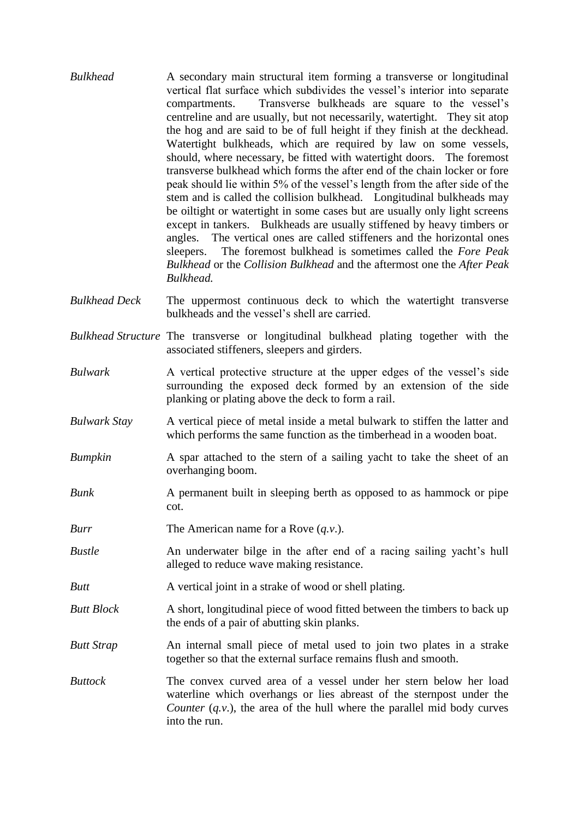- *Bulkhead* A secondary main structural item forming a transverse or longitudinal vertical flat surface which subdivides the vessel's interior into separate compartments. Transverse bulkheads are square to the vessel's centreline and are usually, but not necessarily, watertight. They sit atop the hog and are said to be of full height if they finish at the deckhead. Watertight bulkheads, which are required by law on some vessels, should, where necessary, be fitted with watertight doors. The foremost transverse bulkhead which forms the after end of the chain locker or fore peak should lie within 5% of the vessel's length from the after side of the stem and is called the collision bulkhead. Longitudinal bulkheads may be oiltight or watertight in some cases but are usually only light screens except in tankers. Bulkheads are usually stiffened by heavy timbers or angles. The vertical ones are called stiffeners and the horizontal ones sleepers. The foremost bulkhead is sometimes called the *Fore Peak Bulkhead* or the *Collision Bulkhead* and the aftermost one the *After Peak Bulkhead.*
- *Bulkhead Deck* The uppermost continuous deck to which the watertight transverse bulkheads and the vessel's shell are carried.
- *Bulkhead Structure* The transverse or longitudinal bulkhead plating together with the associated stiffeners, sleepers and girders.
- *Bulwark* A vertical protective structure at the upper edges of the vessel's side surrounding the exposed deck formed by an extension of the side planking or plating above the deck to form a rail.
- *Bulwark Stay* A vertical piece of metal inside a metal bulwark to stiffen the latter and which performs the same function as the timberhead in a wooden boat.
- *Bumpkin* A spar attached to the stern of a sailing yacht to take the sheet of an overhanging boom.
- *Bunk* A permanent built in sleeping berth as opposed to as hammock or pipe cot.
- *Burr* The American name for a Rove  $(q, v)$ .
- *Bustle* An underwater bilge in the after end of a racing sailing yacht's hull alleged to reduce wave making resistance.
- *Butt* A vertical joint in a strake of wood or shell plating.
- *Butt Block* A short, longitudinal piece of wood fitted between the timbers to back up the ends of a pair of abutting skin planks.
- *Butt Strap* An internal small piece of metal used to join two plates in a strake together so that the external surface remains flush and smooth.
- *Buttock* The convex curved area of a vessel under her stern below her load waterline which overhangs or lies abreast of the sternpost under the *Counter* (*q.v.*), the area of the hull where the parallel mid body curves into the run.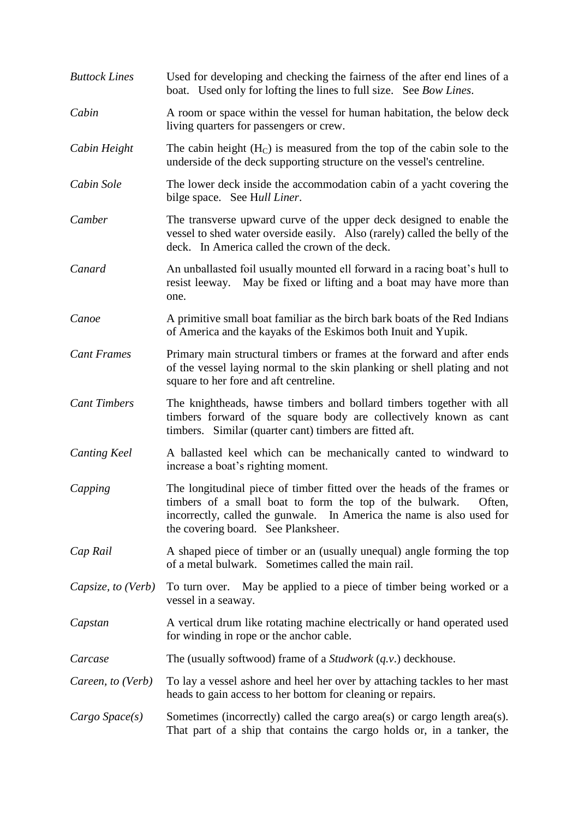| <b>Buttock Lines</b> | Used for developing and checking the fairness of the after end lines of a<br>boat. Used only for lofting the lines to full size. See Bow Lines.                                                                                                              |
|----------------------|--------------------------------------------------------------------------------------------------------------------------------------------------------------------------------------------------------------------------------------------------------------|
| Cabin                | A room or space within the vessel for human habitation, the below deck<br>living quarters for passengers or crew.                                                                                                                                            |
| Cabin Height         | The cabin height $(HC)$ is measured from the top of the cabin sole to the<br>underside of the deck supporting structure on the vessel's centreline.                                                                                                          |
| Cabin Sole           | The lower deck inside the accommodation cabin of a yacht covering the<br>bilge space. See Hull Liner.                                                                                                                                                        |
| Camber               | The transverse upward curve of the upper deck designed to enable the<br>vessel to shed water overside easily. Also (rarely) called the belly of the<br>deck. In America called the crown of the deck.                                                        |
| Canard               | An unballasted foil usually mounted ell forward in a racing boat's hull to<br>resist leeway. May be fixed or lifting and a boat may have more than<br>one.                                                                                                   |
| Canoe                | A primitive small boat familiar as the birch bark boats of the Red Indians<br>of America and the kayaks of the Eskimos both Inuit and Yupik.                                                                                                                 |
| <b>Cant Frames</b>   | Primary main structural timbers or frames at the forward and after ends<br>of the vessel laying normal to the skin planking or shell plating and not<br>square to her fore and aft centreline.                                                               |
| <b>Cant Timbers</b>  | The knightheads, hawse timbers and bollard timbers together with all<br>timbers forward of the square body are collectively known as cant<br>timbers. Similar (quarter cant) timbers are fitted aft.                                                         |
| <b>Canting Keel</b>  | A ballasted keel which can be mechanically canted to windward to<br>increase a boat's righting moment.                                                                                                                                                       |
| Capping              | The longitudinal piece of timber fitted over the heads of the frames or<br>timbers of a small boat to form the top of the bulwark.<br>Often,<br>incorrectly, called the gunwale. In America the name is also used for<br>the covering board. See Planksheer. |
| Cap Rail             | A shaped piece of timber or an (usually unequal) angle forming the top<br>of a metal bulwark. Sometimes called the main rail.                                                                                                                                |
| Capsize, to (Verb)   | To turn over. May be applied to a piece of timber being worked or a<br>vessel in a seaway.                                                                                                                                                                   |
| Capstan              | A vertical drum like rotating machine electrically or hand operated used<br>for winding in rope or the anchor cable.                                                                                                                                         |
| Carcase              | The (usually softwood) frame of a <i>Studwork</i> $(q.v.)$ deckhouse.                                                                                                                                                                                        |
| Careen, to (Verb)    | To lay a vessel ashore and heel her over by attaching tackles to her mast<br>heads to gain access to her bottom for cleaning or repairs.                                                                                                                     |
| Cargo Space(s)       | Sometimes (incorrectly) called the cargo area(s) or cargo length area(s).<br>That part of a ship that contains the cargo holds or, in a tanker, the                                                                                                          |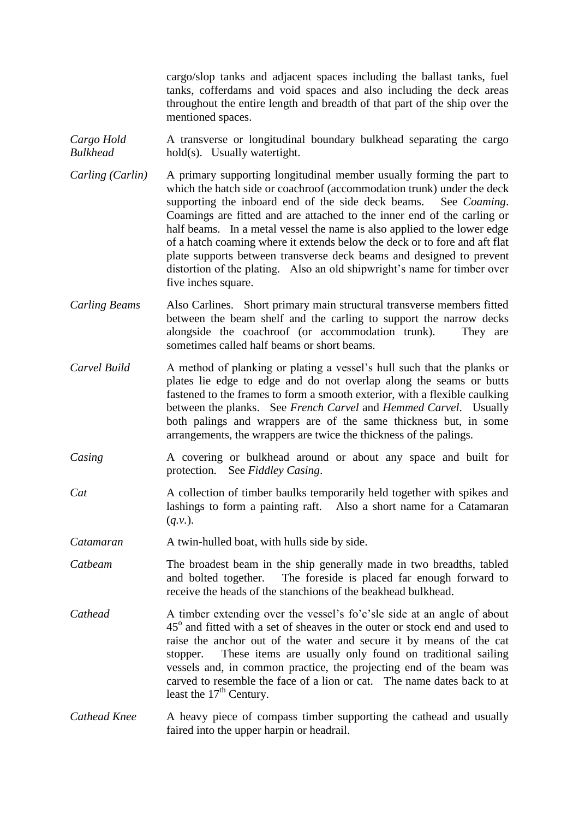cargo/slop tanks and adjacent spaces including the ballast tanks, fuel tanks, cofferdams and void spaces and also including the deck areas throughout the entire length and breadth of that part of the ship over the mentioned spaces.

- *Cargo Hold* A transverse or longitudinal boundary bulkhead separating the cargo *Bulkhead* hold(s). Usually watertight.
- *Carling (Carlin)* A primary supporting longitudinal member usually forming the part to which the hatch side or coachroof (accommodation trunk) under the deck supporting the inboard end of the side deck beams. See *Coaming*. Coamings are fitted and are attached to the inner end of the carling or half beams. In a metal vessel the name is also applied to the lower edge of a hatch coaming where it extends below the deck or to fore and aft flat plate supports between transverse deck beams and designed to prevent distortion of the plating. Also an old shipwright's name for timber over five inches square.
- *Carling Beams* Also Carlines. Short primary main structural transverse members fitted between the beam shelf and the carling to support the narrow decks alongside the coachroof (or accommodation trunk). They are sometimes called half beams or short beams.
- *Carvel Build* A method of planking or plating a vessel's hull such that the planks or plates lie edge to edge and do not overlap along the seams or butts fastened to the frames to form a smooth exterior, with a flexible caulking between the planks. See *French Carvel* and *Hemmed Carvel*. Usually both palings and wrappers are of the same thickness but, in some arrangements, the wrappers are twice the thickness of the palings.
- *Casing* A covering or bulkhead around or about any space and built for protection. See *Fiddley Casing*.
- *Cat* A collection of timber baulks temporarily held together with spikes and lashings to form a painting raft. Also a short name for a Catamaran (*q.v.*).
- *Catamaran* A twin-hulled boat, with hulls side by side.
- *Catbeam* The broadest beam in the ship generally made in two breadths, tabled and bolted together. The foreside is placed far enough forward to receive the heads of the stanchions of the beakhead bulkhead.
- *Cathead* A timber extending over the vessel's fo'c'sle side at an angle of about 45<sup>o</sup> and fitted with a set of sheaves in the outer or stock end and used to raise the anchor out of the water and secure it by means of the cat stopper. These items are usually only found on traditional sailing vessels and, in common practice, the projecting end of the beam was carved to resemble the face of a lion or cat. The name dates back to at least the  $17<sup>th</sup>$  Century.
- *Cathead Knee* A heavy piece of compass timber supporting the cathead and usually faired into the upper harpin or headrail.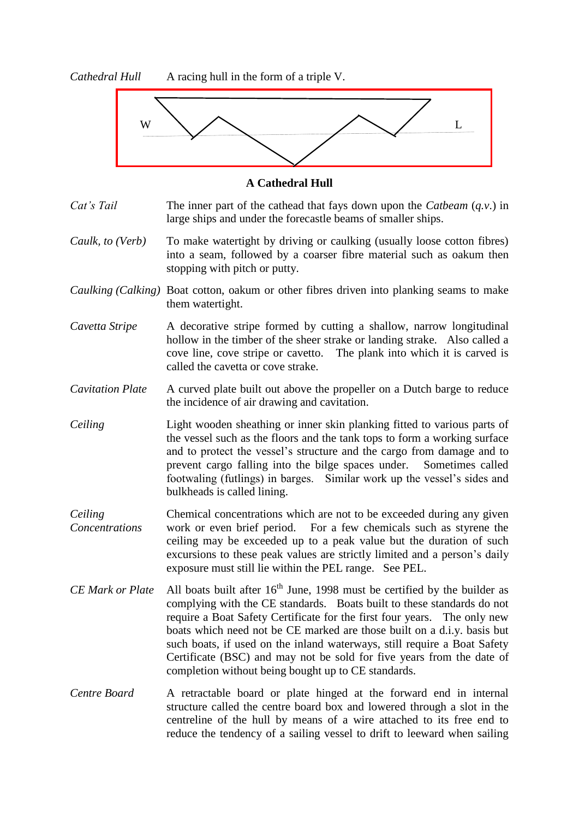*Cathedral Hull* A racing hull in the form of a triple V.



#### **A Cathedral Hull**

*Cat's Tail* The inner part of the cathead that fays down upon the *Catbeam* (*q.v.*) in large ships and under the forecastle beams of smaller ships.

- *Caulk, to (Verb)* To make watertight by driving or caulking (usually loose cotton fibres) into a seam, followed by a coarser fibre material such as oakum then stopping with pitch or putty.
- *Caulking (Calking)* Boat cotton, oakum or other fibres driven into planking seams to make them watertight.
- *Cavetta Stripe* A decorative stripe formed by cutting a shallow, narrow longitudinal hollow in the timber of the sheer strake or landing strake. Also called a cove line, cove stripe or cavetto. The plank into which it is carved is called the cavetta or cove strake.

*Cavitation Plate* A curved plate built out above the propeller on a Dutch barge to reduce the incidence of air drawing and cavitation.

- *Ceiling* Light wooden sheathing or inner skin planking fitted to various parts of the vessel such as the floors and the tank tops to form a working surface and to protect the vessel's structure and the cargo from damage and to prevent cargo falling into the bilge spaces under. Sometimes called footwaling (futlings) in barges. Similar work up the vessel's sides and bulkheads is called lining.
- *Ceiling* Chemical concentrations which are not to be exceeded during any given *Concentrations* work or even brief period. For a few chemicals such as styrene the ceiling may be exceeded up to a peak value but the duration of such excursions to these peak values are strictly limited and a person's daily exposure must still lie within the PEL range. See PEL.
- *CE Mark or Plate* All boats built after 16<sup>th</sup> June, 1998 must be certified by the builder as complying with the CE standards. Boats built to these standards do not require a Boat Safety Certificate for the first four years. The only new boats which need not be CE marked are those built on a d.i.y. basis but such boats, if used on the inland waterways, still require a Boat Safety Certificate (BSC) and may not be sold for five years from the date of completion without being bought up to CE standards.
- *Centre Board* A retractable board or plate hinged at the forward end in internal structure called the centre board box and lowered through a slot in the centreline of the hull by means of a wire attached to its free end to reduce the tendency of a sailing vessel to drift to leeward when sailing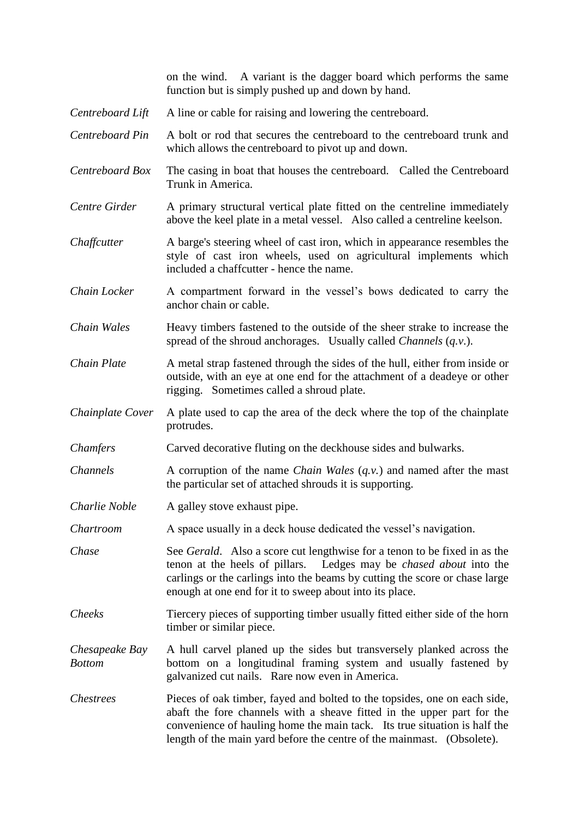|                                 | on the wind. A variant is the dagger board which performs the same<br>function but is simply pushed up and down by hand.                                                                                                                                                                                   |
|---------------------------------|------------------------------------------------------------------------------------------------------------------------------------------------------------------------------------------------------------------------------------------------------------------------------------------------------------|
| Centreboard Lift                | A line or cable for raising and lowering the centreboard.                                                                                                                                                                                                                                                  |
| Centreboard Pin                 | A bolt or rod that secures the centreboard to the centreboard trunk and<br>which allows the centreboard to pivot up and down.                                                                                                                                                                              |
| Centreboard Box                 | The casing in boat that houses the centreboard. Called the Centreboard<br>Trunk in America.                                                                                                                                                                                                                |
| Centre Girder                   | A primary structural vertical plate fitted on the centreline immediately<br>above the keel plate in a metal vessel. Also called a centreline keelson.                                                                                                                                                      |
| Chaffcutter                     | A barge's steering wheel of cast iron, which in appearance resembles the<br>style of cast iron wheels, used on agricultural implements which<br>included a chaffcutter - hence the name.                                                                                                                   |
| Chain Locker                    | A compartment forward in the vessel's bows dedicated to carry the<br>anchor chain or cable.                                                                                                                                                                                                                |
| Chain Wales                     | Heavy timbers fastened to the outside of the sheer strake to increase the<br>spread of the shroud anchorages. Usually called <i>Channels</i> $(q.v.)$ .                                                                                                                                                    |
| Chain Plate                     | A metal strap fastened through the sides of the hull, either from inside or<br>outside, with an eye at one end for the attachment of a deadeye or other<br>rigging. Sometimes called a shroud plate.                                                                                                       |
| Chainplate Cover                | A plate used to cap the area of the deck where the top of the chainplate<br>protrudes.                                                                                                                                                                                                                     |
| Chamfers                        | Carved decorative fluting on the deckhouse sides and bulwarks.                                                                                                                                                                                                                                             |
| <b>Channels</b>                 | A corruption of the name <i>Chain Wales</i> $(q.v.)$ and named after the mast<br>the particular set of attached shrouds it is supporting.                                                                                                                                                                  |
| Charlie Noble                   | A galley stove exhaust pipe.                                                                                                                                                                                                                                                                               |
| Chartroom                       | A space usually in a deck house dedicated the vessel's navigation.                                                                                                                                                                                                                                         |
| Chase                           | See Gerald. Also a score cut lengthwise for a tenon to be fixed in as the<br>Ledges may be <i>chased about</i> into the<br>tenon at the heels of pillars.<br>carlings or the carlings into the beams by cutting the score or chase large<br>enough at one end for it to sweep about into its place.        |
| Cheeks                          | Tiercery pieces of supporting timber usually fitted either side of the horn<br>timber or similar piece.                                                                                                                                                                                                    |
| Chesapeake Bay<br><b>Bottom</b> | A hull carvel planed up the sides but transversely planked across the<br>bottom on a longitudinal framing system and usually fastened by<br>galvanized cut nails. Rare now even in America.                                                                                                                |
| <i>Chestrees</i>                | Pieces of oak timber, fayed and bolted to the topsides, one on each side,<br>abaft the fore channels with a sheave fitted in the upper part for the<br>convenience of hauling home the main tack. Its true situation is half the<br>length of the main yard before the centre of the mainmast. (Obsolete). |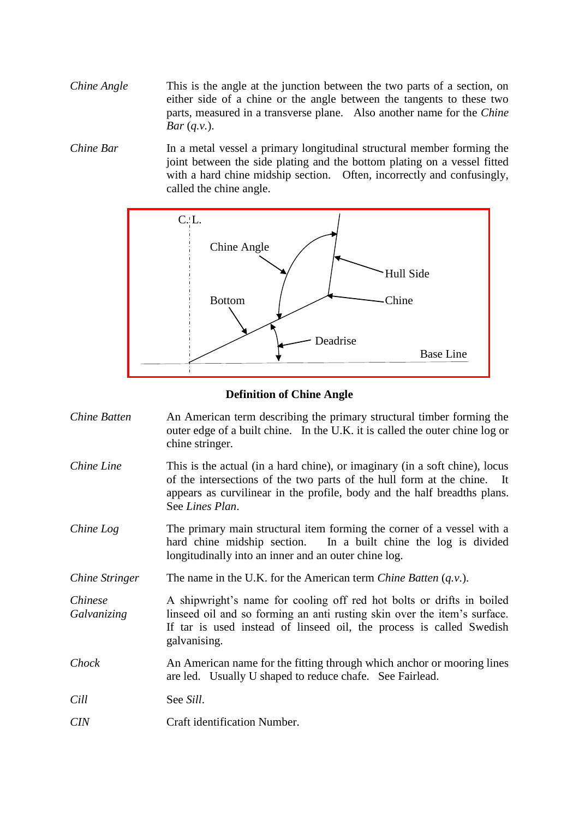*Chine Angle* This is the angle at the junction between the two parts of a section, on either side of a chine or the angle between the tangents to these two parts, measured in a transverse plane. Also another name for the *Chine Bar* (*q.v.*).

*Chine Bar* In a metal vessel a primary longitudinal structural member forming the joint between the side plating and the bottom plating on a vessel fitted with a hard chine midship section. Often, incorrectly and confusingly, called the chine angle.



#### **Definition of Chine Angle**

| Chine Batten           | An American term describing the primary structural timber forming the<br>outer edge of a built chine. In the U.K. it is called the outer chine log or<br>chine stringer.                                                                              |
|------------------------|-------------------------------------------------------------------------------------------------------------------------------------------------------------------------------------------------------------------------------------------------------|
| Chine Line             | This is the actual (in a hard chine), or imaginary (in a soft chine), locus<br>of the intersections of the two parts of the hull form at the chine. It<br>appears as curvilinear in the profile, body and the half breadths plans.<br>See Lines Plan. |
| Chine Log              | The primary main structural item forming the corner of a vessel with a<br>hard chine midship section. In a built chine the log is divided<br>longitudinally into an inner and an outer chine log.                                                     |
| Chine Stringer         | The name in the U.K. for the American term <i>Chine Batten</i> $(q, v)$ .                                                                                                                                                                             |
| Chinese<br>Galvanizing | A shipwright's name for cooling off red hot bolts or drifts in boiled<br>linseed oil and so forming an anti-rusting skin over the item's surface.<br>If tar is used instead of linseed oil, the process is called Swedish<br>galvanising.             |
| Chock                  | An American name for the fitting through which anchor or mooring lines<br>are led. Usually U shaped to reduce chafe. See Fairlead.                                                                                                                    |
| Cill                   | See Sill.                                                                                                                                                                                                                                             |
| <b>CIN</b>             | Craft identification Number.                                                                                                                                                                                                                          |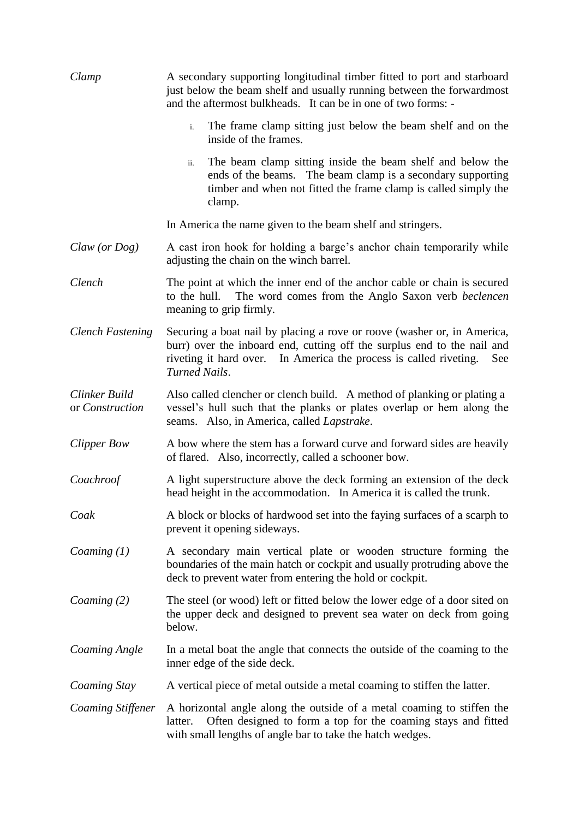| Clamp                            | A secondary supporting longitudinal timber fitted to port and starboard<br>just below the beam shelf and usually running between the forwardmost<br>and the aftermost bulkheads. It can be in one of two forms: -                               |
|----------------------------------|-------------------------------------------------------------------------------------------------------------------------------------------------------------------------------------------------------------------------------------------------|
|                                  | The frame clamp sitting just below the beam shelf and on the<br>$i$ .<br>inside of the frames.                                                                                                                                                  |
|                                  | The beam clamp sitting inside the beam shelf and below the<br>ii.<br>ends of the beams. The beam clamp is a secondary supporting<br>timber and when not fitted the frame clamp is called simply the<br>clamp.                                   |
|                                  | In America the name given to the beam shelf and stringers.                                                                                                                                                                                      |
| Claw (or Dog)                    | A cast iron hook for holding a barge's anchor chain temporarily while<br>adjusting the chain on the winch barrel.                                                                                                                               |
| Clench                           | The point at which the inner end of the anchor cable or chain is secured<br>to the hull.<br>The word comes from the Anglo Saxon verb beclencen<br>meaning to grip firmly.                                                                       |
| <b>Clench Fastening</b>          | Securing a boat nail by placing a rove or roove (washer or, in America,<br>burr) over the inboard end, cutting off the surplus end to the nail and<br>riveting it hard over. In America the process is called riveting.<br>See<br>Turned Nails. |
| Clinker Build<br>or Construction | Also called clencher or clench build. A method of planking or plating a<br>vessel's hull such that the planks or plates overlap or hem along the<br>seams. Also, in America, called <i>Lapstrake</i> .                                          |
| <b>Clipper Bow</b>               | A bow where the stem has a forward curve and forward sides are heavily<br>of flared. Also, incorrectly, called a schooner bow.                                                                                                                  |
| Coachroof                        | A light superstructure above the deck forming an extension of the deck<br>head height in the accommodation. In America it is called the trunk.                                                                                                  |
| Coak                             | A block or blocks of hardwood set into the faying surfaces of a scarph to<br>prevent it opening sideways.                                                                                                                                       |
| Coaming $(1)$                    | A secondary main vertical plate or wooden structure forming the<br>boundaries of the main hatch or cockpit and usually protruding above the<br>deck to prevent water from entering the hold or cockpit.                                         |
| Coaming $(2)$                    | The steel (or wood) left or fitted below the lower edge of a door sited on<br>the upper deck and designed to prevent sea water on deck from going<br>below.                                                                                     |
| <b>Coaming Angle</b>             | In a metal boat the angle that connects the outside of the coaming to the<br>inner edge of the side deck.                                                                                                                                       |
| Coaming Stay                     | A vertical piece of metal outside a metal coaming to stiffen the latter.                                                                                                                                                                        |
| Coaming Stiffener                | A horizontal angle along the outside of a metal coaming to stiffen the<br>Often designed to form a top for the coaming stays and fitted<br>latter.<br>with small lengths of angle bar to take the hatch wedges.                                 |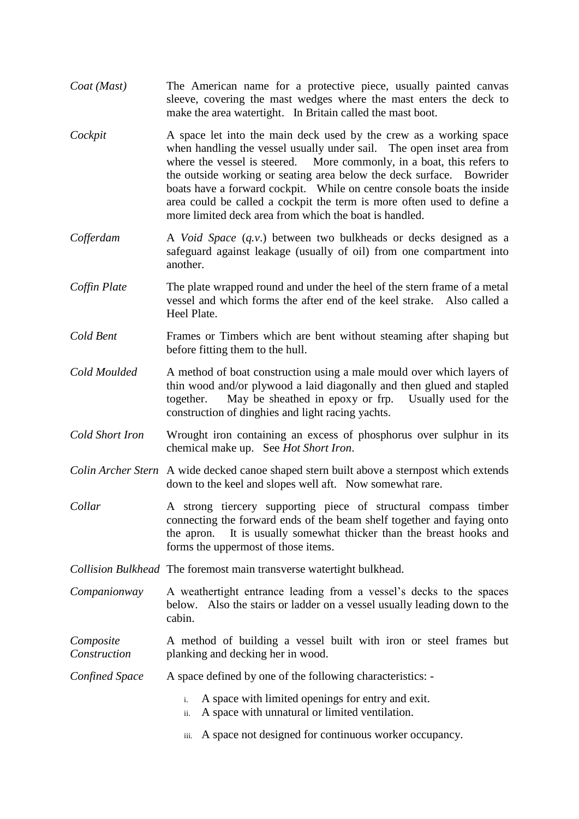- *Coat (Mast)* The American name for a protective piece, usually painted canvas sleeve, covering the mast wedges where the mast enters the deck to make the area watertight. In Britain called the mast boot.
- *Cockpit* A space let into the main deck used by the crew as a working space when handling the vessel usually under sail. The open inset area from where the vessel is steered. More commonly, in a boat, this refers to the outside working or seating area below the deck surface. Bowrider boats have a forward cockpit. While on centre console boats the inside area could be called a cockpit the term is more often used to define a more limited deck area from which the boat is handled.
- *Cofferdam* A *Void Space* (*q.v*.) between two bulkheads or decks designed as a safeguard against leakage (usually of oil) from one compartment into another.
- *Coffin Plate* The plate wrapped round and under the heel of the stern frame of a metal vessel and which forms the after end of the keel strake. Also called a Heel Plate.
- *Cold Bent* Frames or Timbers which are bent without steaming after shaping but before fitting them to the hull.
- *Cold Moulded* A method of boat construction using a male mould over which layers of thin wood and/or plywood a laid diagonally and then glued and stapled together. May be sheathed in epoxy or frp. Usually used for the construction of dinghies and light racing yachts.
- *Cold Short Iron* Wrought iron containing an excess of phosphorus over sulphur in its chemical make up. See *Hot Short Iron*.
- *Colin Archer Stern* A wide decked canoe shaped stern built above a sternpost which extends down to the keel and slopes well aft. Now somewhat rare.
- *Collar* A strong tiercery supporting piece of structural compass timber connecting the forward ends of the beam shelf together and faying onto the apron. It is usually somewhat thicker than the breast hooks and forms the uppermost of those items.
- *Collision Bulkhead* The foremost main transverse watertight bulkhead.
- *Companionway* A weathertight entrance leading from a vessel's decks to the spaces below. Also the stairs or ladder on a vessel usually leading down to the cabin.
- *Composite* A method of building a vessel built with iron or steel frames but *Construction* planking and decking her in wood.

*Confined Space* A space defined by one of the following characteristics: -

- i. A space with limited openings for entry and exit.
- ii. A space with unnatural or limited ventilation.
- iii. A space not designed for continuous worker occupancy.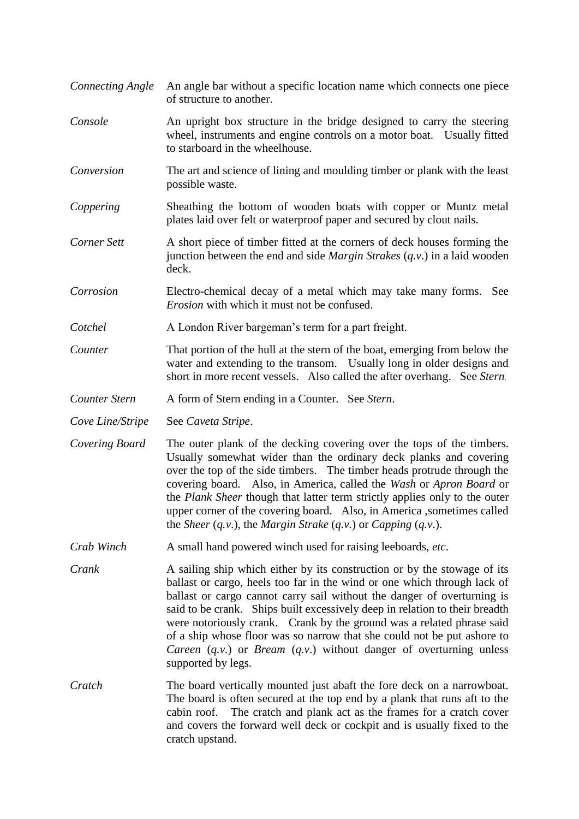*Connecting Angle* An angle bar without a specific location name which connects one piece of structure to another. *Console* An upright box structure in the bridge designed to carry the steering wheel, instruments and engine controls on a motor boat. Usually fitted to starboard in the wheelhouse. *Conversion* The art and science of lining and moulding timber or plank with the least possible waste. *Coppering* Sheathing the bottom of wooden boats with copper or Muntz metal plates laid over felt or waterproof paper and secured by clout nails. *Corner Sett* A short piece of timber fitted at the corners of deck houses forming the junction between the end and side *Margin Strakes* (*q.v*.) in a laid wooden deck. *Corrosion* Electro-chemical decay of a metal which may take many forms. See *Erosion* with which it must not be confused. *Cotchel* A London River bargeman's term for a part freight. *Counter* That portion of the hull at the stern of the boat, emerging from below the water and extending to the transom. Usually long in older designs and short in more recent vessels. Also called the after overhang. See *Stern*. *Counter Stern* A form of Stern ending in a Counter. See *Stern*. *Cove Line/Stripe* See *Caveta Stripe*. *Covering Board* The outer plank of the decking covering over the tops of the timbers. Usually somewhat wider than the ordinary deck planks and covering over the top of the side timbers. The timber heads protrude through the covering board. Also, in America, called the *Wash* or *Apron Board* or the *Plank Sheer* though that latter term strictly applies only to the outer upper corner of the covering board. Also, in America ,sometimes called the *Sheer* (*q.v*.), the *Margin Strake* (*q.v.*) or *Capping* (*q.v*.). *Crab Winch* A small hand powered winch used for raising leeboards, *etc*. *Crank* A sailing ship which either by its construction or by the stowage of its ballast or cargo, heels too far in the wind or one which through lack of ballast or cargo cannot carry sail without the danger of overturning is said to be crank. Ships built excessively deep in relation to their breadth were notoriously crank. Crank by the ground was a related phrase said of a ship whose floor was so narrow that she could not be put ashore to *Careen* (*q.v.*) or *Bream* (*q.v*.) without danger of overturning unless supported by legs. *Cratch* The board vertically mounted just abaft the fore deck on a narrowboat. The board is often secured at the top end by a plank that runs aft to the cabin roof. The cratch and plank act as the frames for a cratch cover and covers the forward well deck or cockpit and is usually fixed to the cratch upstand.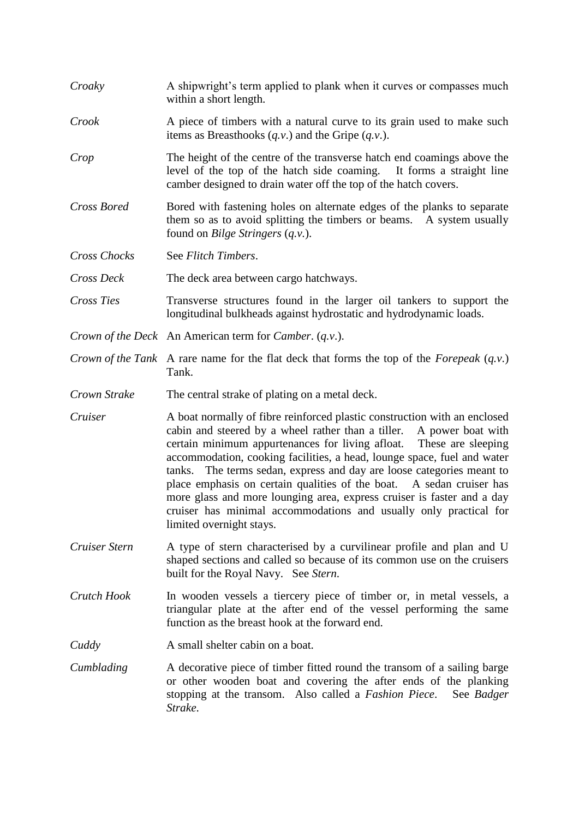| Croaky             | A shipwright's term applied to plank when it curves or compasses much<br>within a short length.                                                                                                                                                                                                                                                                                                                                                                                                                                                                                                                                       |
|--------------------|---------------------------------------------------------------------------------------------------------------------------------------------------------------------------------------------------------------------------------------------------------------------------------------------------------------------------------------------------------------------------------------------------------------------------------------------------------------------------------------------------------------------------------------------------------------------------------------------------------------------------------------|
| Crook              | A piece of timbers with a natural curve to its grain used to make such<br>items as Breasthooks $(q.v.)$ and the Gripe $(q.v.)$ .                                                                                                                                                                                                                                                                                                                                                                                                                                                                                                      |
| Crop               | The height of the centre of the transverse hatch end coamings above the<br>level of the top of the hatch side coaming. It forms a straight line<br>camber designed to drain water off the top of the hatch covers.                                                                                                                                                                                                                                                                                                                                                                                                                    |
| Cross Bored        | Bored with fastening holes on alternate edges of the planks to separate<br>them so as to avoid splitting the timbers or beams. A system usually<br>found on <i>Bilge Stringers</i> $(q.v.)$ .                                                                                                                                                                                                                                                                                                                                                                                                                                         |
| Cross Chocks       | See Flitch Timbers.                                                                                                                                                                                                                                                                                                                                                                                                                                                                                                                                                                                                                   |
| Cross Deck         | The deck area between cargo hatchways.                                                                                                                                                                                                                                                                                                                                                                                                                                                                                                                                                                                                |
| Cross Ties         | Transverse structures found in the larger oil tankers to support the<br>longitudinal bulkheads against hydrostatic and hydrodynamic loads.                                                                                                                                                                                                                                                                                                                                                                                                                                                                                            |
|                    | Crown of the Deck An American term for Camber. (q.v.).                                                                                                                                                                                                                                                                                                                                                                                                                                                                                                                                                                                |
|                    | <i>Crown of the Tank</i> A rare name for the flat deck that forms the top of the <i>Forepeak</i> $(q, v)$ .<br>Tank.                                                                                                                                                                                                                                                                                                                                                                                                                                                                                                                  |
| Crown Strake       | The central strake of plating on a metal deck.                                                                                                                                                                                                                                                                                                                                                                                                                                                                                                                                                                                        |
| Cruiser            | A boat normally of fibre reinforced plastic construction with an enclosed<br>cabin and steered by a wheel rather than a tiller.<br>A power boat with<br>certain minimum appurtenances for living afloat.<br>These are sleeping<br>accommodation, cooking facilities, a head, lounge space, fuel and water<br>tanks. The terms sedan, express and day are loose categories meant to<br>place emphasis on certain qualities of the boat. A sedan cruiser has<br>more glass and more lounging area, express cruiser is faster and a day<br>cruiser has minimal accommodations and usually only practical for<br>limited overnight stays. |
| Cruiser Stern      | A type of stern characterised by a curvilinear profile and plan and U<br>shaped sections and called so because of its common use on the cruisers<br>built for the Royal Navy. See Stern.                                                                                                                                                                                                                                                                                                                                                                                                                                              |
| <b>Crutch Hook</b> | In wooden vessels a tiercery piece of timber or, in metal vessels, a<br>triangular plate at the after end of the vessel performing the same<br>function as the breast hook at the forward end.                                                                                                                                                                                                                                                                                                                                                                                                                                        |
| Cuddy              | A small shelter cabin on a boat.                                                                                                                                                                                                                                                                                                                                                                                                                                                                                                                                                                                                      |
| Cumblading         | A decorative piece of timber fitted round the transom of a sailing barge<br>or other wooden boat and covering the after ends of the planking<br>stopping at the transom. Also called a Fashion Piece.<br>See Badger<br>Strake.                                                                                                                                                                                                                                                                                                                                                                                                        |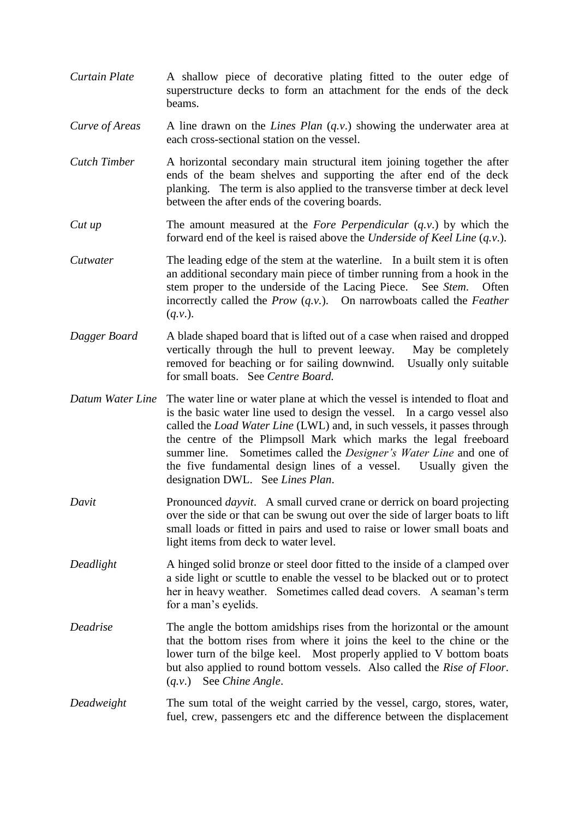- *Curtain Plate* A shallow piece of decorative plating fitted to the outer edge of superstructure decks to form an attachment for the ends of the deck beams.
- *Curve of Areas* A line drawn on the *Lines Plan* (*q.v.*) showing the underwater area at each cross-sectional station on the vessel.
- *Cutch Timber* A horizontal secondary main structural item joining together the after ends of the beam shelves and supporting the after end of the deck planking. The term is also applied to the transverse timber at deck level between the after ends of the covering boards.
- *Cut up* The amount measured at the *Fore Perpendicular* (*q.v.*) by which the forward end of the keel is raised above the *Underside of Keel Line* (*q.v*.).
- *Cutwater* The leading edge of the stem at the waterline. In a built stem it is often an additional secondary main piece of timber running from a hook in the stem proper to the underside of the Lacing Piece. See *Stem*. Often incorrectly called the *Prow* (*q.v.*). On narrowboats called the *Feather* (*q.v*.).
- *Dagger Board* A blade shaped board that is lifted out of a case when raised and dropped vertically through the hull to prevent leeway. May be completely removed for beaching or for sailing downwind. Usually only suitable for small boats. See *Centre Board.*
- *Datum Water Line* The water line or water plane at which the vessel is intended to float and is the basic water line used to design the vessel. In a cargo vessel also called the *Load Water Line* (LWL) and, in such vessels, it passes through the centre of the Plimpsoll Mark which marks the legal freeboard summer line. Sometimes called the *Designer's Water Line* and one of the five fundamental design lines of a vessel. Usually given the designation DWL. See *Lines Plan*.
- *Davit* Pronounced *dayvit*. A small curved crane or derrick on board projecting over the side or that can be swung out over the side of larger boats to lift small loads or fitted in pairs and used to raise or lower small boats and light items from deck to water level.
- *Deadlight* A hinged solid bronze or steel door fitted to the inside of a clamped over a side light or scuttle to enable the vessel to be blacked out or to protect her in heavy weather. Sometimes called dead covers. A seaman's term for a man's eyelids.
- *Deadrise* The angle the bottom amidships rises from the horizontal or the amount that the bottom rises from where it joins the keel to the chine or the lower turn of the bilge keel. Most properly applied to V bottom boats but also applied to round bottom vessels. Also called the *Rise of Floor*. (*q.v*.) See *Chine Angle*.
- *Deadweight* The sum total of the weight carried by the vessel, cargo, stores, water, fuel, crew, passengers etc and the difference between the displacement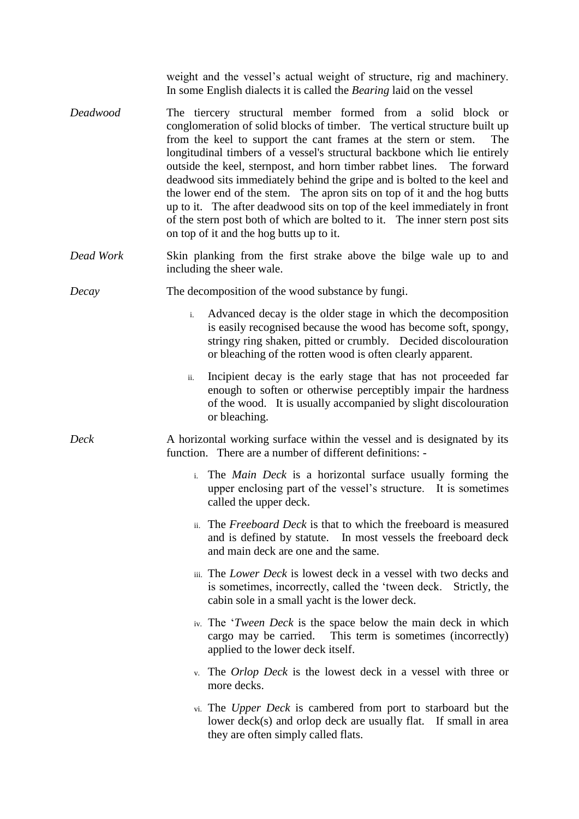weight and the vessel's actual weight of structure, rig and machinery. In some English dialects it is called the *Bearing* laid on the vessel

- *Deadwood* The tiercery structural member formed from a solid block or conglomeration of solid blocks of timber. The vertical structure built up from the keel to support the cant frames at the stern or stem. The longitudinal timbers of a vessel's structural backbone which lie entirely outside the keel, sternpost, and horn timber rabbet lines. The forward deadwood sits immediately behind the gripe and is bolted to the keel and the lower end of the stem. The apron sits on top of it and the hog butts up to it. The after deadwood sits on top of the keel immediately in front of the stern post both of which are bolted to it. The inner stern post sits on top of it and the hog butts up to it.
- *Dead Work* Skin planking from the first strake above the bilge wale up to and including the sheer wale.
- *Decay* The decomposition of the wood substance by fungi.
	- i. Advanced decay is the older stage in which the decomposition is easily recognised because the wood has become soft, spongy, stringy ring shaken, pitted or crumbly. Decided discolouration or bleaching of the rotten wood is often clearly apparent.
	- ii. Incipient decay is the early stage that has not proceeded far enough to soften or otherwise perceptibly impair the hardness of the wood. It is usually accompanied by slight discolouration or bleaching.
- *Deck* A horizontal working surface within the vessel and is designated by its function. There are a number of different definitions:
	- i. The *Main Deck* is a horizontal surface usually forming the upper enclosing part of the vessel's structure. It is sometimes called the upper deck.
	- ii. The *Freeboard Deck* is that to which the freeboard is measured and is defined by statute. In most vessels the freeboard deck and main deck are one and the same.
	- iii. The *Lower Deck* is lowest deck in a vessel with two decks and is sometimes, incorrectly, called the 'tween deck. Strictly, the cabin sole in a small yacht is the lower deck.
	- iv. The '*Tween Deck* is the space below the main deck in which cargo may be carried. This term is sometimes (incorrectly) applied to the lower deck itself.
	- v. The *Orlop Deck* is the lowest deck in a vessel with three or more decks.
	- vi. The *Upper Deck* is cambered from port to starboard but the lower deck(s) and orlop deck are usually flat. If small in area they are often simply called flats.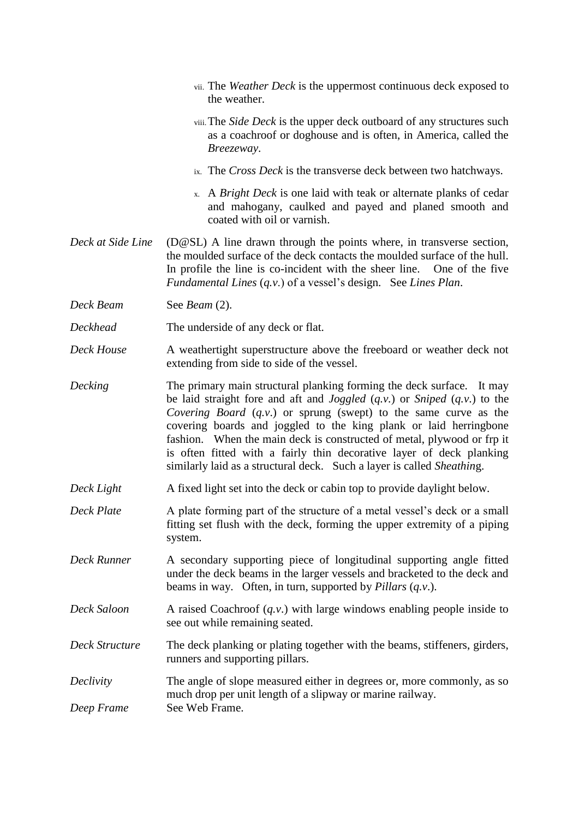- vii. The *Weather Deck* is the uppermost continuous deck exposed to the weather.
- viii.The *Side Deck* is the upper deck outboard of any structures such as a coachroof or doghouse and is often, in America, called the *Breezeway*.
- ix. The *Cross Deck* is the transverse deck between two hatchways.
- x. A *Bright Deck* is one laid with teak or alternate planks of cedar and mahogany, caulked and payed and planed smooth and coated with oil or varnish.
- *Deck at Side Line* (D@SL) A line drawn through the points where, in transverse section, the moulded surface of the deck contacts the moulded surface of the hull. In profile the line is co-incident with the sheer line. One of the five *Fundamental Lines* (*q.v*.) of a vessel's design. See *Lines Plan*.
- *Deck Beam* See *Beam* (2).
- *Deckhead* The underside of any deck or flat.
- *Deck House* A weathertight superstructure above the freeboard or weather deck not extending from side to side of the vessel.
- *Decking* The primary main structural planking forming the deck surface. It may be laid straight fore and aft and *Joggled* (*q.v.*) or *Sniped* (*q.v*.) to the *Covering Board* (*q.v*.) or sprung (swept) to the same curve as the covering boards and joggled to the king plank or laid herringbone fashion. When the main deck is constructed of metal, plywood or frp it is often fitted with a fairly thin decorative layer of deck planking similarly laid as a structural deck. Such a layer is called *Sheathin*g.
- *Deck Light* A fixed light set into the deck or cabin top to provide daylight below.
- *Deck Plate* A plate forming part of the structure of a metal vessel's deck or a small fitting set flush with the deck, forming the upper extremity of a piping system.
- *Deck Runner* A secondary supporting piece of longitudinal supporting angle fitted under the deck beams in the larger vessels and bracketed to the deck and beams in way. Often, in turn, supported by *Pillars* (*q.v*.).
- *Deck Saloon* A raised Coachroof (*q.v.*) with large windows enabling people inside to see out while remaining seated.
- *Deck Structure* The deck planking or plating together with the beams, stiffeners, girders, runners and supporting pillars.
- *Declivity* The angle of slope measured either in degrees or, more commonly, as so much drop per unit length of a slipway or marine railway. *Deep Frame* See Web Frame.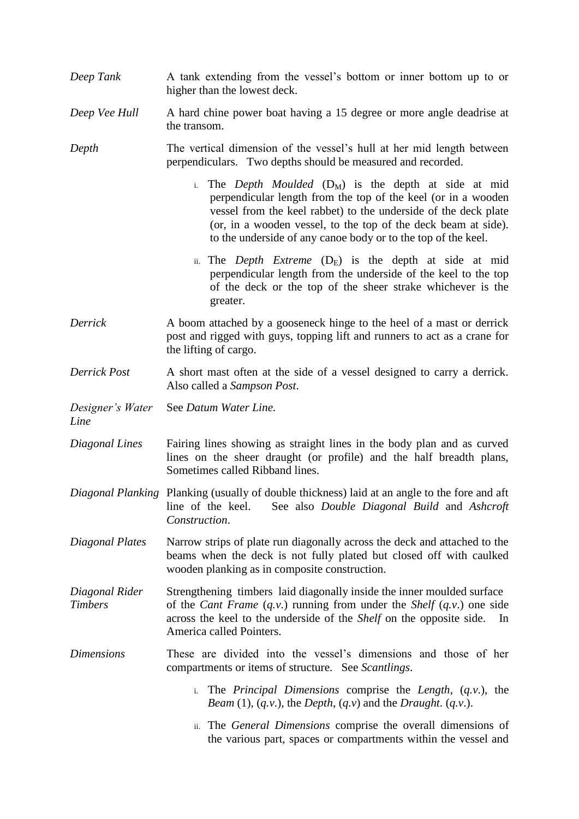- *Deep Tank* A tank extending from the vessel's bottom or inner bottom up to or higher than the lowest deck.
- *Deep Vee Hull* A hard chine power boat having a 15 degree or more angle deadrise at the transom.

*Depth* The vertical dimension of the vessel's hull at her mid length between perpendiculars. Two depths should be measured and recorded.

- i. The *Depth Moulded*  $(D_M)$  is the depth at side at mid perpendicular length from the top of the keel (or in a wooden vessel from the keel rabbet) to the underside of the deck plate (or, in a wooden vessel, to the top of the deck beam at side). to the underside of any canoe body or to the top of the keel.
- ii. The *Depth Extreme*  $(D_E)$  is the depth at side at mid perpendicular length from the underside of the keel to the top of the deck or the top of the sheer strake whichever is the greater.
- *Derrick* A boom attached by a gooseneck hinge to the heel of a mast or derrick post and rigged with guys, topping lift and runners to act as a crane for the lifting of cargo.
- *Derrick Post* A short mast often at the side of a vessel designed to carry a derrick. Also called a *Sampson Post*.
- *Designer's Water* See *Datum Water Line.*

*Line*

- *Diagonal Lines* Fairing lines showing as straight lines in the body plan and as curved lines on the sheer draught (or profile) and the half breadth plans, Sometimes called Ribband lines.
- *Diagonal Planking* Planking (usually of double thickness) laid at an angle to the fore and aft line of the keel. See also *Double Diagonal Build* and *Ashcroft Construction*.
- *Diagonal Plates* Narrow strips of plate run diagonally across the deck and attached to the beams when the deck is not fully plated but closed off with caulked wooden planking as in composite construction.
- *Diagonal Rider* Strengthening timbers laid diagonally inside the inner moulded surface *Timbers* of the *Cant Frame (q.v.)* running from under the *Shelf (q.v.)* one side across the keel to the underside of the *Shelf* on the opposite side. In America called Pointers.

*Dimensions* These are divided into the vessel's dimensions and those of her compartments or items of structure. See *Scantlings*.

- i. The *Principal Dimensions* comprise the *Length*, (*q.v*.), the *Beam* (1), (*q.v*.), the *Depth*, (*q.v*) and the *Draught*. (*q.v*.).
- ii. The *General Dimensions* comprise the overall dimensions of the various part, spaces or compartments within the vessel and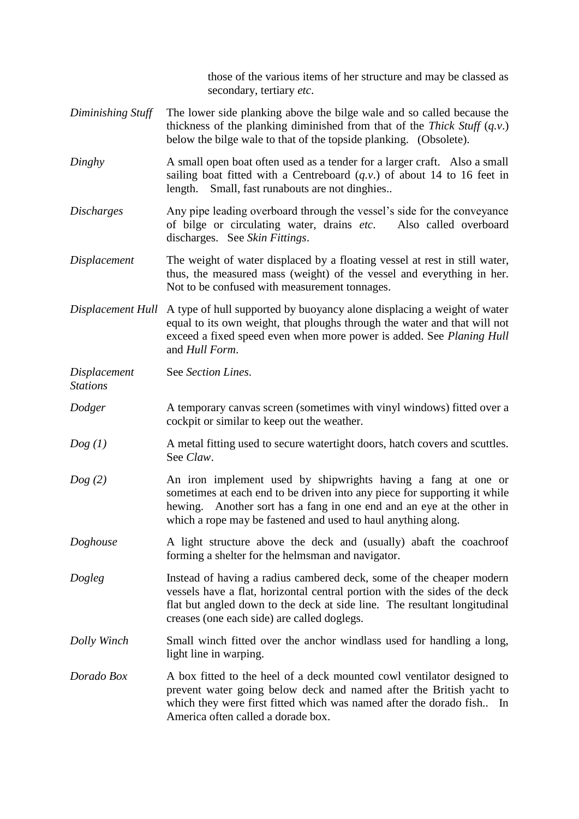those of the various items of her structure and may be classed as secondary, tertiary *etc*.

- *Diminishing Stuff* The lower side planking above the bilge wale and so called because the thickness of the planking diminished from that of the *Thick Stuff* (*q.v*.) below the bilge wale to that of the topside planking. (Obsolete).
- *Dinghy* A small open boat often used as a tender for a larger craft. Also a small sailing boat fitted with a Centreboard (*q.v*.) of about 14 to 16 feet in length. Small, fast runabouts are not dinghies..
- *Discharges* Any pipe leading overboard through the vessel's side for the conveyance of bilge or circulating water, drains *etc*. Also called overboard discharges. See *Skin Fittings*.
- *Displacement* The weight of water displaced by a floating vessel at rest in still water, thus, the measured mass (weight) of the vessel and everything in her. Not to be confused with measurement tonnages.
- *Displacement Hull* A type of hull supported by buoyancy alone displacing a weight of water equal to its own weight, that ploughs through the water and that will not exceed a fixed speed even when more power is added. See *Planing Hull* and *Hull Form*.

*Displacement* See *Section Lines*.

*Stations*

- *Dodger* A temporary canvas screen (sometimes with vinyl windows) fitted over a cockpit or similar to keep out the weather.
- *Dog (1)* A metal fitting used to secure watertight doors, hatch covers and scuttles. See *Claw*.
- *Dog (2)* An iron implement used by shipwrights having a fang at one or sometimes at each end to be driven into any piece for supporting it while hewing. Another sort has a fang in one end and an eye at the other in which a rope may be fastened and used to haul anything along.
- *Doghouse* A light structure above the deck and (usually) abaft the coachroof forming a shelter for the helmsman and navigator.
- *Dogleg* Instead of having a radius cambered deck, some of the cheaper modern vessels have a flat, horizontal central portion with the sides of the deck flat but angled down to the deck at side line. The resultant longitudinal creases (one each side) are called doglegs.
- *Dolly Winch* Small winch fitted over the anchor windlass used for handling a long, light line in warping.
- *Dorado Box* A box fitted to the heel of a deck mounted cowl ventilator designed to prevent water going below deck and named after the British yacht to which they were first fitted which was named after the dorado fish.. In America often called a dorade box.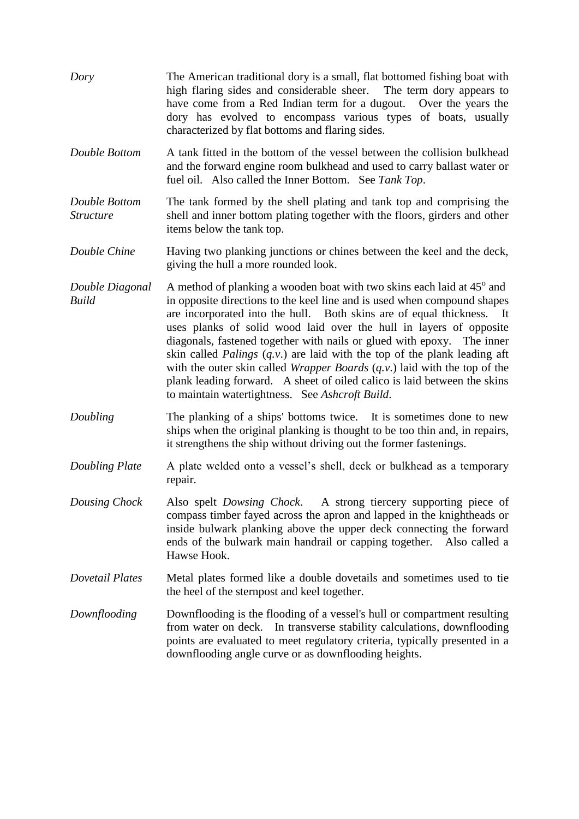- *Dory* The American traditional dory is a small, flat bottomed fishing boat with high flaring sides and considerable sheer. The term dory appears to have come from a Red Indian term for a dugout. Over the years the dory has evolved to encompass various types of boats, usually characterized by flat bottoms and flaring sides.
- *Double Bottom* A tank fitted in the bottom of the vessel between the collision bulkhead and the forward engine room bulkhead and used to carry ballast water or fuel oil. Also called the Inner Bottom. See *Tank Top*.
- *Double Bottom* The tank formed by the shell plating and tank top and comprising the *Structure* shell and inner bottom plating together with the floors, girders and other items below the tank top.

*Double Chine* Having two planking junctions or chines between the keel and the deck, giving the hull a more rounded look.

- *Double Diagonal* A method of planking a wooden boat with two skins each laid at 45<sup>°</sup> and *Build* in opposite directions to the keel line and is used when compound shapes are incorporated into the hull. Both skins are of equal thickness. It uses planks of solid wood laid over the hull in layers of opposite diagonals, fastened together with nails or glued with epoxy. The inner skin called *Palings* (*q.v*.) are laid with the top of the plank leading aft with the outer skin called *Wrapper Boards* (*q.v*.) laid with the top of the plank leading forward. A sheet of oiled calico is laid between the skins to maintain watertightness. See *Ashcroft Build*.
- *Doubling* The planking of a ships' bottoms twice. It is sometimes done to new ships when the original planking is thought to be too thin and, in repairs, it strengthens the ship without driving out the former fastenings.
- *Doubling Plate* A plate welded onto a vessel's shell, deck or bulkhead as a temporary repair.
- *Dousing Chock* Also spelt *Dowsing Chock*. A strong tiercery supporting piece of compass timber fayed across the apron and lapped in the knightheads or inside bulwark planking above the upper deck connecting the forward ends of the bulwark main handrail or capping together. Also called a Hawse Hook.
- *Dovetail Plates* Metal plates formed like a double dovetails and sometimes used to tie the heel of the sternpost and keel together.
- *Downflooding* Downflooding is the flooding of a vessel's hull or compartment resulting from water on deck. In transverse stability calculations, downflooding points are evaluated to meet regulatory criteria, typically presented in a downflooding angle curve or as downflooding heights.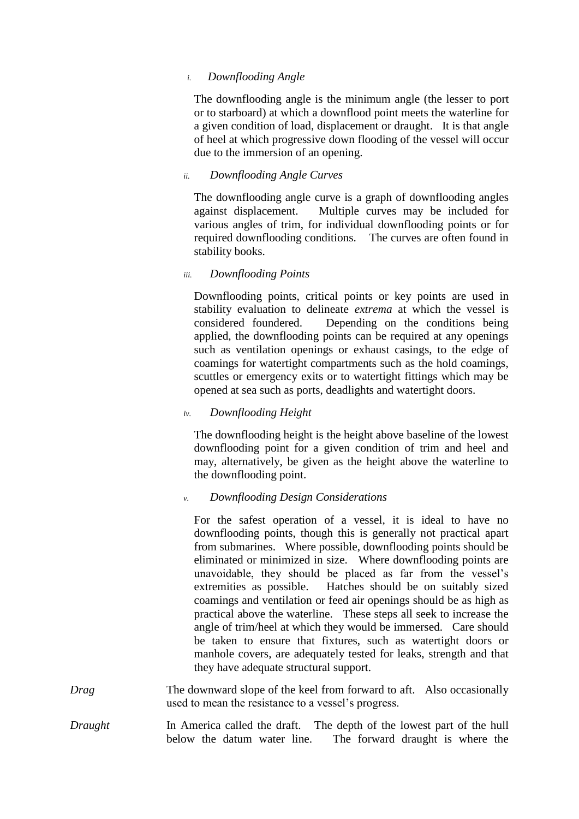### *i. Downflooding Angle*

The downflooding angle is the minimum angle (the lesser to port or to starboard) at which a downflood point meets the waterline for a given condition of load, displacement or draught. It is that angle of heel at which progressive down flooding of the vessel will occur due to the immersion of an opening.

## *ii. Downflooding Angle Curves*

The downflooding angle curve is a graph of downflooding angles against displacement. Multiple curves may be included for various angles of trim, for individual downflooding points or for required downflooding conditions. The curves are often found in stability books.

*iii. Downflooding Points*

Downflooding points, critical points or key points are used in stability evaluation to delineate *extrema* at which the vessel is considered foundered. Depending on the conditions being applied, the downflooding points can be required at any openings such as ventilation openings or exhaust casings, to the edge of coamings for watertight compartments such as the hold coamings, scuttles or emergency exits or to watertight fittings which may be opened at sea such as ports, deadlights and watertight doors.

### *iv. Downflooding Height*

The downflooding height is the height above baseline of the lowest downflooding point for a given condition of trim and heel and may, alternatively, be given as the height above the waterline to the downflooding point.

## *v. Downflooding Design Considerations*

For the safest operation of a vessel, it is ideal to have no downflooding points, though this is generally not practical apart from submarines. Where possible, downflooding points should be eliminated or minimized in size. Where downflooding points are unavoidable, they should be placed as far from the vessel's extremities as possible. Hatches should be on suitably sized coamings and ventilation or feed air openings should be as high as practical above the waterline. These steps all seek to increase the angle of trim/heel at which they would be immersed. Care should be taken to ensure that fixtures, such as watertight doors or manhole covers, are adequately tested for leaks, strength and that they have adequate structural support.

- *Drag* The downward slope of the keel from forward to aft. Also occasionally used to mean the resistance to a vessel's progress.
- *Draught* In America called the draft. The depth of the lowest part of the hull below the datum water line. The forward draught is where the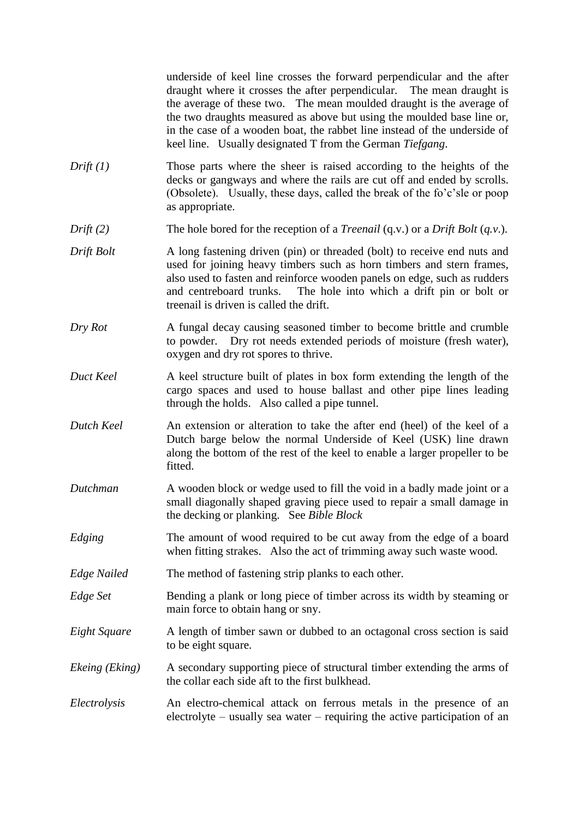underside of keel line crosses the forward perpendicular and the after draught where it crosses the after perpendicular. The mean draught is the average of these two. The mean moulded draught is the average of the two draughts measured as above but using the moulded base line or, in the case of a wooden boat, the rabbet line instead of the underside of keel line. Usually designated T from the German *Tiefgang*.

- *Drift (1)* Those parts where the sheer is raised according to the heights of the decks or gangways and where the rails are cut off and ended by scrolls. (Obsolete). Usually, these days, called the break of the fo'c'sle or poop as appropriate.
- *Drift* (2) The hole bored for the reception of a *Treenail* (q.v.) or a *Drift Bolt* (*a.v.*).
- *Drift Bolt* A long fastening driven (pin) or threaded (bolt) to receive end nuts and used for joining heavy timbers such as horn timbers and stern frames, also used to fasten and reinforce wooden panels on edge, such as rudders and centreboard trunks. The hole into which a drift pin or bolt or treenail is driven is called the drift.
- *Dry Rot* A fungal decay causing seasoned timber to become brittle and crumble to powder. Dry rot needs extended periods of moisture (fresh water), oxygen and dry rot spores to thrive.
- *Duct Keel* A keel structure built of plates in box form extending the length of the cargo spaces and used to house ballast and other pipe lines leading through the holds. Also called a pipe tunnel.
- *Dutch Keel* An extension or alteration to take the after end (heel) of the keel of a Dutch barge below the normal Underside of Keel (USK) line drawn along the bottom of the rest of the keel to enable a larger propeller to be fitted.
- *Dutchman* A wooden block or wedge used to fill the void in a badly made joint or a small diagonally shaped graving piece used to repair a small damage in the decking or planking. See *Bible Block*
- *Edging* The amount of wood required to be cut away from the edge of a board when fitting strakes. Also the act of trimming away such waste wood.
- *Edge Nailed* The method of fastening strip planks to each other.
- *Edge Set* Bending a plank or long piece of timber across its width by steaming or main force to obtain hang or sny.
- *Eight Square* A length of timber sawn or dubbed to an octagonal cross section is said to be eight square.
- *Ekeing (Eking)* A secondary supporting piece of structural timber extending the arms of the collar each side aft to the first bulkhead.
- *Electrolysis* An electro-chemical attack on ferrous metals in the presence of an electrolyte – usually sea water – requiring the active participation of an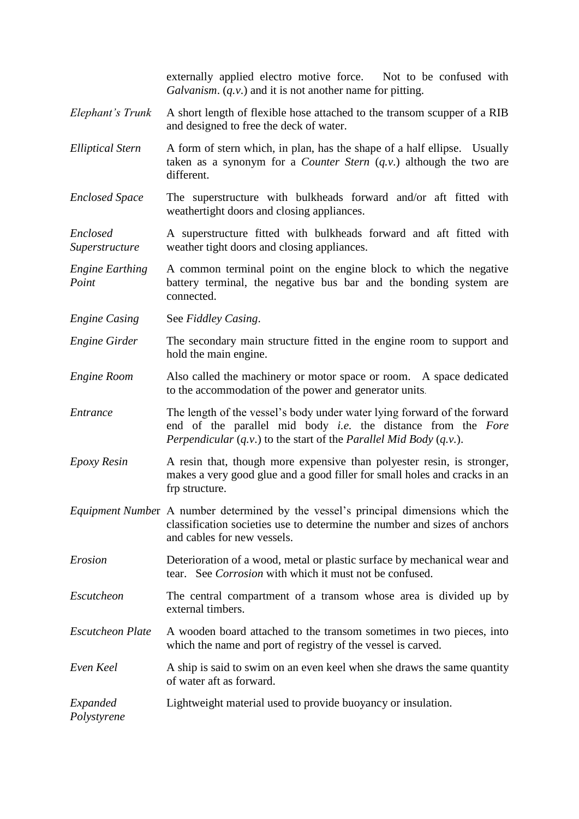externally applied electro motive force. Not to be confused with *Galvanism*. (*q.v*.) and it is not another name for pitting.

- *Elephant's Trunk* A short length of flexible hose attached to the transom scupper of a RIB and designed to free the deck of water.
- *Elliptical Stern* A form of stern which, in plan, has the shape of a half ellipse. Usually taken as a synonym for a *Counter Stern* (*q.v*.) although the two are different.
- *Enclosed Space* The superstructure with bulkheads forward and/or aft fitted with weathertight doors and closing appliances.

*Enclosed* A superstructure fitted with bulkheads forward and aft fitted with *Superstructure* weather tight doors and closing appliances.

*Engine Earthing* A common terminal point on the engine block to which the negative *Point* **battery** terminal, the negative bus bar and the bonding system are connected.

*Engine Casing* See *Fiddley Casing*.

- *Engine Girder* The secondary main structure fitted in the engine room to support and hold the main engine.
- *Engine Room* Also called the machinery or motor space or room. A space dedicated to the accommodation of the power and generator units.
- *Entrance* The length of the vessel's body under water lying forward of the forward end of the parallel mid body *i.e.* the distance from the *Fore Perpendicular* (*q.v*.) to the start of the *Parallel Mid Body* (*q.v.*).
- *Epoxy Resin* A resin that, though more expensive than polyester resin, is stronger, makes a very good glue and a good filler for small holes and cracks in an frp structure.
- *Equipment Numbe*r A number determined by the vessel's principal dimensions which the classification societies use to determine the number and sizes of anchors and cables for new vessels.
- *Erosion* Deterioration of a wood, metal or plastic surface by mechanical wear and tear. See *Corrosion* with which it must not be confused.
- *Escutcheon* The central compartment of a transom whose area is divided up by external timbers.
- *Escutcheon Plate* A wooden board attached to the transom sometimes in two pieces, into which the name and port of registry of the vessel is carved.
- *Even Keel* A ship is said to swim on an even keel when she draws the same quantity of water aft as forward.

*Expanded* Lightweight material used to provide buoyancy or insulation.

*Polystyrene*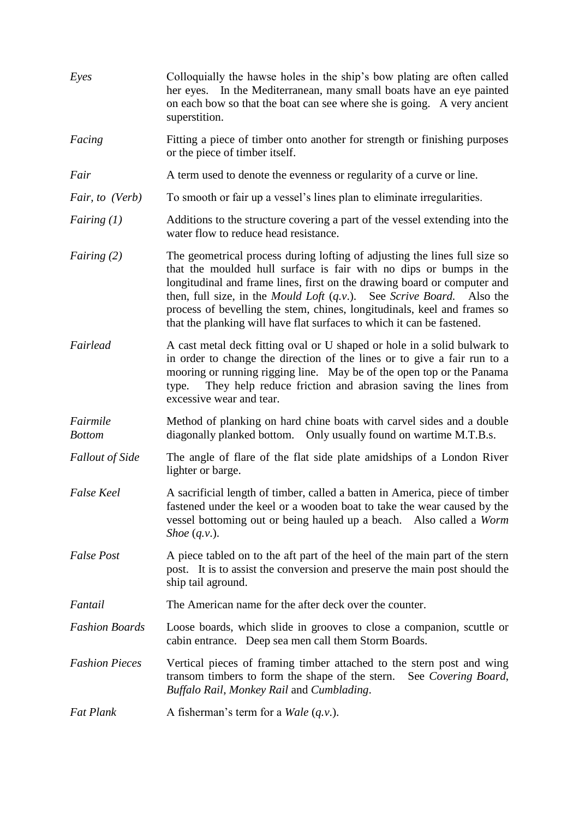| Eyes                      | Colloquially the hawse holes in the ship's bow plating are often called<br>her eyes. In the Mediterranean, many small boats have an eye painted<br>on each bow so that the boat can see where she is going. A very ancient<br>superstition.                                                                                                                                                                                                                                   |
|---------------------------|-------------------------------------------------------------------------------------------------------------------------------------------------------------------------------------------------------------------------------------------------------------------------------------------------------------------------------------------------------------------------------------------------------------------------------------------------------------------------------|
| Facing                    | Fitting a piece of timber onto another for strength or finishing purposes<br>or the piece of timber itself.                                                                                                                                                                                                                                                                                                                                                                   |
| Fair                      | A term used to denote the evenness or regularity of a curve or line.                                                                                                                                                                                                                                                                                                                                                                                                          |
| Fair, to (Verb)           | To smooth or fair up a vessel's lines plan to eliminate irregularities.                                                                                                                                                                                                                                                                                                                                                                                                       |
| Fairing $(1)$             | Additions to the structure covering a part of the vessel extending into the<br>water flow to reduce head resistance.                                                                                                                                                                                                                                                                                                                                                          |
| <i>Fairing</i> $(2)$      | The geometrical process during lofting of adjusting the lines full size so<br>that the moulded hull surface is fair with no dips or bumps in the<br>longitudinal and frame lines, first on the drawing board or computer and<br>then, full size, in the <i>Mould Loft</i> $(q.v.)$ . See <i>Scrive Board</i> . Also the<br>process of bevelling the stem, chines, longitudinals, keel and frames so<br>that the planking will have flat surfaces to which it can be fastened. |
| Fairlead                  | A cast metal deck fitting oval or U shaped or hole in a solid bulwark to<br>in order to change the direction of the lines or to give a fair run to a<br>mooring or running rigging line. May be of the open top or the Panama<br>They help reduce friction and abrasion saving the lines from<br>type.<br>excessive wear and tear.                                                                                                                                            |
| Fairmile<br><b>Bottom</b> | Method of planking on hard chine boats with carvel sides and a double<br>diagonally planked bottom. Only usually found on wartime M.T.B.s.                                                                                                                                                                                                                                                                                                                                    |
| <b>Fallout of Side</b>    | The angle of flare of the flat side plate amidships of a London River<br>lighter or barge.                                                                                                                                                                                                                                                                                                                                                                                    |
| <b>False Keel</b>         | A sacrificial length of timber, called a batten in America, piece of timber<br>fastened under the keel or a wooden boat to take the wear caused by the<br>vessel bottoming out or being hauled up a beach. Also called a Worm<br>Shoe $(q.v.)$ .                                                                                                                                                                                                                              |
| <b>False Post</b>         | A piece tabled on to the aft part of the heel of the main part of the stern<br>post. It is to assist the conversion and preserve the main post should the<br>ship tail aground.                                                                                                                                                                                                                                                                                               |
| Fantail                   | The American name for the after deck over the counter.                                                                                                                                                                                                                                                                                                                                                                                                                        |
| <b>Fashion Boards</b>     | Loose boards, which slide in grooves to close a companion, scuttle or<br>cabin entrance. Deep sea men call them Storm Boards.                                                                                                                                                                                                                                                                                                                                                 |
| <b>Fashion Pieces</b>     | Vertical pieces of framing timber attached to the stern post and wing<br>transom timbers to form the shape of the stern. See Covering Board,<br>Buffalo Rail, Monkey Rail and Cumblading.                                                                                                                                                                                                                                                                                     |
| <b>Fat Plank</b>          | A fisherman's term for a <i>Wale</i> $(q.v.)$ .                                                                                                                                                                                                                                                                                                                                                                                                                               |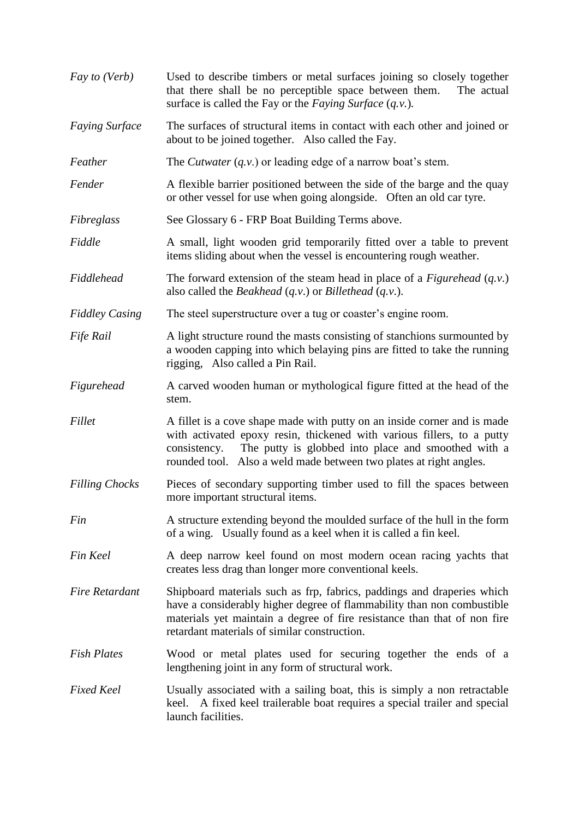| Fay to (Verb)         | Used to describe timbers or metal surfaces joining so closely together<br>that there shall be no perceptible space between them.<br>The actual<br>surface is called the Fay or the Faying Surface $(q, v)$ .                                                                                    |
|-----------------------|-------------------------------------------------------------------------------------------------------------------------------------------------------------------------------------------------------------------------------------------------------------------------------------------------|
| <b>Faying Surface</b> | The surfaces of structural items in contact with each other and joined or<br>about to be joined together. Also called the Fay.                                                                                                                                                                  |
| Feather               | The <i>Cutwater</i> $(q, v)$ or leading edge of a narrow boat's stem.                                                                                                                                                                                                                           |
| Fender                | A flexible barrier positioned between the side of the barge and the quay<br>or other vessel for use when going alongside. Often an old car tyre.                                                                                                                                                |
| Fibreglass            | See Glossary 6 - FRP Boat Building Terms above.                                                                                                                                                                                                                                                 |
| Fiddle                | A small, light wooden grid temporarily fitted over a table to prevent<br>items sliding about when the vessel is encountering rough weather.                                                                                                                                                     |
| Fiddlehead            | The forward extension of the steam head in place of a Figurehead $(q.v.)$<br>also called the <i>Beakhead</i> $(q.v.)$ or <i>Billethead</i> $(q.v.)$ .                                                                                                                                           |
| <b>Fiddley Casing</b> | The steel superstructure over a tug or coaster's engine room.                                                                                                                                                                                                                                   |
| Fife Rail             | A light structure round the masts consisting of stanchions surmounted by<br>a wooden capping into which belaying pins are fitted to take the running<br>rigging, Also called a Pin Rail.                                                                                                        |
| Figurehead            | A carved wooden human or mythological figure fitted at the head of the<br>stem.                                                                                                                                                                                                                 |
| Fillet                | A fillet is a cove shape made with putty on an inside corner and is made<br>with activated epoxy resin, thickened with various fillers, to a putty<br>The putty is globbed into place and smoothed with a<br>consistency.<br>rounded tool. Also a weld made between two plates at right angles. |
| <b>Filling Chocks</b> | Pieces of secondary supporting timber used to fill the spaces between<br>more important structural items.                                                                                                                                                                                       |
| Fin                   | A structure extending beyond the moulded surface of the hull in the form<br>of a wing. Usually found as a keel when it is called a fin keel.                                                                                                                                                    |
| Fin Keel              | A deep narrow keel found on most modern ocean racing yachts that<br>creates less drag than longer more conventional keels.                                                                                                                                                                      |
| <b>Fire Retardant</b> | Shipboard materials such as frp, fabrics, paddings and draperies which<br>have a considerably higher degree of flammability than non combustible<br>materials yet maintain a degree of fire resistance than that of non fire<br>retardant materials of similar construction.                    |
| <b>Fish Plates</b>    | Wood or metal plates used for securing together the ends of a<br>lengthening joint in any form of structural work.                                                                                                                                                                              |
| <b>Fixed Keel</b>     | Usually associated with a sailing boat, this is simply a non retractable<br>keel. A fixed keel trailerable boat requires a special trailer and special<br>launch facilities.                                                                                                                    |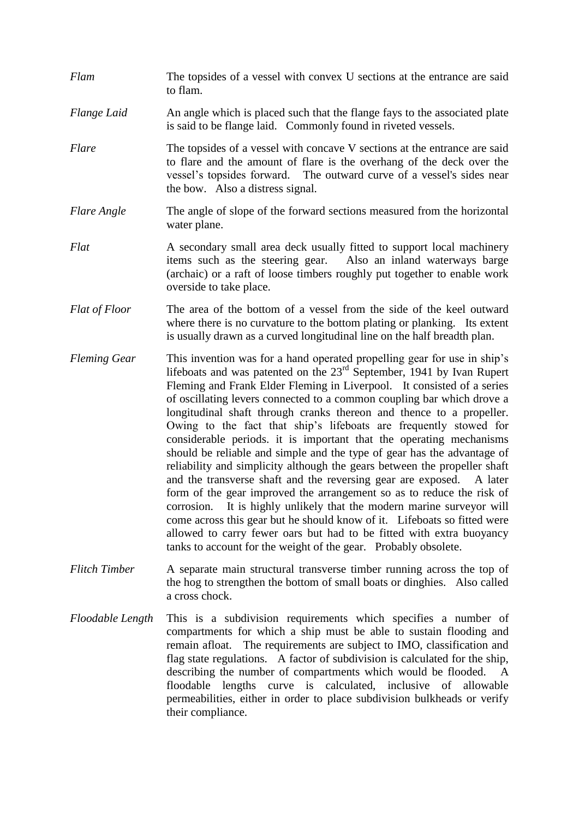- *Flam* The topsides of a vessel with convex U sections at the entrance are said to flam.
- *Flange Laid* An angle which is placed such that the flange fays to the associated plate is said to be flange laid. Commonly found in riveted vessels.
- *Flare* The topsides of a vessel with concave V sections at the entrance are said to flare and the amount of flare is the overhang of the deck over the vessel's topsides forward. The outward curve of a vessel's sides near the bow. Also a distress signal.
- *Flare Angle* The angle of slope of the forward sections measured from the horizontal water plane.
- *Flat* A secondary small area deck usually fitted to support local machinery items such as the steering gear. Also an inland waterways barge (archaic) or a raft of loose timbers roughly put together to enable work overside to take place.
- *Flat of Floor* The area of the bottom of a vessel from the side of the keel outward where there is no curvature to the bottom plating or planking. Its extent is usually drawn as a curved longitudinal line on the half breadth plan.
- *Fleming Gear* This invention was for a hand operated propelling gear for use in ship's lifeboats and was patented on the 23<sup>rd</sup> September, 1941 by Ivan Rupert Fleming and Frank Elder Fleming in Liverpool. It consisted of a series of oscillating levers connected to a common coupling bar which drove a longitudinal shaft through cranks thereon and thence to a propeller. Owing to the fact that ship's lifeboats are frequently stowed for considerable periods. it is important that the operating mechanisms should be reliable and simple and the type of gear has the advantage of reliability and simplicity although the gears between the propeller shaft and the transverse shaft and the reversing gear are exposed. A later form of the gear improved the arrangement so as to reduce the risk of corrosion. It is highly unlikely that the modern marine surveyor will come across this gear but he should know of it. Lifeboats so fitted were allowed to carry fewer oars but had to be fitted with extra buoyancy tanks to account for the weight of the gear. Probably obsolete.
- *Flitch Timber* A separate main structural transverse timber running across the top of the hog to strengthen the bottom of small boats or dinghies. Also called a cross chock.
- *Floodable Length* This is a subdivision requirements which specifies a number of compartments for which a ship must be able to sustain flooding and remain afloat. The requirements are subject to IMO, classification and flag state regulations. A factor of subdivision is calculated for the ship, describing the number of compartments which would be flooded. A floodable lengths curve is calculated, inclusive of allowable permeabilities, either in order to place subdivision bulkheads or verify their compliance.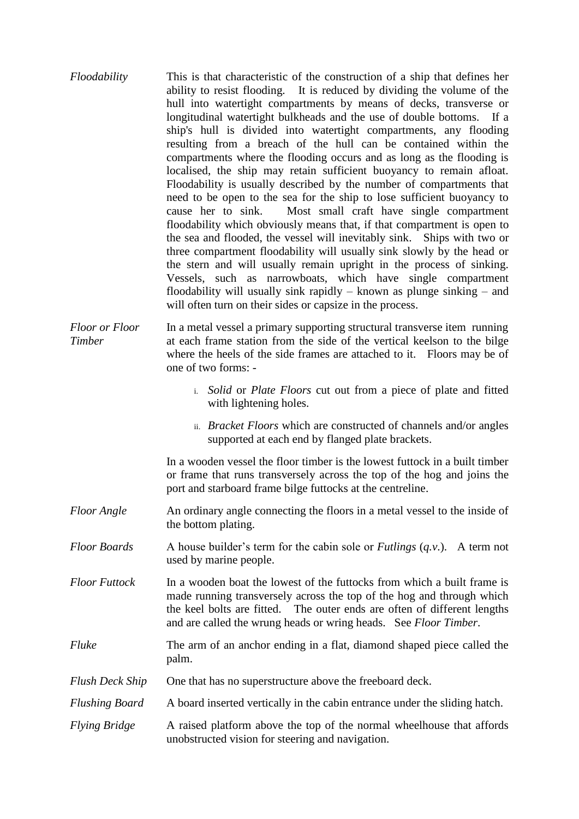- *Floodability* This is that characteristic of the construction of a ship that defines her ability to resist flooding. It is reduced by dividing the volume of the hull into watertight compartments by means of decks, transverse or longitudinal watertight bulkheads and the use of double bottoms. If a ship's hull is divided into watertight compartments, any flooding resulting from a breach of the hull can be contained within the compartments where the flooding occurs and as long as the flooding is localised, the ship may retain sufficient buoyancy to remain afloat. Floodability is usually described by the number of compartments that need to be open to the sea for the ship to lose sufficient buoyancy to cause her to sink. Most small craft have single compartment floodability which obviously means that, if that compartment is open to the sea and flooded, the vessel will inevitably sink. Ships with two or three compartment floodability will usually sink slowly by the head or the stern and will usually remain upright in the process of sinking. Vessels, such as narrowboats, which have single compartment floodability will usually sink rapidly – known as plunge sinking – and will often turn on their sides or capsize in the process.
- *Floor or Floor* In a metal vessel a primary supporting structural transverse item running *Timber* at each frame station from the side of the vertical keelson to the bilge where the heels of the side frames are attached to it. Floors may be of one of two forms:
	- i. *Solid* or *Plate Floors* cut out from a piece of plate and fitted with lightening holes.
	- ii. *Bracket Floors* which are constructed of channels and/or angles supported at each end by flanged plate brackets.

In a wooden vessel the floor timber is the lowest futtock in a built timber or frame that runs transversely across the top of the hog and joins the port and starboard frame bilge futtocks at the centreline.

- *Floor Angle* An ordinary angle connecting the floors in a metal vessel to the inside of the bottom plating.
- *Floor Boards* A house builder's term for the cabin sole or *Futlings* (*q.v*.). A term not used by marine people.
- *Floor Futtock* In a wooden boat the lowest of the futtocks from which a built frame is made running transversely across the top of the hog and through which the keel bolts are fitted. The outer ends are often of different lengths and are called the wrung heads or wring heads. See *Floor Timber*.
- *Fluke* The arm of an anchor ending in a flat, diamond shaped piece called the palm.
- *Flush Deck Ship* One that has no superstructure above the freeboard deck.
- *Flushing Board* A board inserted vertically in the cabin entrance under the sliding hatch.
- *Flying Bridge* A raised platform above the top of the normal wheelhouse that affords unobstructed vision for steering and navigation.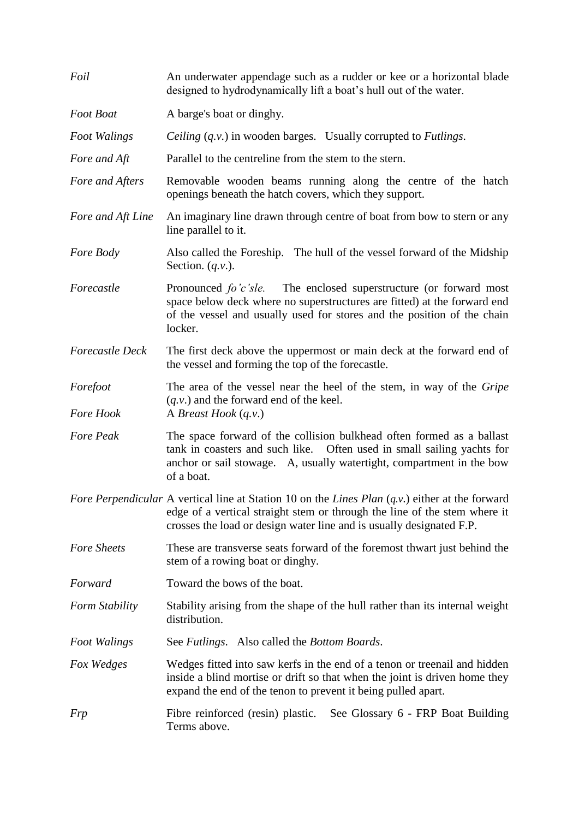| Foil                         | An underwater appendage such as a rudder or kee or a horizontal blade<br>designed to hydrodynamically lift a boat's hull out of the water.                                                                                                             |
|------------------------------|--------------------------------------------------------------------------------------------------------------------------------------------------------------------------------------------------------------------------------------------------------|
| Foot Boat                    | A barge's boat or dinghy.                                                                                                                                                                                                                              |
| <b>Foot Walings</b>          | <i>Ceiling</i> ( <i>q.v.</i> ) in wooden barges. Usually corrupted to <i>Futlings</i> .                                                                                                                                                                |
| Fore and Aft                 | Parallel to the centreline from the stem to the stern.                                                                                                                                                                                                 |
| Fore and Afters              | Removable wooden beams running along the centre of the hatch<br>openings beneath the hatch covers, which they support.                                                                                                                                 |
| Fore and Aft Line            | An imaginary line drawn through centre of boat from bow to stern or any<br>line parallel to it.                                                                                                                                                        |
| Fore Body                    | Also called the Foreship. The hull of the vessel forward of the Midship<br>Section. $(q.v.)$ .                                                                                                                                                         |
| Forecastle                   | Pronounced fo'c'sle. The enclosed superstructure (or forward most<br>space below deck where no superstructures are fitted) at the forward end<br>of the vessel and usually used for stores and the position of the chain<br>locker.                    |
| <b>Forecastle Deck</b>       | The first deck above the uppermost or main deck at the forward end of<br>the vessel and forming the top of the forecastle.                                                                                                                             |
| Forefoot<br><b>Fore Hook</b> | The area of the vessel near the heel of the stem, in way of the Gripe<br>$(q.v.)$ and the forward end of the keel.<br>A Breast Hook $(q.v.)$                                                                                                           |
| Fore Peak                    | The space forward of the collision bulkhead often formed as a ballast<br>tank in coasters and such like. Often used in small sailing yachts for<br>anchor or sail stowage. A, usually watertight, compartment in the bow<br>of a boat.                 |
|                              | Fore Perpendicular A vertical line at Station 10 on the Lines Plan $(q, v)$ either at the forward<br>edge of a vertical straight stem or through the line of the stem where it<br>crosses the load or design water line and is usually designated F.P. |
| <b>Fore Sheets</b>           | These are transverse seats forward of the foremost thwart just behind the<br>stem of a rowing boat or dinghy.                                                                                                                                          |
| Forward                      | Toward the bows of the boat.                                                                                                                                                                                                                           |
| Form Stability               | Stability arising from the shape of the hull rather than its internal weight<br>distribution.                                                                                                                                                          |
| <b>Foot Walings</b>          | See Futlings. Also called the Bottom Boards.                                                                                                                                                                                                           |
| Fox Wedges                   | Wedges fitted into saw kerfs in the end of a tenon or treenail and hidden<br>inside a blind mortise or drift so that when the joint is driven home they<br>expand the end of the tenon to prevent it being pulled apart.                               |
| <b>Frp</b>                   | Fibre reinforced (resin) plastic.<br>See Glossary 6 - FRP Boat Building<br>Terms above.                                                                                                                                                                |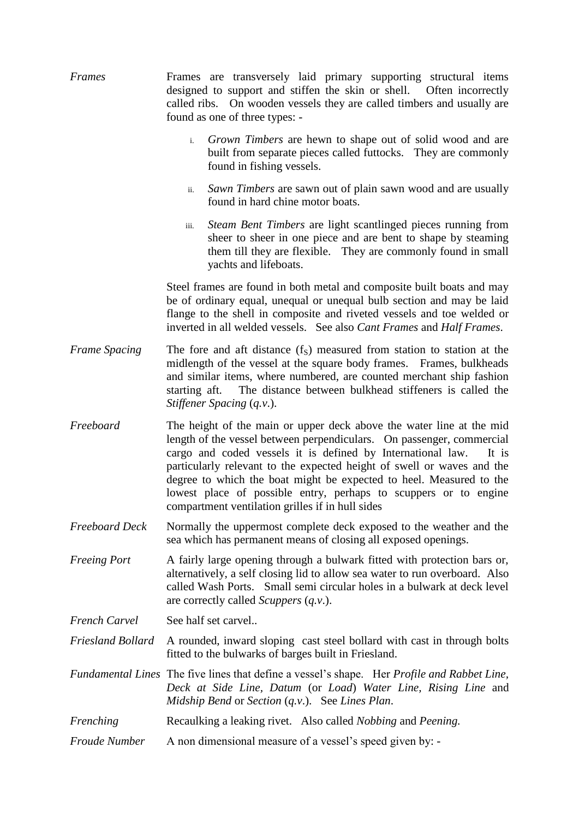| Frames                   | Frames are transversely laid primary supporting structural items<br>designed to support and stiffen the skin or shell. Often incorrectly<br>called ribs. On wooden vessels they are called timbers and usually are<br>found as one of three types: -                                                                                                                                                                                                                                           |
|--------------------------|------------------------------------------------------------------------------------------------------------------------------------------------------------------------------------------------------------------------------------------------------------------------------------------------------------------------------------------------------------------------------------------------------------------------------------------------------------------------------------------------|
|                          | <i>Grown Timbers</i> are hewn to shape out of solid wood and are<br>$i$ .<br>built from separate pieces called futtocks. They are commonly<br>found in fishing vessels.                                                                                                                                                                                                                                                                                                                        |
|                          | Sawn Timbers are sawn out of plain sawn wood and are usually<br>ii.<br>found in hard chine motor boats.                                                                                                                                                                                                                                                                                                                                                                                        |
|                          | <i>Steam Bent Timbers</i> are light scantlinged pieces running from<br>iii.<br>sheer to sheer in one piece and are bent to shape by steaming<br>them till they are flexible. They are commonly found in small<br>yachts and lifeboats.                                                                                                                                                                                                                                                         |
|                          | Steel frames are found in both metal and composite built boats and may<br>be of ordinary equal, unequal or unequal bulb section and may be laid<br>flange to the shell in composite and riveted vessels and toe welded or<br>inverted in all welded vessels. See also Cant Frames and Half Frames.                                                                                                                                                                                             |
| <b>Frame Spacing</b>     | The fore and aft distance $(fS)$ measured from station to station at the<br>midlength of the vessel at the square body frames. Frames, bulkheads<br>and similar items, where numbered, are counted merchant ship fashion<br>The distance between bulkhead stiffeners is called the<br>starting aft.<br>Stiffener Spacing (q.v.).                                                                                                                                                               |
| Freeboard                | The height of the main or upper deck above the water line at the mid<br>length of the vessel between perpendiculars. On passenger, commercial<br>cargo and coded vessels it is defined by International law.<br>It is<br>particularly relevant to the expected height of swell or waves and the<br>degree to which the boat might be expected to heel. Measured to the<br>lowest place of possible entry, perhaps to scuppers or to engine<br>compartment ventilation grilles if in hull sides |
| Freeboard Deck           | Normally the uppermost complete deck exposed to the weather and the<br>sea which has permanent means of closing all exposed openings.                                                                                                                                                                                                                                                                                                                                                          |
| <b>Freeing Port</b>      | A fairly large opening through a bulwark fitted with protection bars or,<br>alternatively, a self closing lid to allow sea water to run overboard. Also<br>called Wash Ports. Small semi circular holes in a bulwark at deck level<br>are correctly called <i>Scuppers</i> ( <i>q.v.</i> ).                                                                                                                                                                                                    |
| <b>French Carvel</b>     | See half set carvel                                                                                                                                                                                                                                                                                                                                                                                                                                                                            |
| <b>Friesland Bollard</b> | A rounded, inward sloping cast steel bollard with cast in through bolts<br>fitted to the bulwarks of barges built in Friesland.                                                                                                                                                                                                                                                                                                                                                                |
|                          | Fundamental Lines The five lines that define a vessel's shape. Her Profile and Rabbet Line,<br>Deck at Side Line, Datum (or Load) Water Line, Rising Line and<br>Midship Bend or Section $(q.v.)$ . See Lines Plan.                                                                                                                                                                                                                                                                            |
| Frenching                | Recaulking a leaking rivet. Also called <i>Nobbing</i> and <i>Peening</i> .                                                                                                                                                                                                                                                                                                                                                                                                                    |
| <b>Froude Number</b>     | A non dimensional measure of a vessel's speed given by: -                                                                                                                                                                                                                                                                                                                                                                                                                                      |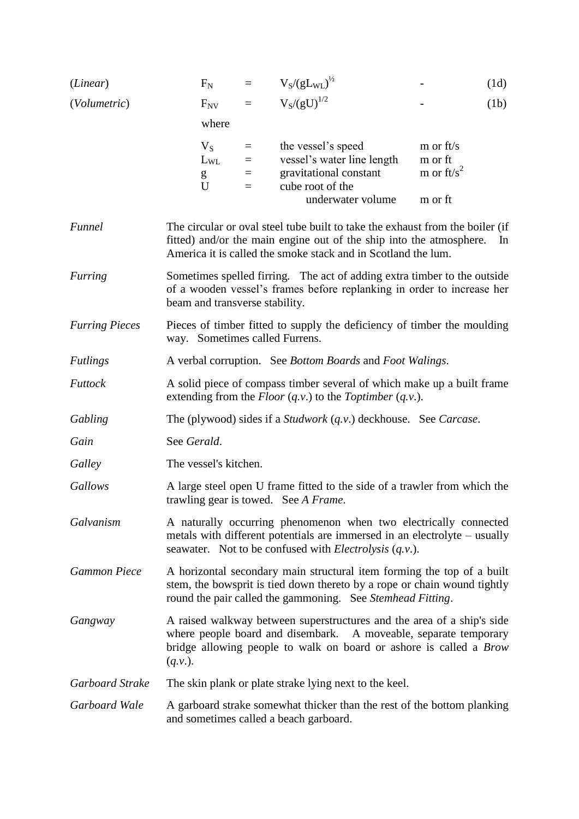| (Linear)              | $F_N$                                                                                                                                                                                | $\qquad \qquad =$             | $V_S/(gL_{WL})^{1/2}$                                                                                                                                                                                                 |                                                  | (1d)  |
|-----------------------|--------------------------------------------------------------------------------------------------------------------------------------------------------------------------------------|-------------------------------|-----------------------------------------------------------------------------------------------------------------------------------------------------------------------------------------------------------------------|--------------------------------------------------|-------|
| (Volumetric)          | $F_{NV}$                                                                                                                                                                             | $=$                           | $V_S/(gU)^{1/2}$                                                                                                                                                                                                      |                                                  | (1b)  |
|                       | where                                                                                                                                                                                |                               |                                                                                                                                                                                                                       |                                                  |       |
|                       | $V_S$<br>$L_{WL}$<br>g<br>U                                                                                                                                                          | $=$<br>$\equiv$<br>$=$<br>$=$ | the vessel's speed<br>vessel's water line length<br>gravitational constant<br>cube root of the<br>underwater volume                                                                                                   | m or ft/s<br>m or ft<br>m or $ft/s^2$<br>m or ft |       |
| Funnel                |                                                                                                                                                                                      |                               | The circular or oval steel tube built to take the exhaust from the boiler (if<br>fitted) and/or the main engine out of the ship into the atmosphere.<br>America it is called the smoke stack and in Scotland the lum. |                                                  | $\ln$ |
| Furring               | Sometimes spelled firring. The act of adding extra timber to the outside<br>of a wooden vessel's frames before replanking in order to increase her<br>beam and transverse stability. |                               |                                                                                                                                                                                                                       |                                                  |       |
| <b>Furring Pieces</b> | way. Sometimes called Furrens.                                                                                                                                                       |                               | Pieces of timber fitted to supply the deficiency of timber the moulding                                                                                                                                               |                                                  |       |
| <b>Futlings</b>       |                                                                                                                                                                                      |                               | A verbal corruption. See <i>Bottom Boards</i> and <i>Foot Walings</i> .                                                                                                                                               |                                                  |       |
| Futtock               |                                                                                                                                                                                      |                               | A solid piece of compass timber several of which make up a built frame<br>extending from the <i>Floor</i> $(q.v.)$ to the <i>Toptimber</i> $(q.v.)$ .                                                                 |                                                  |       |
| Gabling               |                                                                                                                                                                                      |                               | The (plywood) sides if a <i>Studwork</i> $(q.v.)$ deckhouse. See <i>Carcase</i> .                                                                                                                                     |                                                  |       |
| Gain                  | See Gerald.                                                                                                                                                                          |                               |                                                                                                                                                                                                                       |                                                  |       |
| Galley                | The vessel's kitchen.                                                                                                                                                                |                               |                                                                                                                                                                                                                       |                                                  |       |
| Gallows               |                                                                                                                                                                                      |                               | A large steel open U frame fitted to the side of a trawler from which the<br>trawling gear is towed. See A Frame.                                                                                                     |                                                  |       |
| Galvanism             |                                                                                                                                                                                      |                               | A naturally occurring phenomenon when two electrically connected<br>metals with different potentials are immersed in an electrolyte – usually<br>seawater. Not to be confused with <i>Electrolysis</i> $(q, v)$ .     |                                                  |       |
| <b>Gammon Piece</b>   |                                                                                                                                                                                      |                               | A horizontal secondary main structural item forming the top of a built<br>stem, the bowsprit is tied down thereto by a rope or chain wound tightly<br>round the pair called the gammoning. See Stemhead Fitting.      |                                                  |       |
| Gangway               | $(q.v.)$ .                                                                                                                                                                           |                               | A raised walkway between superstructures and the area of a ship's side<br>where people board and disembark. A moveable, separate temporary<br>bridge allowing people to walk on board or ashore is called a Brow      |                                                  |       |
| Garboard Strake       |                                                                                                                                                                                      |                               | The skin plank or plate strake lying next to the keel.                                                                                                                                                                |                                                  |       |
| Garboard Wale         |                                                                                                                                                                                      |                               | A garboard strake somewhat thicker than the rest of the bottom planking<br>and sometimes called a beach garboard.                                                                                                     |                                                  |       |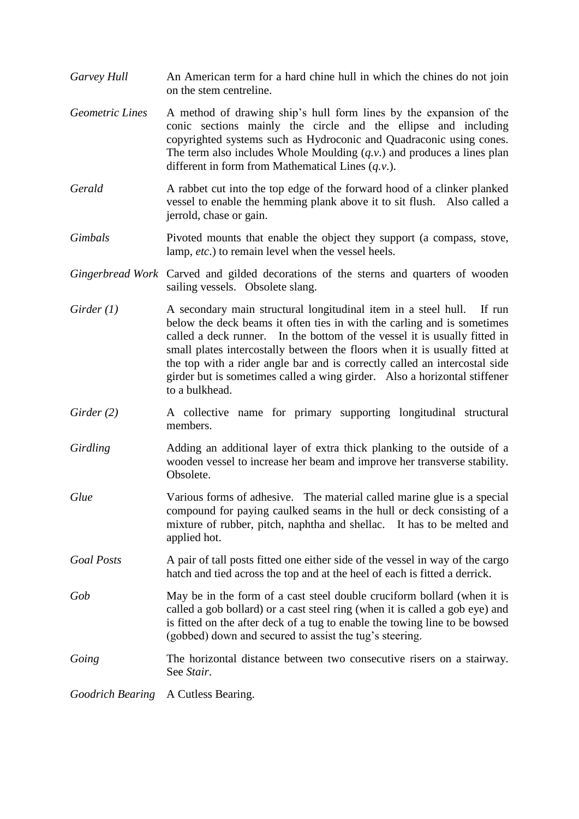- *Garvey Hull* An American term for a hard chine hull in which the chines do not join on the stem centreline.
- *Geometric Lines* A method of drawing ship's hull form lines by the expansion of the conic sections mainly the circle and the ellipse and including copyrighted systems such as Hydroconic and Quadraconic using cones. The term also includes Whole Moulding (*q.v*.) and produces a lines plan different in form from Mathematical Lines (*q.v*.).
- *Gerald* A rabbet cut into the top edge of the forward hood of a clinker planked vessel to enable the hemming plank above it to sit flush. Also called a jerrold, chase or gain.
- *Gimbals* Pivoted mounts that enable the object they support (a compass, stove, lamp, *etc*.) to remain level when the vessel heels.
- *Gingerbread Work* Carved and gilded decorations of the sterns and quarters of wooden sailing vessels. Obsolete slang.
- *Girder (1)* A secondary main structural longitudinal item in a steel hull. If run below the deck beams it often ties in with the carling and is sometimes called a deck runner. In the bottom of the vessel it is usually fitted in small plates intercostally between the floors when it is usually fitted at the top with a rider angle bar and is correctly called an intercostal side girder but is sometimes called a wing girder. Also a horizontal stiffener to a bulkhead.
- *Girder* (2) A collective name for primary supporting longitudinal structural members.
- *Girdling* Adding an additional layer of extra thick planking to the outside of a wooden vessel to increase her beam and improve her transverse stability. Obsolete.
- *Glue* Various forms of adhesive. The material called marine glue is a special compound for paying caulked seams in the hull or deck consisting of a mixture of rubber, pitch, naphtha and shellac. It has to be melted and applied hot.
- *Goal Posts* A pair of tall posts fitted one either side of the vessel in way of the cargo hatch and tied across the top and at the heel of each is fitted a derrick.
- *Gob* May be in the form of a cast steel double cruciform bollard (when it is called a gob bollard) or a cast steel ring (when it is called a gob eye) and is fitted on the after deck of a tug to enable the towing line to be bowsed (gobbed) down and secured to assist the tug's steering.
- *Going* The horizontal distance between two consecutive risers on a stairway. See *Stair*.

*Goodrich Bearing* A Cutless Bearing.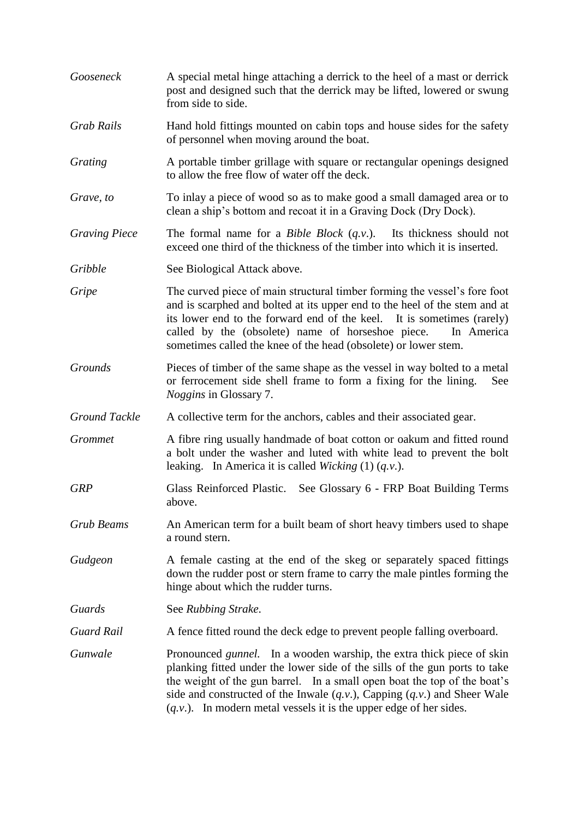*Gooseneck* A special metal hinge attaching a derrick to the heel of a mast or derrick post and designed such that the derrick may be lifted, lowered or swung from side to side. *Grab Rails* Hand hold fittings mounted on cabin tops and house sides for the safety of personnel when moving around the boat. *Grating* A portable timber grillage with square or rectangular openings designed to allow the free flow of water off the deck. *Grave, to* To inlay a piece of wood so as to make good a small damaged area or to clean a ship's bottom and recoat it in a Graving Dock (Dry Dock). *Graving Piece* The formal name for a *Bible Block* (*q.v*.). Its thickness should not exceed one third of the thickness of the timber into which it is inserted. *Gribble* See Biological Attack above. *Gripe* The curved piece of main structural timber forming the vessel's fore foot and is scarphed and bolted at its upper end to the heel of the stem and at its lower end to the forward end of the keel. It is sometimes (rarely) called by the (obsolete) name of horseshoe piece. In America sometimes called the knee of the head (obsolete) or lower stem. *Grounds* Pieces of timber of the same shape as the vessel in way bolted to a metal or ferrocement side shell frame to form a fixing for the lining. See *Noggins* in Glossary 7. *Ground Tackle* A collective term for the anchors, cables and their associated gear. *Grommet* A fibre ring usually handmade of boat cotton or oakum and fitted round a bolt under the washer and luted with white lead to prevent the bolt leaking. In America it is called *Wicking* (1) (*q.v*.). *GRP* Glass Reinforced Plastic. See Glossary 6 - FRP Boat Building Terms above. *Grub Beams* An American term for a built beam of short heavy timbers used to shape a round stern. *Gudgeon* A female casting at the end of the skeg or separately spaced fittings down the rudder post or stern frame to carry the male pintles forming the hinge about which the rudder turns. *Guards* See *Rubbing Strake*. *Guard Rail* A fence fitted round the deck edge to prevent people falling overboard. *Gunwale* Pronounced *gunnel*. In a wooden warship, the extra thick piece of skin planking fitted under the lower side of the sills of the gun ports to take the weight of the gun barrel. In a small open boat the top of the boat's side and constructed of the Inwale (*q.v*.), Capping (*q.v*.) and Sheer Wale (*q.v*.). In modern metal vessels it is the upper edge of her sides.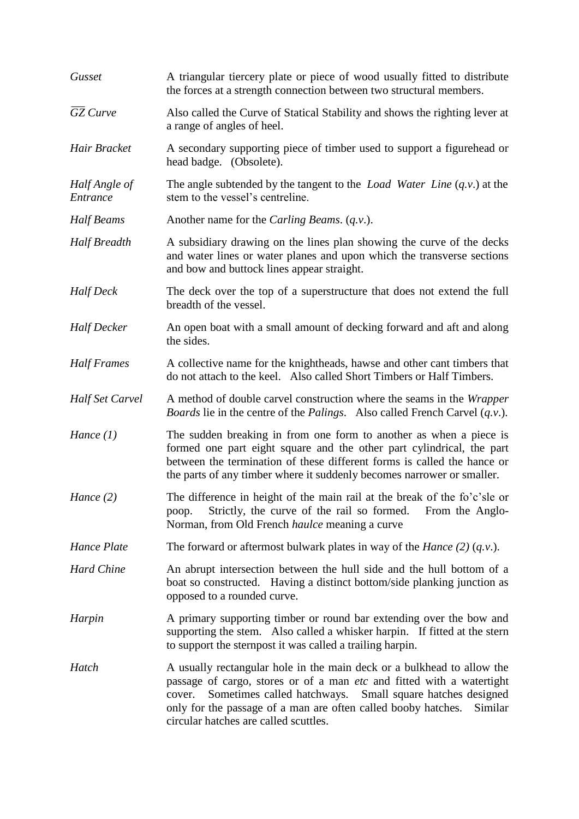| Gusset                    | A triangular tiercery plate or piece of wood usually fitted to distribute<br>the forces at a strength connection between two structural members.                                                                                                                                                                                               |
|---------------------------|------------------------------------------------------------------------------------------------------------------------------------------------------------------------------------------------------------------------------------------------------------------------------------------------------------------------------------------------|
| $\overline{GZ}$ Curve     | Also called the Curve of Statical Stability and shows the righting lever at<br>a range of angles of heel.                                                                                                                                                                                                                                      |
| Hair Bracket              | A secondary supporting piece of timber used to support a figurehead or<br>head badge. (Obsolete).                                                                                                                                                                                                                                              |
| Half Angle of<br>Entrance | The angle subtended by the tangent to the <i>Load Water Line</i> $(q, v)$ at the<br>stem to the vessel's centreline.                                                                                                                                                                                                                           |
| Half Beams                | Another name for the Carling Beams. (q.v.).                                                                                                                                                                                                                                                                                                    |
| Half Breadth              | A subsidiary drawing on the lines plan showing the curve of the decks<br>and water lines or water planes and upon which the transverse sections<br>and bow and buttock lines appear straight.                                                                                                                                                  |
| <b>Half</b> Deck          | The deck over the top of a superstructure that does not extend the full<br>breadth of the vessel.                                                                                                                                                                                                                                              |
| <b>Half Decker</b>        | An open boat with a small amount of decking forward and aft and along<br>the sides.                                                                                                                                                                                                                                                            |
| <b>Half Frames</b>        | A collective name for the knightheads, hawse and other cant timbers that<br>do not attach to the keel. Also called Short Timbers or Half Timbers.                                                                                                                                                                                              |
| Half Set Carvel           | A method of double carvel construction where the seams in the <i>Wrapper</i><br><i>Boards</i> lie in the centre of the <i>Palings</i> . Also called French Carvel $(q.v.)$ .                                                                                                                                                                   |
| Hance $(1)$               | The sudden breaking in from one form to another as when a piece is<br>formed one part eight square and the other part cylindrical, the part<br>between the termination of these different forms is called the hance or<br>the parts of any timber where it suddenly becomes narrower or smaller.                                               |
| Hance $(2)$               | The difference in height of the main rail at the break of the fo'c'sle or<br>Strictly, the curve of the rail so formed.<br>From the Anglo-<br>poop.<br>Norman, from Old French <i>haulce</i> meaning a curve                                                                                                                                   |
| Hance Plate               | The forward or aftermost bulwark plates in way of the <i>Hance</i> (2) $(q.v.)$ .                                                                                                                                                                                                                                                              |
| <b>Hard Chine</b>         | An abrupt intersection between the hull side and the hull bottom of a<br>boat so constructed. Having a distinct bottom/side planking junction as<br>opposed to a rounded curve.                                                                                                                                                                |
| Harpin                    | A primary supporting timber or round bar extending over the bow and<br>supporting the stem. Also called a whisker harpin. If fitted at the stern<br>to support the sternpost it was called a trailing harpin.                                                                                                                                  |
| Hatch                     | A usually rectangular hole in the main deck or a bulkhead to allow the<br>passage of cargo, stores or of a man etc and fitted with a watertight<br>Sometimes called hatchways.<br>Small square hatches designed<br>cover.<br>only for the passage of a man are often called booby hatches.<br>Similar<br>circular hatches are called scuttles. |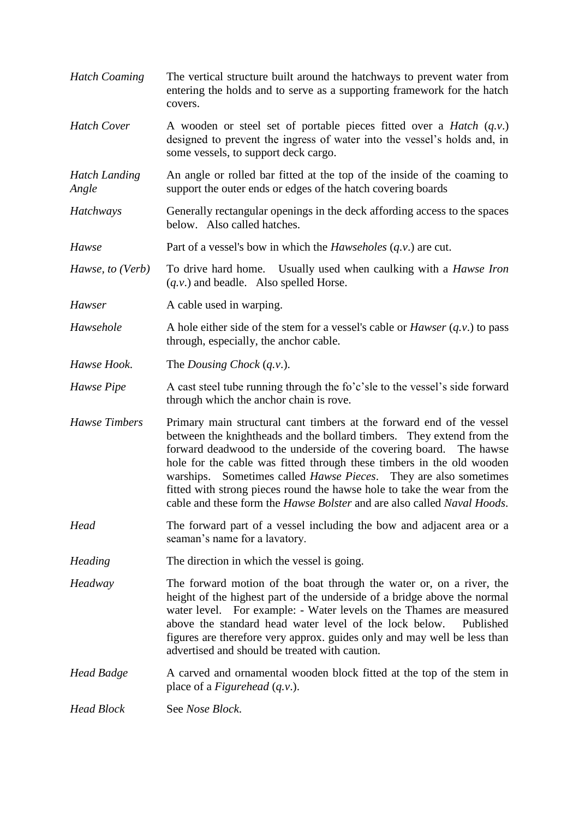- *Hatch Coaming* The vertical structure built around the hatchways to prevent water from entering the holds and to serve as a supporting framework for the hatch covers.
- *Hatch Cover* A wooden or steel set of portable pieces fitted over a *Hatch* (*q.v*.) designed to prevent the ingress of water into the vessel's holds and, in some vessels, to support deck cargo.
- *Hatch Landing* An angle or rolled bar fitted at the top of the inside of the coaming to *Angle* support the outer ends or edges of the hatch covering boards
- *Hatchways* Generally rectangular openings in the deck affording access to the spaces below. Also called hatches.
- *Hawse* Part of a vessel's bow in which the *Hawseholes* (*q.v.*) are cut.
- *Hawse, to (Verb)* To drive hard home. Usually used when caulking with a *Hawse Iron* (*q.v*.) and beadle. Also spelled Horse.
- *Hawser* A cable used in warping.
- *Hawsehole* A hole either side of the stem for a vessel's cable or *Hawser* (*q.v.*) to pass through, especially, the anchor cable.
- *Hawse Hook*. The *Dousing Chock* (*q.v*.).
- *Hawse Pipe* A cast steel tube running through the fo'c'sle to the vessel's side forward through which the anchor chain is rove.
- *Hawse Timbers* Primary main structural cant timbers at the forward end of the vessel between the knightheads and the bollard timbers. They extend from the forward deadwood to the underside of the covering board. The hawse hole for the cable was fitted through these timbers in the old wooden warships. Sometimes called *Hawse Pieces*. They are also sometimes fitted with strong pieces round the hawse hole to take the wear from the cable and these form the *Hawse Bolster* and are also called *Naval Hoods*.
- *Head* The forward part of a vessel including the bow and adjacent area or a seaman's name for a lavatory.
- *Heading* The direction in which the vessel is going.
- *Headway* The forward motion of the boat through the water or, on a river, the height of the highest part of the underside of a bridge above the normal water level. For example: - Water levels on the Thames are measured above the standard head water level of the lock below. Published figures are therefore very approx. guides only and may well be less than advertised and should be treated with caution.
- *Head Badge* A carved and ornamental wooden block fitted at the top of the stem in place of a *Figurehead* (*q.v*.).
- *Head Block* See *Nose Block*.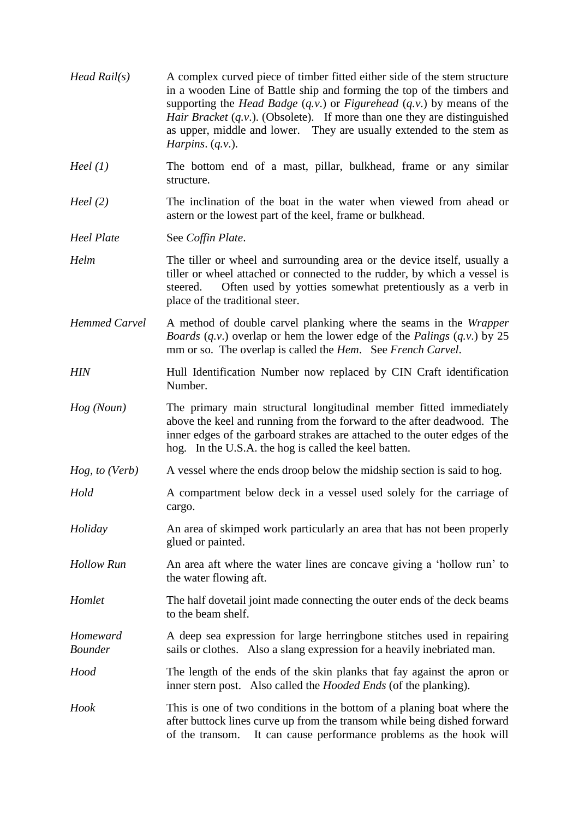| $Head$ Rail(s)             | A complex curved piece of timber fitted either side of the stem structure<br>in a wooden Line of Battle ship and forming the top of the timbers and<br>supporting the <i>Head Badge</i> $(q, v)$ or <i>Figurehead</i> $(q, v)$ by means of the<br>Hair Bracket $(q.v.)$ . (Obsolete). If more than one they are distinguished<br>as upper, middle and lower. They are usually extended to the stem as<br>Harpins. $(q.v.)$ . |
|----------------------------|------------------------------------------------------------------------------------------------------------------------------------------------------------------------------------------------------------------------------------------------------------------------------------------------------------------------------------------------------------------------------------------------------------------------------|
| Heel $(1)$                 | The bottom end of a mast, pillar, bulkhead, frame or any similar<br>structure.                                                                                                                                                                                                                                                                                                                                               |
| Heel $(2)$                 | The inclination of the boat in the water when viewed from ahead or<br>astern or the lowest part of the keel, frame or bulkhead.                                                                                                                                                                                                                                                                                              |
| <b>Heel Plate</b>          | See Coffin Plate.                                                                                                                                                                                                                                                                                                                                                                                                            |
| Helm                       | The tiller or wheel and surrounding area or the device itself, usually a<br>tiller or wheel attached or connected to the rudder, by which a vessel is<br>Often used by yotties somewhat pretentiously as a verb in<br>steered.<br>place of the traditional steer.                                                                                                                                                            |
| <b>Hemmed Carvel</b>       | A method of double carvel planking where the seams in the <i>Wrapper</i><br><i>Boards</i> $(q, v)$ overlap or hem the lower edge of the <i>Palings</i> $(q, v)$ by 25<br>mm or so. The overlap is called the <i>Hem.</i> See <i>French Carvel</i> .                                                                                                                                                                          |
| <b>HIN</b>                 | Hull Identification Number now replaced by CIN Craft identification<br>Number.                                                                                                                                                                                                                                                                                                                                               |
| Hog (Noun)                 | The primary main structural longitudinal member fitted immediately<br>above the keel and running from the forward to the after deadwood. The<br>inner edges of the garboard strakes are attached to the outer edges of the<br>hog. In the U.S.A. the hog is called the keel batten.                                                                                                                                          |
| Hog, to (Verb)             | A vessel where the ends droop below the midship section is said to hog.                                                                                                                                                                                                                                                                                                                                                      |
| Hold                       | A compartment below deck in a vessel used solely for the carriage of<br>cargo.                                                                                                                                                                                                                                                                                                                                               |
| Holiday                    | An area of skimped work particularly an area that has not been properly<br>glued or painted.                                                                                                                                                                                                                                                                                                                                 |
| <b>Hollow Run</b>          | An area aft where the water lines are concave giving a 'hollow run' to<br>the water flowing aft.                                                                                                                                                                                                                                                                                                                             |
| Homlet                     | The half dovetail joint made connecting the outer ends of the deck beams<br>to the beam shelf.                                                                                                                                                                                                                                                                                                                               |
| Homeward<br><b>Bounder</b> | A deep sea expression for large herringbone stitches used in repairing<br>sails or clothes. Also a slang expression for a heavily inebriated man.                                                                                                                                                                                                                                                                            |
| Hood                       | The length of the ends of the skin planks that fay against the apron or<br>inner stern post. Also called the <i>Hooded Ends</i> (of the planking).                                                                                                                                                                                                                                                                           |
| Hook                       | This is one of two conditions in the bottom of a planing boat where the<br>after buttock lines curve up from the transom while being dished forward<br>It can cause performance problems as the hook will<br>of the transom.                                                                                                                                                                                                 |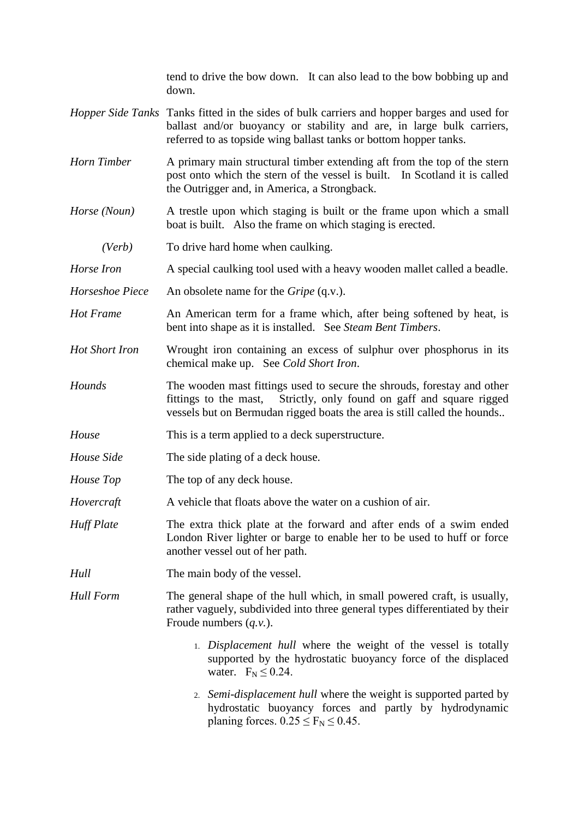tend to drive the bow down. It can also lead to the bow bobbing up and down.

- *Hopper Side Tanks* Tanks fitted in the sides of bulk carriers and hopper barges and used for ballast and/or buoyancy or stability and are, in large bulk carriers, referred to as topside wing ballast tanks or bottom hopper tanks.
- *Horn Timber* A primary main structural timber extending aft from the top of the stern post onto which the stern of the vessel is built. In Scotland it is called the Outrigger and, in America, a Strongback.
- *Horse (Noun)* A trestle upon which staging is built or the frame upon which a small boat is built. Also the frame on which staging is erected.
	- *(Verb)* To drive hard home when caulking.
- *Horse Iron* A special caulking tool used with a heavy wooden mallet called a beadle.
- *Horseshoe Piece* An obsolete name for the *Gripe* (q.v.).
- *Hot Frame* An American term for a frame which, after being softened by heat, is bent into shape as it is installed. See *Steam Bent Timbers*.
- *Hot Short Iron* Wrought iron containing an excess of sulphur over phosphorus in its chemical make up. See *Cold Short Iron*.
- *Hounds* The wooden mast fittings used to secure the shrouds, forestay and other fittings to the mast, Strictly, only found on gaff and square rigged vessels but on Bermudan rigged boats the area is still called the hounds..
- *House* This is a term applied to a deck superstructure.
- *House Side* The side plating of a deck house.
- *House Top* The top of any deck house.
- *Hovercraft* A vehicle that floats above the water on a cushion of air.
- *Huff Plate* The extra thick plate at the forward and after ends of a swim ended London River lighter or barge to enable her to be used to huff or force another vessel out of her path.
- *Hull* The main body of the vessel.

*Hull Form* The general shape of the hull which, in small powered craft, is usually, rather vaguely, subdivided into three general types differentiated by their Froude numbers (*q.v.*).

- 1. *Displacement hull* where the weight of the vessel is totally supported by the hydrostatic buoyancy force of the displaced water.  $F_N \leq 0.24$ .
- 2. *Semi-displacement hull* where the weight is supported parted by hydrostatic buoyancy forces and partly by hydrodynamic planing forces.  $0.25 \le F_N \le 0.45$ .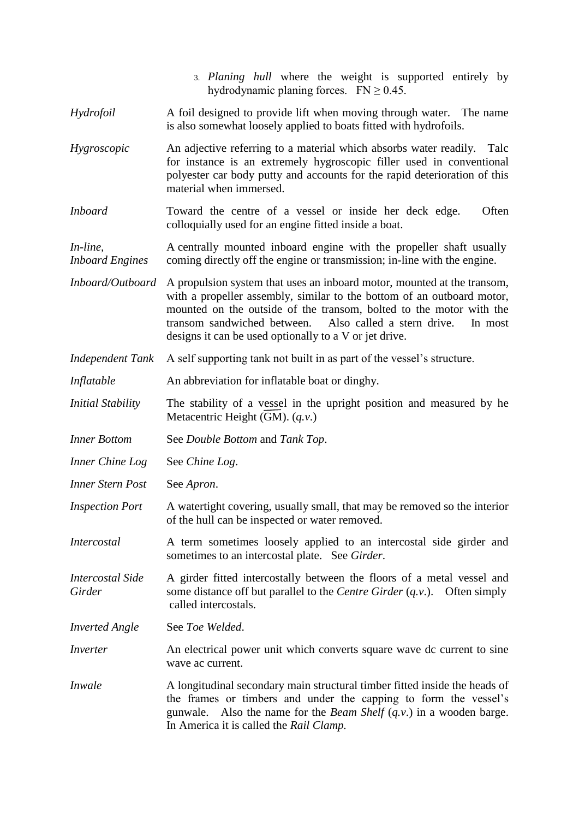- 3. *Planing hull* where the weight is supported entirely by hydrodynamic planing forces.  $FN \ge 0.45$ .
- *Hydrofoil* A foil designed to provide lift when moving through water. The name is also somewhat loosely applied to boats fitted with hydrofoils.
- *Hygroscopic* An adjective referring to a material which absorbs water readily. Talc for instance is an extremely hygroscopic filler used in conventional polyester car body putty and accounts for the rapid deterioration of this material when immersed.
- *Inboard* Toward the centre of a vessel or inside her deck edge. Often colloquially used for an engine fitted inside a boat.

*In-line*, A centrally mounted inboard engine with the propeller shaft usually *Inboard Engines* coming directly off the engine or transmission; in-line with the engine.

- *Inboard/Outboard* A propulsion system that uses an inboard motor, mounted at the transom, with a propeller assembly, similar to the bottom of an outboard motor, mounted on the outside of the transom, bolted to the motor with the transom sandwiched between. Also called a stern drive. In most designs it can be used optionally to a V or jet drive.
- *Independent Tank* A self supporting tank not built in as part of the vessel's structure.
- *Inflatable* An abbreviation for inflatable boat or dinghy.
- *Initial Stability* The stability of a vessel in the upright position and measured by he Metacentric Height (GM). (*q.v*.)
- *Inner Bottom* See *Double Bottom* and *Tank Top*.
- *Inner Chine Log* See *Chine Log*.
- *Inner Stern Post* See *Apron*.
- *Inspection Port* A watertight covering, usually small, that may be removed so the interior of the hull can be inspected or water removed.
- *Intercostal* A term sometimes loosely applied to an intercostal side girder and sometimes to an intercostal plate. See *Girder*.
- *Intercostal Side* A girder fitted intercostally between the floors of a metal vessel and *Girder* some distance off but parallel to the *Centre Girder* (*q.v.*). Often simply called intercostals.
- *Inverted Angle* See *Toe Welded*.
- *Inverter* An electrical power unit which converts square wave dc current to sine wave ac current.
- *Inwale* A longitudinal secondary main structural timber fitted inside the heads of the frames or timbers and under the capping to form the vessel's gunwale. Also the name for the *Beam Shelf* (*q.v*.) in a wooden barge. In America it is called the *Rail Clamp.*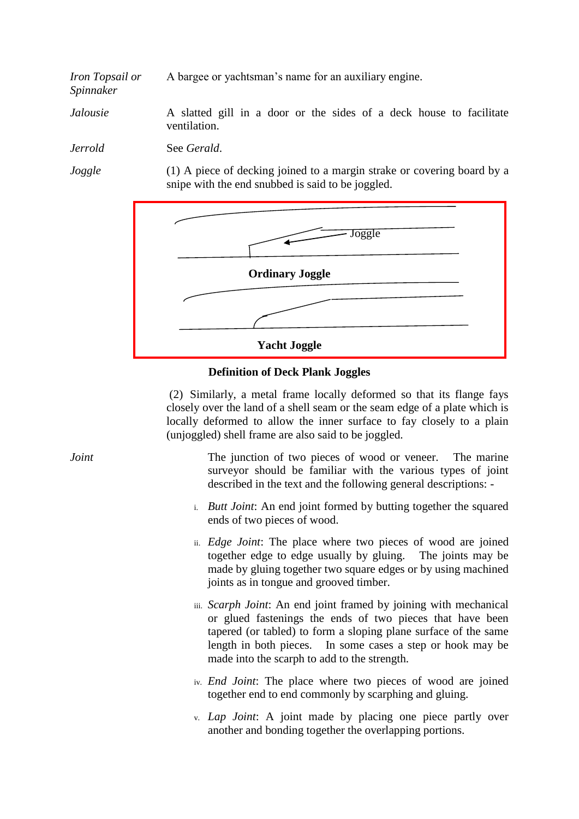*Iron Topsail or* A bargee or yachtsman's name for an auxiliary engine.

*Jalousie* A slatted gill in a door or the sides of a deck house to facilitate ventilation.

*Jerrold* See *Gerald*.

*Spinnaker*

*Joggle* (1) A piece of decking joined to a margin strake or covering board by a snipe with the end snubbed is said to be joggled.



# **Definition of Deck Plank Joggles**

(2) Similarly, a metal frame locally deformed so that its flange fays closely over the land of a shell seam or the seam edge of a plate which is locally deformed to allow the inner surface to fay closely to a plain (unjoggled) shell frame are also said to be joggled.

*Joint* The junction of two pieces of wood or veneer. The marine surveyor should be familiar with the various types of joint described in the text and the following general descriptions: -

- i. *Butt Joint*: An end joint formed by butting together the squared ends of two pieces of wood.
- ii. *Edge Joint*: The place where two pieces of wood are joined together edge to edge usually by gluing. The joints may be made by gluing together two square edges or by using machined joints as in tongue and grooved timber.
- iii. *Scarph Joint*: An end joint framed by joining with mechanical or glued fastenings the ends of two pieces that have been tapered (or tabled) to form a sloping plane surface of the same length in both pieces. In some cases a step or hook may be made into the scarph to add to the strength.
- iv. *End Joint*: The place where two pieces of wood are joined together end to end commonly by scarphing and gluing.
- v. *Lap Joint*: A joint made by placing one piece partly over another and bonding together the overlapping portions.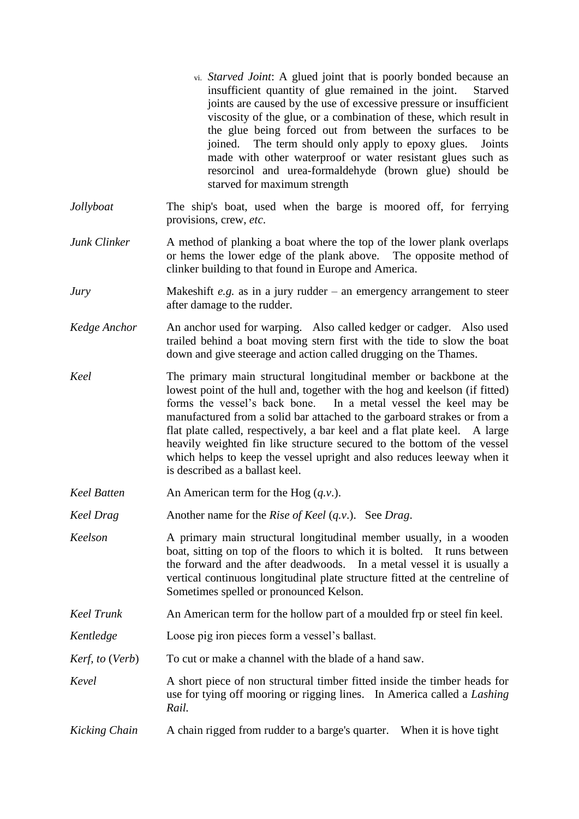- vi. *Starved Joint*: A glued joint that is poorly bonded because an insufficient quantity of glue remained in the joint. Starved joints are caused by the use of excessive pressure or insufficient viscosity of the glue, or a combination of these, which result in the glue being forced out from between the surfaces to be joined. The term should only apply to epoxy glues. Joints made with other waterproof or water resistant glues such as resorcinol and urea-formaldehyde (brown glue) should be starved for maximum strength
- *Jollyboat* The ship's boat, used when the barge is moored off, for ferrying provisions, crew, *etc*.
- *Junk Clinker* A method of planking a boat where the top of the lower plank overlaps or hems the lower edge of the plank above. The opposite method of clinker building to that found in Europe and America.
- *Jury* Makeshift *e.g.* as in a jury rudder an emergency arrangement to steer after damage to the rudder.
- *Kedge Anchor* An anchor used for warping. Also called kedger or cadger. Also used trailed behind a boat moving stern first with the tide to slow the boat down and give steerage and action called drugging on the Thames.
- *Keel* The primary main structural longitudinal member or backbone at the lowest point of the hull and, together with the hog and keelson (if fitted) forms the vessel's back bone. In a metal vessel the keel may be manufactured from a solid bar attached to the garboard strakes or from a flat plate called, respectively, a bar keel and a flat plate keel. A large heavily weighted fin like structure secured to the bottom of the vessel which helps to keep the vessel upright and also reduces leeway when it is described as a ballast keel.
- *Keel Batten* An American term for the Hog (*q.v.*).
- *Keel Drag* Another name for the *Rise of Keel* (*q.v*.). See *Drag*.
- *Keelson* A primary main structural longitudinal member usually, in a wooden boat, sitting on top of the floors to which it is bolted. It runs between the forward and the after deadwoods. In a metal vessel it is usually a vertical continuous longitudinal plate structure fitted at the centreline of Sometimes spelled or pronounced Kelson.
- *Keel Trunk* An American term for the hollow part of a moulded frp or steel fin keel.
- *Kentledge* Loose pig iron pieces form a vessel's ballast.
- *Kerf, to (Verb)* To cut or make a channel with the blade of a hand saw.
- *Kevel* A short piece of non structural timber fitted inside the timber heads for use for tying off mooring or rigging lines. In America called a *Lashing Rail.*
- *Kicking Chain* A chain rigged from rudder to a barge's quarter. When it is hove tight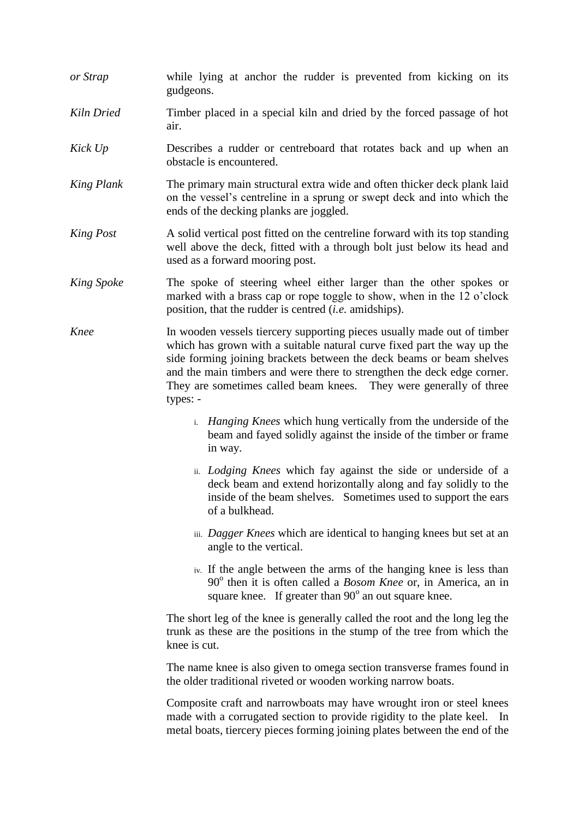- *or Strap* while lying at anchor the rudder is prevented from kicking on its gudgeons.
- *Kiln Dried* Timber placed in a special kiln and dried by the forced passage of hot air.
- *Kick Up* **Describes a rudder or centreboard that rotates back and up when an** obstacle is encountered.
- *King Plank* The primary main structural extra wide and often thicker deck plank laid on the vessel's centreline in a sprung or swept deck and into which the ends of the decking planks are joggled.
- *King Post* A solid vertical post fitted on the centreline forward with its top standing well above the deck, fitted with a through bolt just below its head and used as a forward mooring post.
- *King Spoke* The spoke of steering wheel either larger than the other spokes or marked with a brass cap or rope toggle to show, when in the 12 o'clock position, that the rudder is centred (*i.e.* amidships).
- *Knee* In wooden vessels tiercery supporting pieces usually made out of timber which has grown with a suitable natural curve fixed part the way up the side forming joining brackets between the deck beams or beam shelves and the main timbers and were there to strengthen the deck edge corner. They are sometimes called beam knees. They were generally of three types:
	- i. *Hanging Knees* which hung vertically from the underside of the beam and fayed solidly against the inside of the timber or frame in way.
	- ii. *Lodging Knees* which fay against the side or underside of a deck beam and extend horizontally along and fay solidly to the inside of the beam shelves. Sometimes used to support the ears of a bulkhead.
	- iii. *Dagger Knees* which are identical to hanging knees but set at an angle to the vertical.
	- iv. If the angle between the arms of the hanging knee is less than 90<sup>°</sup> then it is often called a *Bosom Knee* or, in America, an in square knee. If greater than  $90^\circ$  an out square knee.

The short leg of the knee is generally called the root and the long leg the trunk as these are the positions in the stump of the tree from which the knee is cut.

The name knee is also given to omega section transverse frames found in the older traditional riveted or wooden working narrow boats.

Composite craft and narrowboats may have wrought iron or steel knees made with a corrugated section to provide rigidity to the plate keel. In metal boats, tiercery pieces forming joining plates between the end of the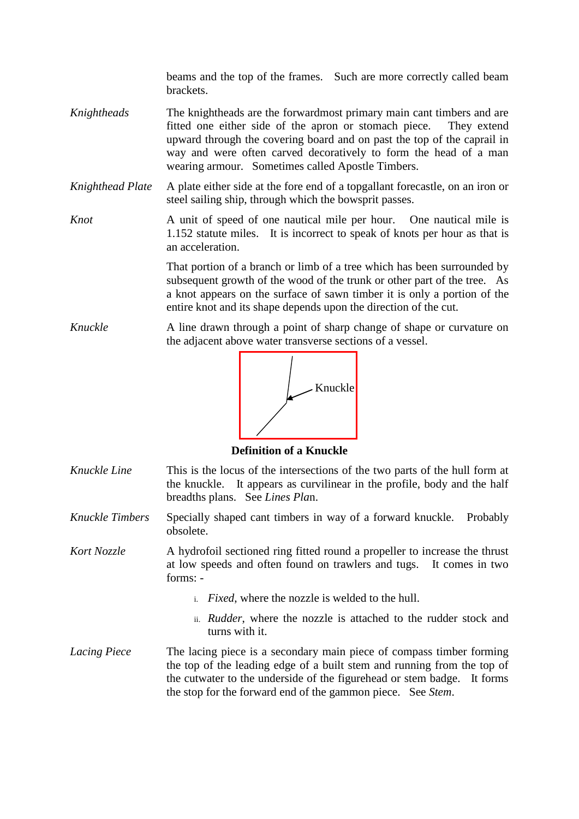beams and the top of the frames. Such are more correctly called beam brackets.

- *Knightheads* The knightheads are the forwardmost primary main cant timbers and are fitted one either side of the apron or stomach piece. They extend upward through the covering board and on past the top of the caprail in way and were often carved decoratively to form the head of a man wearing armour. Sometimes called Apostle Timbers.
- *Knighthead Plate* A plate either side at the fore end of a topgallant forecastle, on an iron or steel sailing ship, through which the bowsprit passes.
- *Knot* **A** unit of speed of one nautical mile per hour. One nautical mile is 1.152 statute miles. It is incorrect to speak of knots per hour as that is an acceleration.

That portion of a branch or limb of a tree which has been surrounded by subsequent growth of the wood of the trunk or other part of the tree. As a knot appears on the surface of sawn timber it is only a portion of the entire knot and its shape depends upon the direction of the cut.

*Knuckle* A line drawn through a point of sharp change of shape or curvature on the adjacent above water transverse sections of a vessel.



**Definition of a Knuckle**

- *Knuckle Line* This is the locus of the intersections of the two parts of the hull form at the knuckle. It appears as curvilinear in the profile, body and the half breadths plans. See *Lines Pla*n.
- *Knuckle Timbers* Specially shaped cant timbers in way of a forward knuckle. Probably obsolete.
- *Kort Nozzle* A hydrofoil sectioned ring fitted round a propeller to increase the thrust at low speeds and often found on trawlers and tugs. It comes in two forms:
	- i. *Fixed*, where the nozzle is welded to the hull.
	- ii. *Rudder*, where the nozzle is attached to the rudder stock and turns with it.
- *Lacing Piece* The lacing piece is a secondary main piece of compass timber forming the top of the leading edge of a built stem and running from the top of the cutwater to the underside of the figurehead or stem badge. It forms the stop for the forward end of the gammon piece. See *Stem*.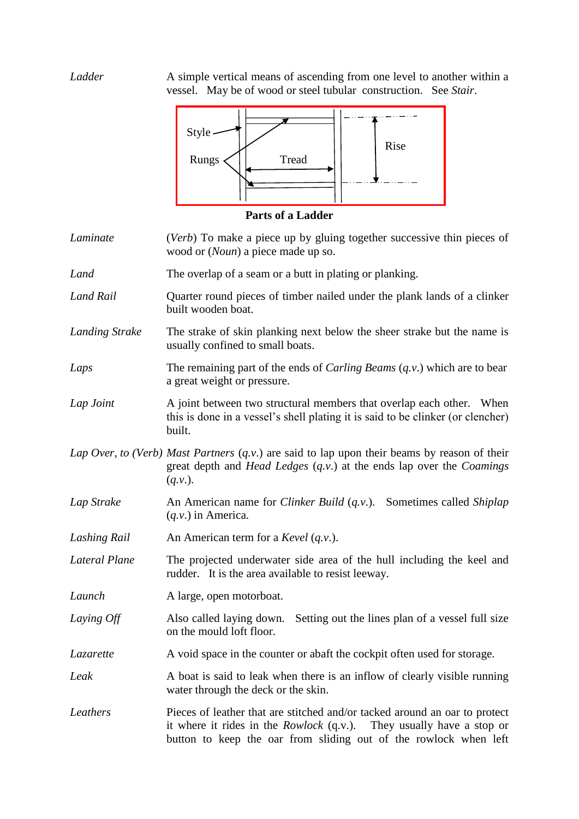*Ladder* A simple vertical means of ascending from one level to another within a vessel. May be of wood or steel tubular construction. See *Stair*.



**Parts of a Ladder**

- *Laminate* (*Verb*) To make a piece up by gluing together successive thin pieces of wood or (*Noun*) a piece made up so.
- *Land* The overlap of a seam or a butt in plating or planking.
- *Land Rail* Quarter round pieces of timber nailed under the plank lands of a clinker built wooden boat.
- *Landing Strake* The strake of skin planking next below the sheer strake but the name is usually confined to small boats.
- *Laps* The remaining part of the ends of *Carling Beams* (*q.v*.) which are to bear a great weight or pressure.
- *Lap Joint* A joint between two structural members that overlap each other. When this is done in a vessel's shell plating it is said to be clinker (or clencher) built.
- *Lap Over, to (Verb) Mast Partners* (*q.v*.) are said to lap upon their beams by reason of their great depth and *Head Ledges* (*q.v*.) at the ends lap over the *Coamings*  (*q.v*.).
- *Lap Strake* An American name for *Clinker Build* (*q.v*.). Sometimes called *Shiplap* (*q.v*.) in America.
- *Lashing Rail* An American term for a *Kevel* (*q.v*.).
- *Lateral Plane* The projected underwater side area of the hull including the keel and rudder. It is the area available to resist leeway.
- *Launch* A large, open motorboat.
- *Laying Off* Also called laying down. Setting out the lines plan of a vessel full size on the mould loft floor.
- *Lazarette* A void space in the counter or abaft the cockpit often used for storage.
- *Leak* A boat is said to leak when there is an inflow of clearly visible running water through the deck or the skin.
- *Leathers* Pieces of leather that are stitched and/or tacked around an oar to protect it where it rides in the *Rowlock* (q.v.). They usually have a stop or button to keep the oar from sliding out of the rowlock when left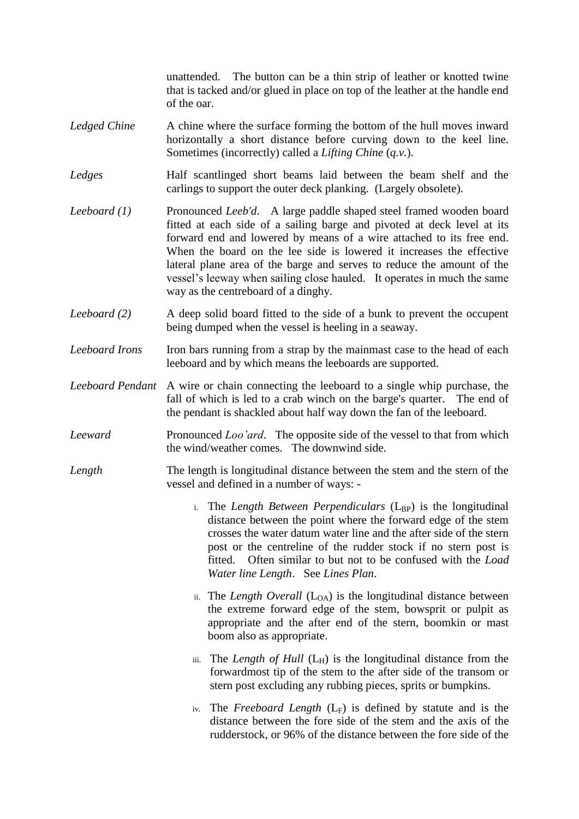unattended. The button can be a thin strip of leather or knotted twine that is tacked and/or glued in place on top of the leather at the handle end of the oar.

- *Ledged Chine* A chine where the surface forming the bottom of the hull moves inward horizontally a short distance before curving down to the keel line. Sometimes (incorrectly) called a *Lifting Chine* (*q.v.*).
- *Ledges* Half scantlinged short beams laid between the beam shelf and the carlings to support the outer deck planking. (Largely obsolete).
- *Leeboard (1)* Pronounced *Leeb'd*. A large paddle shaped steel framed wooden board fitted at each side of a sailing barge and pivoted at deck level at its forward end and lowered by means of a wire attached to its free end. When the board on the lee side is lowered it increases the effective lateral plane area of the barge and serves to reduce the amount of the vessel's leeway when sailing close hauled. It operates in much the same way as the centreboard of a dinghy.
- *Leeboard (2)* A deep solid board fitted to the side of a bunk to prevent the occupent being dumped when the vessel is heeling in a seaway.
- *Leeboard Irons* Iron bars running from a strap by the mainmast case to the head of each leeboard and by which means the leeboards are supported.
- *Leeboard Pendant* A wire or chain connecting the leeboard to a single whip purchase, the fall of which is led to a crab winch on the barge's quarter. The end of the pendant is shackled about half way down the fan of the leeboard.
- *Leeward* Pronounced *Loo'ard*. The opposite side of the vessel to that from which the wind/weather comes. The downwind side.
- *Length* The length is longitudinal distance between the stem and the stern of the vessel and defined in a number of ways:
	- i. The *Length Between Perpendiculars* (L<sub>BP</sub>) is the longitudinal distance between the point where the forward edge of the stem crosses the water datum water line and the after side of the stern post or the centreline of the rudder stock if no stern post is fitted. Often similar to but not to be confused with the *Load Water line Length*. See *Lines Plan*.
	- ii. The *Length Overall* ( $L_{OA}$ ) is the longitudinal distance between the extreme forward edge of the stem, bowsprit or pulpit as appropriate and the after end of the stern, boomkin or mast boom also as appropriate.
	- iii. The *Length of Hull*  $(L_H)$  is the longitudinal distance from the forwardmost tip of the stem to the after side of the transom or stern post excluding any rubbing pieces, sprits or bumpkins.
	- iv. The *Freeboard Length*  $(L_F)$  is defined by statute and is the distance between the fore side of the stem and the axis of the rudderstock, or 96% of the distance between the fore side of the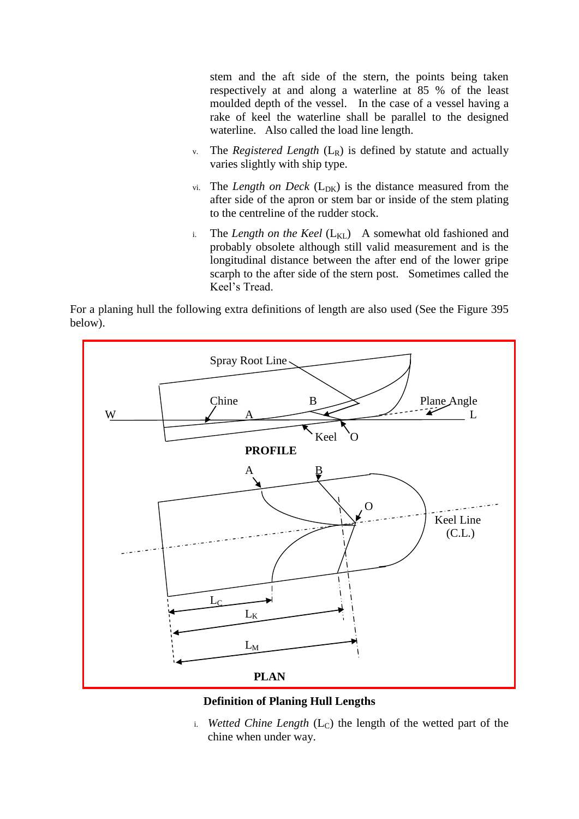stem and the aft side of the stern, the points being taken respectively at and along a waterline at 85 % of the least moulded depth of the vessel. In the case of a vessel having a rake of keel the waterline shall be parallel to the designed waterline. Also called the load line length.

- v. The *Registered Length* (LR) is defined by statute and actually varies slightly with ship type.
- vi. The *Length on Deck*  $(L_{DK})$  is the distance measured from the after side of the apron or stem bar or inside of the stem plating to the centreline of the rudder stock.
- i. The *Length on the Keel*  $(L_{\text{KL}})$  A somewhat old fashioned and probably obsolete although still valid measurement and is the longitudinal distance between the after end of the lower gripe scarph to the after side of the stern post. Sometimes called the Keel's Tread.

For a planing hull the following extra definitions of length are also used (See the Figure 395 below).



### **Definition of Planing Hull Lengths**

i. *Wetted Chine Length*  $(L<sub>C</sub>)$  the length of the wetted part of the chine when under way.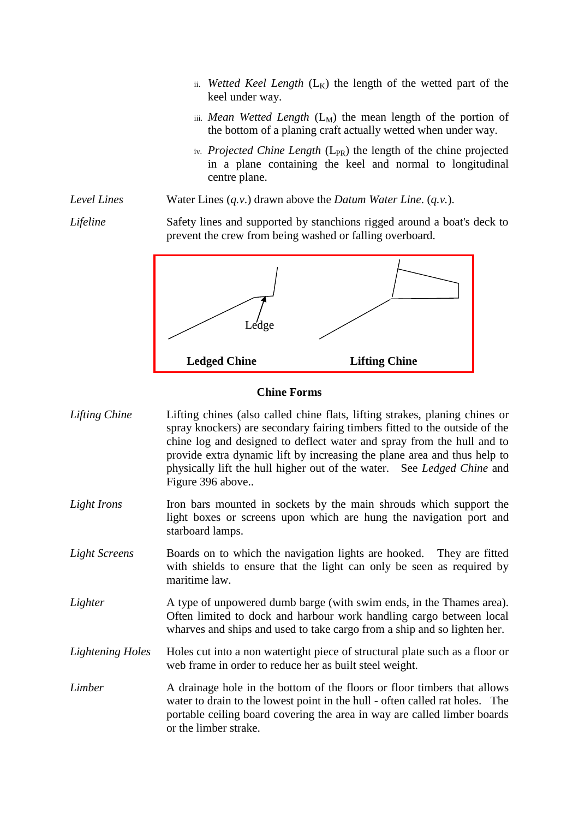- ii. *Wetted Keel Length*  $(L_K)$  the length of the wetted part of the keel under way.
- iii. *Mean Wetted Length*  $(L_M)$  the mean length of the portion of the bottom of a planing craft actually wetted when under way.
- iv. Projected Chine Length (L<sub>PR</sub>) the length of the chine projected in a plane containing the keel and normal to longitudinal centre plane.
- *Level Lines* Water Lines (*q.v*.) drawn above the *Datum Water Line*. (*q.v.*).

*Lifeline* Safety lines and supported by stanchions rigged around a boat's deck to prevent the crew from being washed or falling overboard.



### **Chine Forms**

- *Lifting Chine* Lifting chines (also called chine flats, lifting strakes, planing chines or spray knockers) are secondary fairing timbers fitted to the outside of the chine log and designed to deflect water and spray from the hull and to provide extra dynamic lift by increasing the plane area and thus help to physically lift the hull higher out of the water. See *Ledged Chine* and Figure 396 above..
- *Light Irons* Iron bars mounted in sockets by the main shrouds which support the light boxes or screens upon which are hung the navigation port and starboard lamps.
- *Light Screens* Boards on to which the navigation lights are hooked. They are fitted with shields to ensure that the light can only be seen as required by maritime law.
- *Lighter* A type of unpowered dumb barge (with swim ends, in the Thames area). Often limited to dock and harbour work handling cargo between local wharves and ships and used to take cargo from a ship and so lighten her.
- *Lightening Holes* Holes cut into a non watertight piece of structural plate such as a floor or web frame in order to reduce her as built steel weight.
- *Limber* A drainage hole in the bottom of the floors or floor timbers that allows water to drain to the lowest point in the hull - often called rat holes. The portable ceiling board covering the area in way are called limber boards or the limber strake.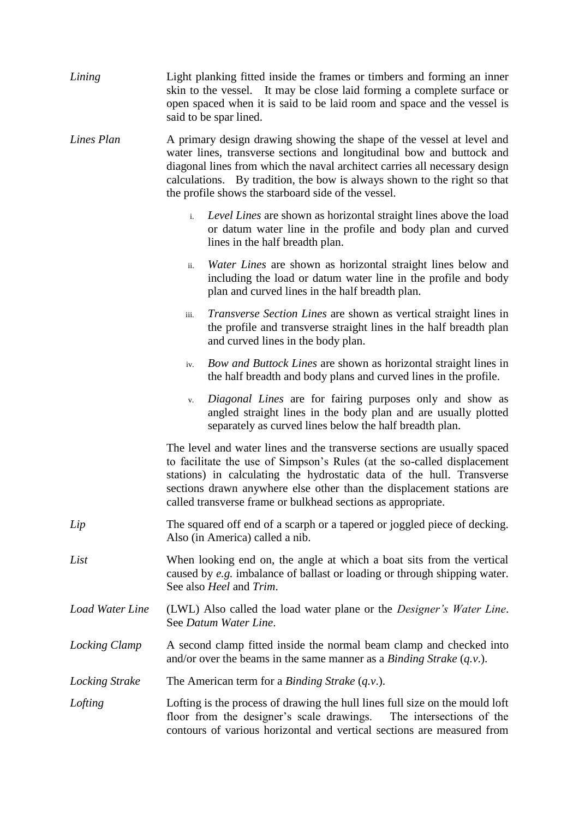| Lining                 | Light planking fitted inside the frames or timbers and forming an inner<br>skin to the vessel. It may be close laid forming a complete surface or<br>open spaced when it is said to be laid room and space and the vessel is<br>said to be spar lined.                                                                                                                |
|------------------------|-----------------------------------------------------------------------------------------------------------------------------------------------------------------------------------------------------------------------------------------------------------------------------------------------------------------------------------------------------------------------|
| Lines Plan             | A primary design drawing showing the shape of the vessel at level and<br>water lines, transverse sections and longitudinal bow and buttock and<br>diagonal lines from which the naval architect carries all necessary design<br>calculations. By tradition, the bow is always shown to the right so that<br>the profile shows the starboard side of the vessel.       |
|                        | Level Lines are shown as horizontal straight lines above the load<br>i.<br>or datum water line in the profile and body plan and curved<br>lines in the half breadth plan.                                                                                                                                                                                             |
|                        | Water Lines are shown as horizontal straight lines below and<br>ii.<br>including the load or datum water line in the profile and body<br>plan and curved lines in the half breadth plan.                                                                                                                                                                              |
|                        | <i>Transverse Section Lines</i> are shown as vertical straight lines in<br>iii.<br>the profile and transverse straight lines in the half breadth plan<br>and curved lines in the body plan.                                                                                                                                                                           |
|                        | Bow and Buttock Lines are shown as horizontal straight lines in<br>iv.<br>the half breadth and body plans and curved lines in the profile.                                                                                                                                                                                                                            |
|                        | Diagonal Lines are for fairing purposes only and show as<br>V.<br>angled straight lines in the body plan and are usually plotted<br>separately as curved lines below the half breadth plan.                                                                                                                                                                           |
|                        | The level and water lines and the transverse sections are usually spaced<br>to facilitate the use of Simpson's Rules (at the so-called displacement<br>stations) in calculating the hydrostatic data of the hull. Transverse<br>sections drawn anywhere else other than the displacement stations are<br>called transverse frame or bulkhead sections as appropriate. |
| Lip                    | The squared off end of a scarph or a tapered or joggled piece of decking.<br>Also (in America) called a nib.                                                                                                                                                                                                                                                          |
| List                   | When looking end on, the angle at which a boat sits from the vertical<br>caused by e.g. imbalance of ballast or loading or through shipping water.<br>See also Heel and Trim.                                                                                                                                                                                         |
| <b>Load Water Line</b> | (LWL) Also called the load water plane or the <i>Designer's Water Line</i> .<br>See Datum Water Line.                                                                                                                                                                                                                                                                 |
| Locking Clamp          | A second clamp fitted inside the normal beam clamp and checked into<br>and/or over the beams in the same manner as a <i>Binding Strake</i> $(q.v.)$ .                                                                                                                                                                                                                 |
| <b>Locking Strake</b>  | The American term for a <i>Binding Strake</i> $(q.v.)$ .                                                                                                                                                                                                                                                                                                              |
| Lofting                | Lofting is the process of drawing the hull lines full size on the mould loft<br>floor from the designer's scale drawings.<br>The intersections of the<br>contours of various horizontal and vertical sections are measured from                                                                                                                                       |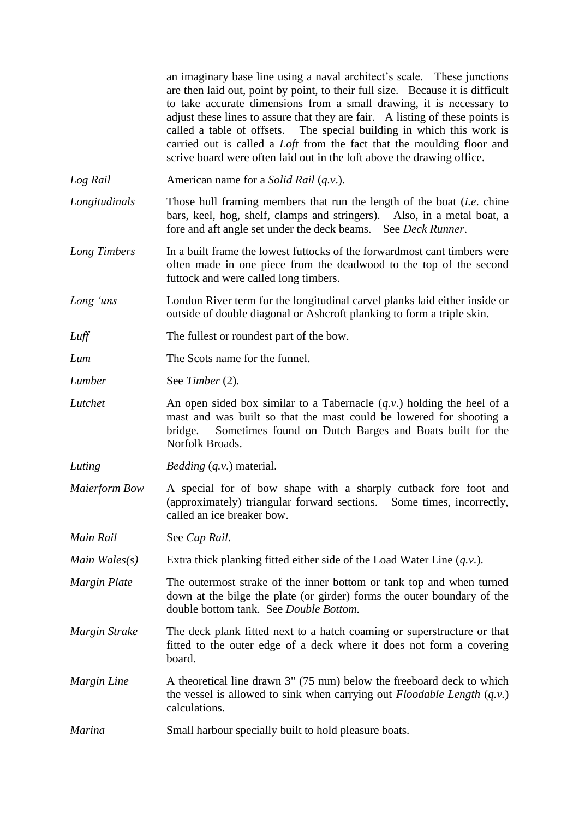an imaginary base line using a naval architect's scale. These junctions are then laid out, point by point, to their full size. Because it is difficult to take accurate dimensions from a small drawing, it is necessary to adjust these lines to assure that they are fair. A listing of these points is called a table of offsets. The special building in which this work is carried out is called a *Loft* from the fact that the moulding floor and scrive board were often laid out in the loft above the drawing office.

- *Log Rail* American name for a *Solid Rail* (*q.v*.).
- *Longitudinals* Those hull framing members that run the length of the boat (*i.e*. chine bars, keel, hog, shelf, clamps and stringers). Also, in a metal boat, a fore and aft angle set under the deck beams. See *Deck Runner*.
- *Long Timbers* In a built frame the lowest futtocks of the forwardmost cant timbers were often made in one piece from the deadwood to the top of the second futtock and were called long timbers.
- *Long 'uns* London River term for the longitudinal carvel planks laid either inside or outside of double diagonal or Ashcroft planking to form a triple skin.
- *Luff* The fullest or roundest part of the bow.
- *Lum* The Scots name for the funnel.
- *Lumber* See *Timber* (2).
- *Lutchet* An open sided box similar to a Tabernacle (*q.v*.) holding the heel of a mast and was built so that the mast could be lowered for shooting a bridge. Sometimes found on Dutch Barges and Boats built for the Norfolk Broads.
- *Luting Bedding* (*q.v*.) material.
- *Maierform Bow* A special for of bow shape with a sharply cutback fore foot and (approximately) triangular forward sections. Some times, incorrectly, called an ice breaker bow.
- *Main Rail* See *Cap Rail*.
- *Main Wales(s)* Extra thick planking fitted either side of the Load Water Line (*q.v*.).
- *Margin Plate* The outermost strake of the inner bottom or tank top and when turned down at the bilge the plate (or girder) forms the outer boundary of the double bottom tank. See *Double Bottom*.
- *Margin Strake* The deck plank fitted next to a hatch coaming or superstructure or that fitted to the outer edge of a deck where it does not form a covering board.
- *Margin Line* A theoretical line drawn 3" (75 mm) below the freeboard deck to which the vessel is allowed to sink when carrying out *Floodable Length* (*q.v.*) calculations.
- *Marina* Small harbour specially built to hold pleasure boats.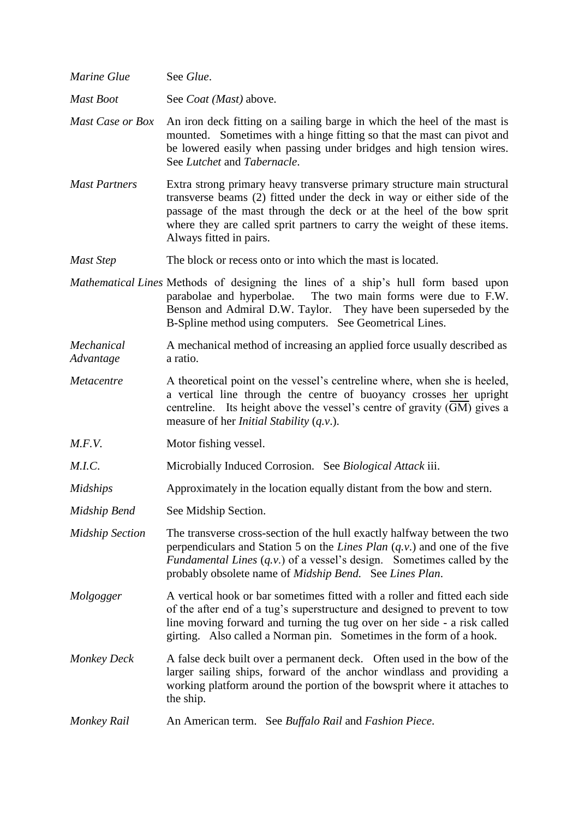| Marine Glue             | See Glue.                                                                                                                                                                                                                                                                                                                         |
|-------------------------|-----------------------------------------------------------------------------------------------------------------------------------------------------------------------------------------------------------------------------------------------------------------------------------------------------------------------------------|
| <b>Mast Boot</b>        | See <i>Coat</i> ( <i>Mast</i> ) above.                                                                                                                                                                                                                                                                                            |
| <b>Mast Case or Box</b> | An iron deck fitting on a sailing barge in which the heel of the mast is<br>mounted. Sometimes with a hinge fitting so that the mast can pivot and<br>be lowered easily when passing under bridges and high tension wires.<br>See Lutchet and Tabernacle.                                                                         |
| <b>Mast Partners</b>    | Extra strong primary heavy transverse primary structure main structural<br>transverse beams (2) fitted under the deck in way or either side of the<br>passage of the mast through the deck or at the heel of the bow sprit<br>where they are called sprit partners to carry the weight of these items.<br>Always fitted in pairs. |
| <b>Mast Step</b>        | The block or recess onto or into which the mast is located.                                                                                                                                                                                                                                                                       |
|                         | Mathematical Lines Methods of designing the lines of a ship's hull form based upon<br>The two main forms were due to F.W.<br>parabolae and hyperbolae.<br>Benson and Admiral D.W. Taylor. They have been superseded by the<br>B-Spline method using computers. See Geometrical Lines.                                             |
| Mechanical<br>Advantage | A mechanical method of increasing an applied force usually described as<br>a ratio.                                                                                                                                                                                                                                               |
| Metacentre              | A theoretical point on the vessel's centreline where, when she is heeled,<br>a vertical line through the centre of buoyancy crosses her upright<br>centreline. Its height above the vessel's centre of gravity (GM) gives a<br>measure of her <i>Initial Stability</i> $(q.v.)$ .                                                 |
| M.F.V.                  | Motor fishing vessel.                                                                                                                                                                                                                                                                                                             |
| M.I.C.                  | Microbially Induced Corrosion. See Biological Attack iii.                                                                                                                                                                                                                                                                         |
| <b>Midships</b>         | Approximately in the location equally distant from the bow and stern.                                                                                                                                                                                                                                                             |
| Midship Bend            | See Midship Section.                                                                                                                                                                                                                                                                                                              |
| <b>Midship Section</b>  | The transverse cross-section of the hull exactly halfway between the two<br>perpendiculars and Station 5 on the Lines Plan $(q, v)$ and one of the five<br>Fundamental Lines $(q, v)$ of a vessel's design. Sometimes called by the<br>probably obsolete name of Midship Bend. See Lines Plan.                                    |
| Molgogger               | A vertical hook or bar sometimes fitted with a roller and fitted each side<br>of the after end of a tug's superstructure and designed to prevent to tow<br>line moving forward and turning the tug over on her side - a risk called<br>girting. Also called a Norman pin. Sometimes in the form of a hook.                        |
| <b>Monkey Deck</b>      | A false deck built over a permanent deck. Often used in the bow of the<br>larger sailing ships, forward of the anchor windlass and providing a<br>working platform around the portion of the bowsprit where it attaches to<br>the ship.                                                                                           |
| <b>Monkey Rail</b>      | An American term. See Buffalo Rail and Fashion Piece.                                                                                                                                                                                                                                                                             |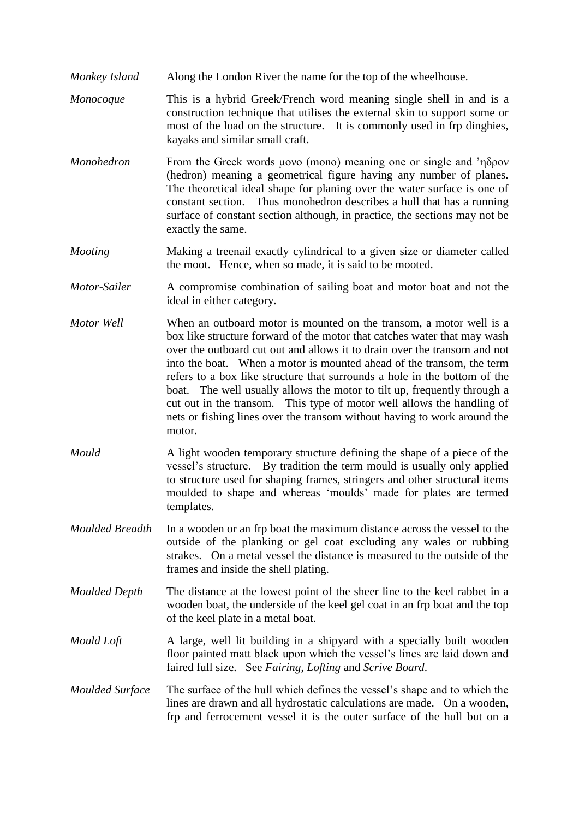- *Monkey Island* Along the London River the name for the top of the wheelhouse.
- *Monocoque* This is a hybrid Greek/French word meaning single shell in and is a construction technique that utilises the external skin to support some or most of the load on the structure. It is commonly used in frp dinghies, kayaks and similar small craft.
- *Monohedron* From the Greek words μονο (mono) meaning one or single and 'ηδρον (hedron) meaning a geometrical figure having any number of planes. The theoretical ideal shape for planing over the water surface is one of constant section. Thus monohedron describes a hull that has a running surface of constant section although, in practice, the sections may not be exactly the same.
- *Mooting* Making a treenail exactly cylindrical to a given size or diameter called the moot. Hence, when so made, it is said to be mooted.
- *Motor-Sailer* A compromise combination of sailing boat and motor boat and not the ideal in either category.
- *Motor Well* When an outboard motor is mounted on the transom, a motor well is a box like structure forward of the motor that catches water that may wash over the outboard cut out and allows it to drain over the transom and not into the boat. When a motor is mounted ahead of the transom, the term refers to a box like structure that surrounds a hole in the bottom of the boat. The well usually allows the motor to tilt up, frequently through a cut out in the transom. This type of motor well allows the handling of nets or fishing lines over the transom without having to work around the motor.
- *Mould* A light wooden temporary structure defining the shape of a piece of the vessel's structure. By tradition the term mould is usually only applied to structure used for shaping frames, stringers and other structural items moulded to shape and whereas 'moulds' made for plates are termed templates.
- *Moulded Breadth* In a wooden or an frp boat the maximum distance across the vessel to the outside of the planking or gel coat excluding any wales or rubbing strakes. On a metal vessel the distance is measured to the outside of the frames and inside the shell plating.
- *Moulded Depth* The distance at the lowest point of the sheer line to the keel rabbet in a wooden boat, the underside of the keel gel coat in an frp boat and the top of the keel plate in a metal boat.
- *Mould Loft* A large, well lit building in a shipyard with a specially built wooden floor painted matt black upon which the vessel's lines are laid down and faired full size. See *Fairing*, *Lofting* and *Scrive Board*.

*Moulded Surface* The surface of the hull which defines the vessel's shape and to which the lines are drawn and all hydrostatic calculations are made. On a wooden, frp and ferrocement vessel it is the outer surface of the hull but on a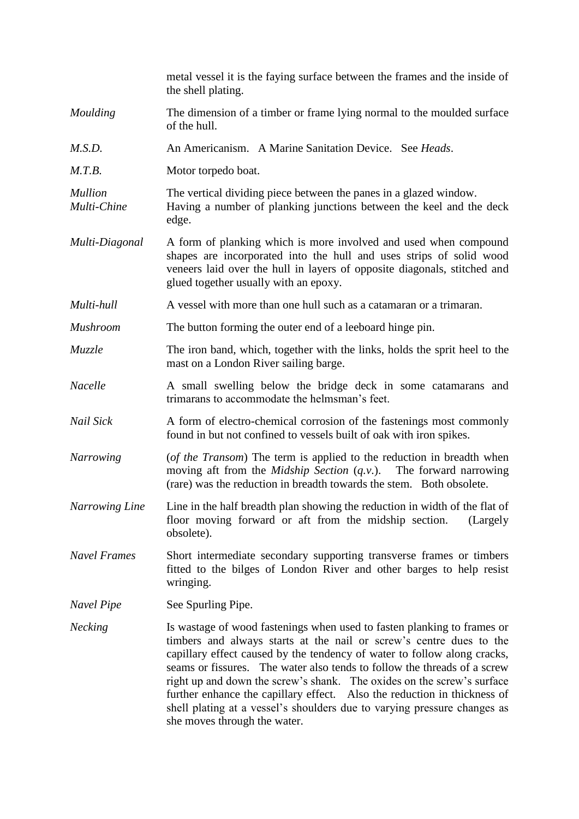|                               | metal vessel it is the faying surface between the frames and the inside of<br>the shell plating.                                                                                                                                                                                                                                                                                                                                                                                                                                                                         |
|-------------------------------|--------------------------------------------------------------------------------------------------------------------------------------------------------------------------------------------------------------------------------------------------------------------------------------------------------------------------------------------------------------------------------------------------------------------------------------------------------------------------------------------------------------------------------------------------------------------------|
| Moulding                      | The dimension of a timber or frame lying normal to the moulded surface<br>of the hull.                                                                                                                                                                                                                                                                                                                                                                                                                                                                                   |
| M.S.D.                        | An Americanism. A Marine Sanitation Device. See Heads.                                                                                                                                                                                                                                                                                                                                                                                                                                                                                                                   |
| M.T.B.                        | Motor torpedo boat.                                                                                                                                                                                                                                                                                                                                                                                                                                                                                                                                                      |
| <b>Mullion</b><br>Multi-Chine | The vertical dividing piece between the panes in a glazed window.<br>Having a number of planking junctions between the keel and the deck<br>edge.                                                                                                                                                                                                                                                                                                                                                                                                                        |
| Multi-Diagonal                | A form of planking which is more involved and used when compound<br>shapes are incorporated into the hull and uses strips of solid wood<br>veneers laid over the hull in layers of opposite diagonals, stitched and<br>glued together usually with an epoxy.                                                                                                                                                                                                                                                                                                             |
| Multi-hull                    | A vessel with more than one hull such as a catamaran or a trimaran.                                                                                                                                                                                                                                                                                                                                                                                                                                                                                                      |
| <b>Mushroom</b>               | The button forming the outer end of a leeboard hinge pin.                                                                                                                                                                                                                                                                                                                                                                                                                                                                                                                |
| Muzzle                        | The iron band, which, together with the links, holds the sprit heel to the<br>mast on a London River sailing barge.                                                                                                                                                                                                                                                                                                                                                                                                                                                      |
| Nacelle                       | A small swelling below the bridge deck in some catamarans and<br>trimarans to accommodate the helmsman's feet.                                                                                                                                                                                                                                                                                                                                                                                                                                                           |
| Nail Sick                     | A form of electro-chemical corrosion of the fastenings most commonly<br>found in but not confined to vessels built of oak with iron spikes.                                                                                                                                                                                                                                                                                                                                                                                                                              |
| <b>Narrowing</b>              | (of the Transom) The term is applied to the reduction in breadth when<br>moving aft from the <i>Midship Section</i> $(q.v.)$ . The forward narrowing<br>(rare) was the reduction in breadth towards the stem. Both obsolete.                                                                                                                                                                                                                                                                                                                                             |
| <b>Narrowing Line</b>         | Line in the half breadth plan showing the reduction in width of the flat of<br>floor moving forward or aft from the midship section.<br>(Largely<br>obsolete).                                                                                                                                                                                                                                                                                                                                                                                                           |
| <b>Navel Frames</b>           | Short intermediate secondary supporting transverse frames or timbers<br>fitted to the bilges of London River and other barges to help resist<br>wringing.                                                                                                                                                                                                                                                                                                                                                                                                                |
| Navel Pipe                    | See Spurling Pipe.                                                                                                                                                                                                                                                                                                                                                                                                                                                                                                                                                       |
| <b>Necking</b>                | Is wastage of wood fastenings when used to fasten planking to frames or<br>timbers and always starts at the nail or screw's centre dues to the<br>capillary effect caused by the tendency of water to follow along cracks,<br>seams or fissures. The water also tends to follow the threads of a screw<br>right up and down the screw's shank. The oxides on the screw's surface<br>further enhance the capillary effect. Also the reduction in thickness of<br>shell plating at a vessel's shoulders due to varying pressure changes as<br>she moves through the water. |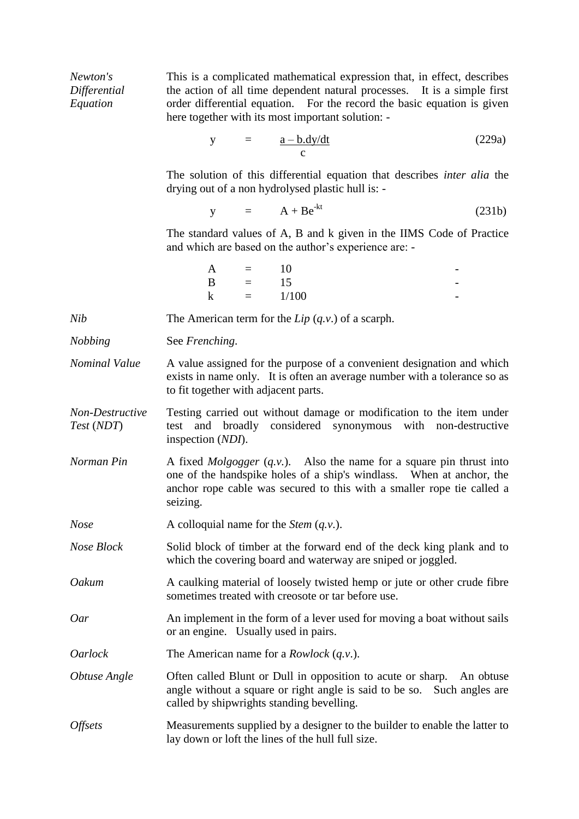| Newton's<br>Differential<br>Equation | This is a complicated mathematical expression that, in effect, describes<br>the action of all time dependent natural processes. It is a simple first<br>order differential equation. For the record the basic equation is given<br>here together with its most important solution: - |
|--------------------------------------|--------------------------------------------------------------------------------------------------------------------------------------------------------------------------------------------------------------------------------------------------------------------------------------|
|                                      | (229a)<br>$y = \frac{a - b \cdot dy/dt}{c}$                                                                                                                                                                                                                                          |
|                                      | The solution of this differential equation that describes <i>inter alia</i> the<br>drying out of a non hydrolysed plastic hull is: -                                                                                                                                                 |
|                                      | $y = A + Be^{-kt}$<br>(231b)                                                                                                                                                                                                                                                         |
|                                      | The standard values of A, B and k given in the IIMS Code of Practice<br>and which are based on the author's experience are: -                                                                                                                                                        |
|                                      | A = 10<br>B = 15<br>k = 1/100                                                                                                                                                                                                                                                        |
| <b>Nib</b>                           | The American term for the $Lip(q.v.)$ of a scarph.                                                                                                                                                                                                                                   |
| <b>Nobbing</b>                       | See Frenching.                                                                                                                                                                                                                                                                       |
| Nominal Value                        | A value assigned for the purpose of a convenient designation and which                                                                                                                                                                                                               |
|                                      | exists in name only. It is often an average number with a tolerance so as<br>to fit together with adjacent parts.                                                                                                                                                                    |
| Non-Destructive<br>Test (NDT)        | Testing carried out without damage or modification to the item under<br>test and broadly considered synonymous with non-destructive<br>inspection (NDI).                                                                                                                             |
| Norman Pin                           | A fixed <i>Molgogger</i> $(q.v.)$ . Also the name for a square pin thrust into<br>one of the handspike holes of a ship's windlass. When at anchor, the<br>anchor rope cable was secured to this with a smaller rope tie called a<br>seizing.                                         |
| <b>Nose</b>                          | A colloquial name for the <i>Stem</i> $(q.v.)$ .                                                                                                                                                                                                                                     |
| Nose Block                           | Solid block of timber at the forward end of the deck king plank and to<br>which the covering board and waterway are sniped or joggled.                                                                                                                                               |
| Oakum                                | A caulking material of loosely twisted hemp or jute or other crude fibre<br>sometimes treated with creosote or tar before use.                                                                                                                                                       |
| Oar                                  | An implement in the form of a lever used for moving a boat without sails<br>or an engine. Usually used in pairs.                                                                                                                                                                     |
| <i>Oarlock</i>                       | The American name for a <i>Rowlock</i> $(q.v.)$ .                                                                                                                                                                                                                                    |
| Obtuse Angle                         | Often called Blunt or Dull in opposition to acute or sharp.<br>An obtuse<br>angle without a square or right angle is said to be so.<br>Such angles are<br>called by shipwrights standing bevelling.                                                                                  |
| <i><b>Offsets</b></i>                | Measurements supplied by a designer to the builder to enable the latter to<br>lay down or loft the lines of the hull full size.                                                                                                                                                      |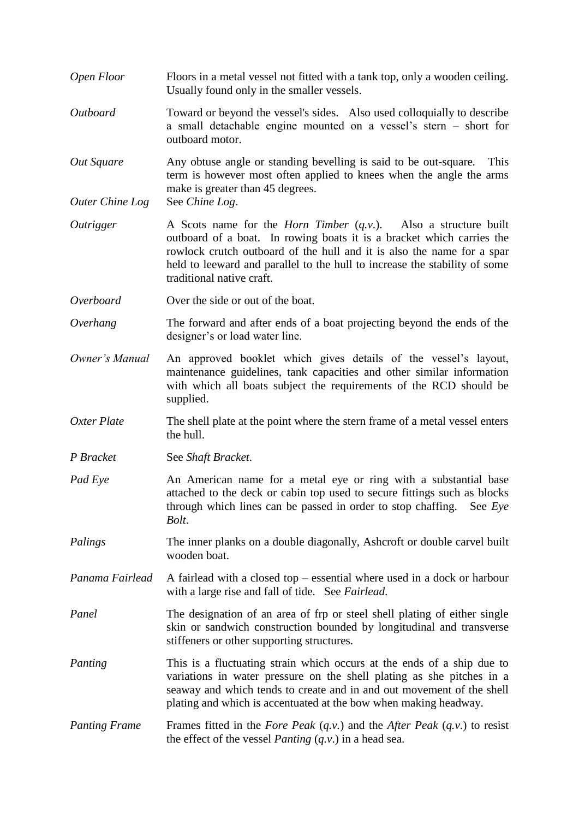- *Open Floor* Floors in a metal vessel not fitted with a tank top, only a wooden ceiling. Usually found only in the smaller vessels.
- *Outboard* Toward or beyond the vessel's sides. Also used colloquially to describe a small detachable engine mounted on a vessel's stern – short for outboard motor.
- *Out Square* Any obtuse angle or standing bevelling is said to be out-square*.* This term is however most often applied to knees when the angle the arms make is greater than 45 degrees.

*Outer Chine Log* See *Chine Log*.

- *Outrigger* A Scots name for the *Horn Timber* (*q.v*.). Also a structure built outboard of a boat. In rowing boats it is a bracket which carries the rowlock crutch outboard of the hull and it is also the name for a spar held to leeward and parallel to the hull to increase the stability of some traditional native craft.
- *Overboard* Over the side or out of the boat.
- *Overhang* The forward and after ends of a boat projecting beyond the ends of the designer's or load water line.
- *Owner's Manual* An approved booklet which gives details of the vessel's layout, maintenance guidelines, tank capacities and other similar information with which all boats subject the requirements of the RCD should be supplied.
- *Oxter Plate* The shell plate at the point where the stern frame of a metal vessel enters the hull.
- *P Bracket* See *Shaft Bracket*.
- *Pad Eye* An American name for a metal eye or ring with a substantial base attached to the deck or cabin top used to secure fittings such as blocks through which lines can be passed in order to stop chaffing. See *Eye Bolt*.
- *Palings* The inner planks on a double diagonally, Ashcroft or double carvel built wooden boat.
- *Panama Fairlead* A fairlead with a closed top essential where used in a dock or harbour with a large rise and fall of tide. See *Fairlead*.
- *Panel* The designation of an area of frp or steel shell plating of either single skin or sandwich construction bounded by longitudinal and transverse stiffeners or other supporting structures.
- *Panting* This is a fluctuating strain which occurs at the ends of a ship due to variations in water pressure on the shell plating as she pitches in a seaway and which tends to create and in and out movement of the shell plating and which is accentuated at the bow when making headway.
- *Panting Frame* Frames fitted in the *Fore Peak* (*q.v.*) and the *After Peak* (*q.v*.) to resist the effect of the vessel *Panting* (*q.v*.) in a head sea.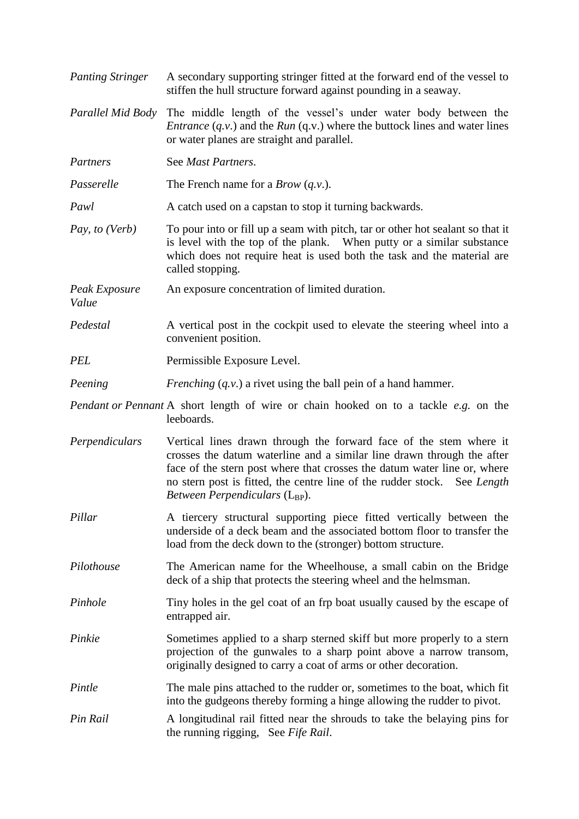| <b>Panting Stringer</b> | A secondary supporting stringer fitted at the forward end of the vessel to<br>stiffen the hull structure forward against pounding in a seaway.                                                                                                                                                                                                      |
|-------------------------|-----------------------------------------------------------------------------------------------------------------------------------------------------------------------------------------------------------------------------------------------------------------------------------------------------------------------------------------------------|
| Parallel Mid Body       | The middle length of the vessel's under water body between the<br><i>Entrance</i> $(q.v.)$ and the <i>Run</i> $(q.v.)$ where the buttock lines and water lines<br>or water planes are straight and parallel.                                                                                                                                        |
| Partners                | See Mast Partners.                                                                                                                                                                                                                                                                                                                                  |
| Passerelle              | The French name for a <i>Brow</i> $(q.v.)$ .                                                                                                                                                                                                                                                                                                        |
| Pawl                    | A catch used on a capstan to stop it turning backwards.                                                                                                                                                                                                                                                                                             |
| Pay, to (Verb)          | To pour into or fill up a seam with pitch, tar or other hot sealant so that it<br>is level with the top of the plank. When putty or a similar substance<br>which does not require heat is used both the task and the material are<br>called stopping.                                                                                               |
| Peak Exposure<br>Value  | An exposure concentration of limited duration.                                                                                                                                                                                                                                                                                                      |
| Pedestal                | A vertical post in the cockpit used to elevate the steering wheel into a<br>convenient position.                                                                                                                                                                                                                                                    |
| <b>PEL</b>              | Permissible Exposure Level.                                                                                                                                                                                                                                                                                                                         |
| Peening                 | <i>Frenching</i> $(q, v)$ a rivet using the ball pein of a hand hammer.                                                                                                                                                                                                                                                                             |
|                         | Pendant or Pennant A short length of wire or chain hooked on to a tackle e.g. on the<br>leeboards.                                                                                                                                                                                                                                                  |
| Perpendiculars          | Vertical lines drawn through the forward face of the stem where it<br>crosses the datum waterline and a similar line drawn through the after<br>face of the stern post where that crosses the datum water line or, where<br>no stern post is fitted, the centre line of the rudder stock. See Length<br><i>Between Perpendiculars</i> ( $L_{BP}$ ). |
| Pillar                  | A tiercery structural supporting piece fitted vertically between the<br>underside of a deck beam and the associated bottom floor to transfer the<br>load from the deck down to the (stronger) bottom structure.                                                                                                                                     |
| Pilothouse              | The American name for the Wheelhouse, a small cabin on the Bridge<br>deck of a ship that protects the steering wheel and the helmsman.                                                                                                                                                                                                              |
| Pinhole                 | Tiny holes in the gel coat of an frp boat usually caused by the escape of<br>entrapped air.                                                                                                                                                                                                                                                         |
| Pinkie                  | Sometimes applied to a sharp sterned skiff but more properly to a stern<br>projection of the gunwales to a sharp point above a narrow transom,<br>originally designed to carry a coat of arms or other decoration.                                                                                                                                  |
| Pintle                  | The male pins attached to the rudder or, sometimes to the boat, which fit<br>into the gudgeons thereby forming a hinge allowing the rudder to pivot.                                                                                                                                                                                                |
| Pin Rail                | A longitudinal rail fitted near the shrouds to take the belaying pins for<br>the running rigging, See Fife Rail.                                                                                                                                                                                                                                    |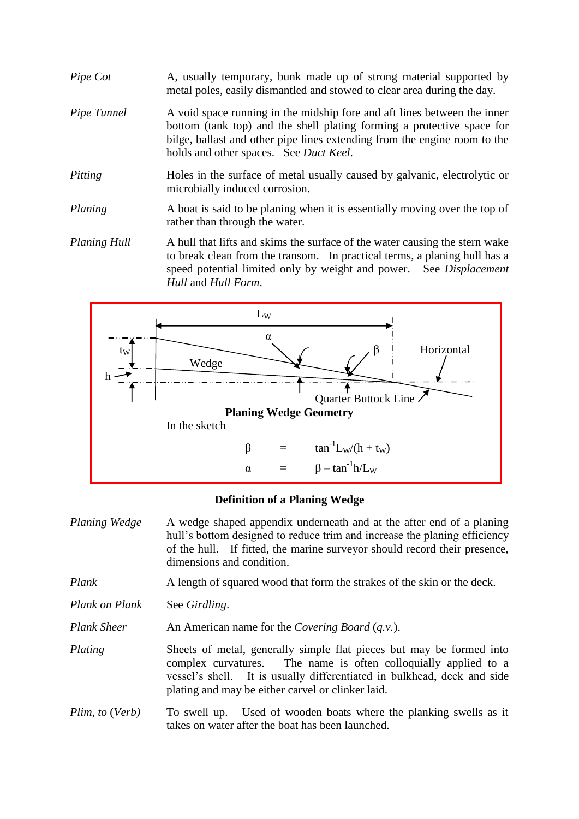- *Pipe Cot* A, usually temporary, bunk made up of strong material supported by metal poles, easily dismantled and stowed to clear area during the day.
- *Pipe Tunnel* A void space running in the midship fore and aft lines between the inner bottom (tank top) and the shell plating forming a protective space for bilge, ballast and other pipe lines extending from the engine room to the holds and other spaces. See *Duct Keel*.
- *Pitting* Holes in the surface of metal usually caused by galvanic, electrolytic or microbially induced corrosion.
- *Planing* A boat is said to be planing when it is essentially moving over the top of rather than through the water.
- *Planing Hull* A hull that lifts and skims the surface of the water causing the stern wake to break clean from the transom. In practical terms, a planing hull has a speed potential limited only by weight and power. See *Displacement Hull* and *Hull Form*.



# **Definition of a Planing Wedge**

*Planing Wedge* A wedge shaped appendix underneath and at the after end of a planing hull's bottom designed to reduce trim and increase the planing efficiency of the hull. If fitted, the marine surveyor should record their presence, dimensions and condition. *Plank* A length of squared wood that form the strakes of the skin or the deck.

*Plank on Plank* See *Girdling*.

*Plank Sheer* An American name for the *Covering Board (q.v.).* 

*Plating* Sheets of metal, generally simple flat pieces but may be formed into complex curvatures. The name is often colloquially applied to a vessel's shell. It is usually differentiated in bulkhead, deck and side plating and may be either carvel or clinker laid.

*Plim, to* (*Verb*) To swell up. Used of wooden boats where the planking swells as it takes on water after the boat has been launched.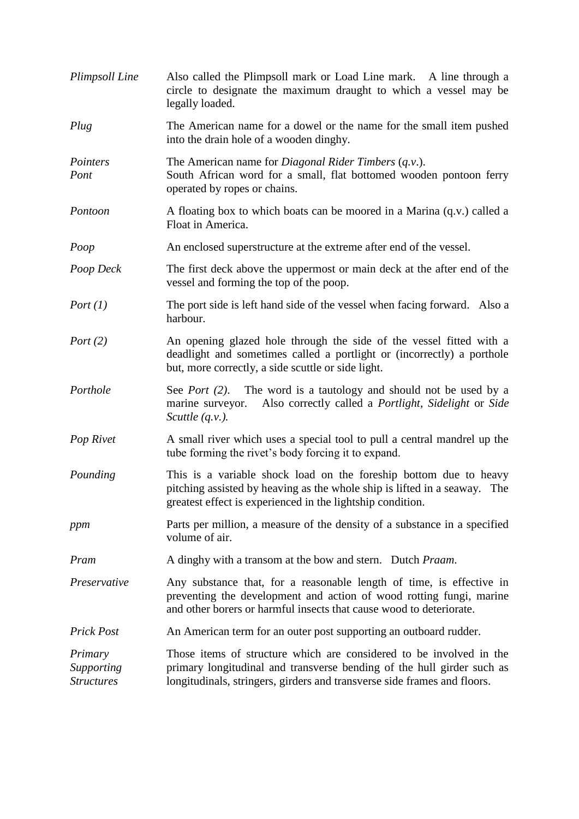| Plimpsoll Line                             | Also called the Plimpsoll mark or Load Line mark. A line through a<br>circle to designate the maximum draught to which a vessel may be<br>legally loaded.                                                                 |
|--------------------------------------------|---------------------------------------------------------------------------------------------------------------------------------------------------------------------------------------------------------------------------|
| Plug                                       | The American name for a dowel or the name for the small item pushed<br>into the drain hole of a wooden dinghy.                                                                                                            |
| Pointers<br>Pont                           | The American name for <i>Diagonal Rider Timbers</i> $(q.v.)$ .<br>South African word for a small, flat bottomed wooden pontoon ferry<br>operated by ropes or chains.                                                      |
| Pontoon                                    | A floating box to which boats can be moored in a Marina (q.v.) called a<br>Float in America.                                                                                                                              |
| Poop                                       | An enclosed superstructure at the extreme after end of the vessel.                                                                                                                                                        |
| Poop Deck                                  | The first deck above the uppermost or main deck at the after end of the<br>vessel and forming the top of the poop.                                                                                                        |
| Port $(1)$                                 | The port side is left hand side of the vessel when facing forward. Also a<br>harbour.                                                                                                                                     |
| Port $(2)$                                 | An opening glazed hole through the side of the vessel fitted with a<br>deadlight and sometimes called a portlight or (incorrectly) a porthole<br>but, more correctly, a side scuttle or side light.                       |
| Porthole                                   | See <i>Port</i> (2). The word is a tautology and should not be used by a<br>Also correctly called a <i>Portlight</i> , <i>Sidelight</i> or <i>Side</i><br>marine surveyor.<br>Scuttle $(q.v.).$                           |
| Pop Rivet                                  | A small river which uses a special tool to pull a central mandrel up the<br>tube forming the rivet's body forcing it to expand.                                                                                           |
| Pounding                                   | This is a variable shock load on the foreship bottom due to heavy<br>pitching assisted by heaving as the whole ship is lifted in a seaway. The<br>greatest effect is experienced in the lightship condition.              |
| ppm                                        | Parts per million, a measure of the density of a substance in a specified<br>volume of air.                                                                                                                               |
| Pram                                       | A dinghy with a transom at the bow and stern. Dutch <i>Praam</i> .                                                                                                                                                        |
| Preservative                               | Any substance that, for a reasonable length of time, is effective in<br>preventing the development and action of wood rotting fungi, marine<br>and other borers or harmful insects that cause wood to deteriorate.        |
| <b>Prick Post</b>                          | An American term for an outer post supporting an outboard rudder.                                                                                                                                                         |
| Primary<br>Supporting<br><b>Structures</b> | Those items of structure which are considered to be involved in the<br>primary longitudinal and transverse bending of the hull girder such as<br>longitudinals, stringers, girders and transverse side frames and floors. |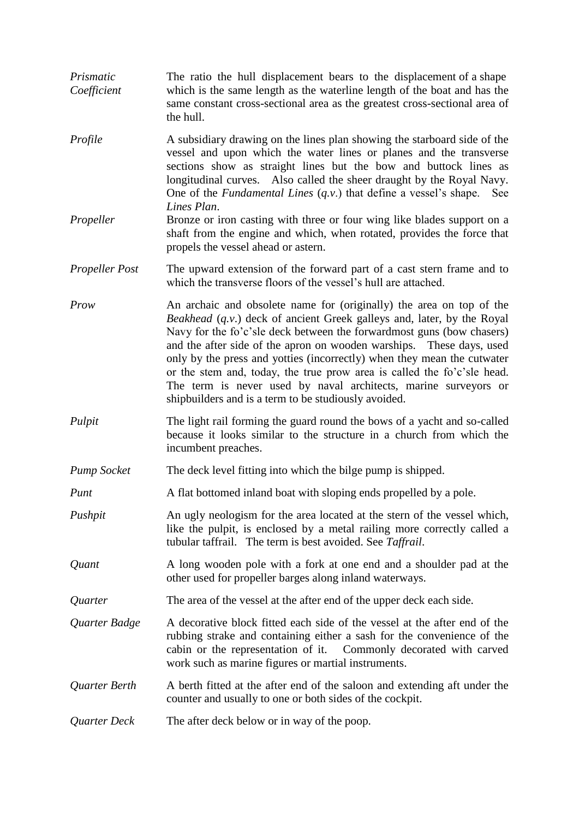- *Prismatic* The ratio the hull displacement bears to the displacement of a shape *Coefficient* which is the same length as the waterline length of the boat and has the same constant cross-sectional area as the greatest cross-sectional area of the hull.
- *Profile* A subsidiary drawing on the lines plan showing the starboard side of the vessel and upon which the water lines or planes and the transverse sections show as straight lines but the bow and buttock lines as longitudinal curves. Also called the sheer draught by the Royal Navy. One of the *Fundamental Lines* (*q.v*.) that define a vessel's shape. See *Lines Plan*.
- *Propeller* Bronze or iron casting with three or four wing like blades support on a shaft from the engine and which, when rotated, provides the force that propels the vessel ahead or astern.
- *Propeller Post* The upward extension of the forward part of a cast stern frame and to which the transverse floors of the vessel's hull are attached.
- *Prow* An archaic and obsolete name for (originally) the area on top of the *Beakhead* (*q.v*.) deck of ancient Greek galleys and, later, by the Royal Navy for the fo'c'sle deck between the forwardmost guns (bow chasers) and the after side of the apron on wooden warships. These days, used only by the press and yotties (incorrectly) when they mean the cutwater or the stem and, today, the true prow area is called the fo'c'sle head. The term is never used by naval architects, marine surveyors or shipbuilders and is a term to be studiously avoided.
- *Pulpit* The light rail forming the guard round the bows of a yacht and so-called because it looks similar to the structure in a church from which the incumbent preaches.
- *Pump Socket* The deck level fitting into which the bilge pump is shipped.
- *Punt* A flat bottomed inland boat with sloping ends propelled by a pole.
- *Pushpit* An ugly neologism for the area located at the stern of the vessel which, like the pulpit, is enclosed by a metal railing more correctly called a tubular taffrail. The term is best avoided. See *Taffrail*.
- *Quant* A long wooden pole with a fork at one end and a shoulder pad at the other used for propeller barges along inland waterways.
- *Quarter* The area of the vessel at the after end of the upper deck each side.
- *Quarter Badge* A decorative block fitted each side of the vessel at the after end of the rubbing strake and containing either a sash for the convenience of the cabin or the representation of it. Commonly decorated with carved work such as marine figures or martial instruments.
- *Quarter Berth* A berth fitted at the after end of the saloon and extending aft under the counter and usually to one or both sides of the cockpit.
- *Quarter Deck* The after deck below or in way of the poop.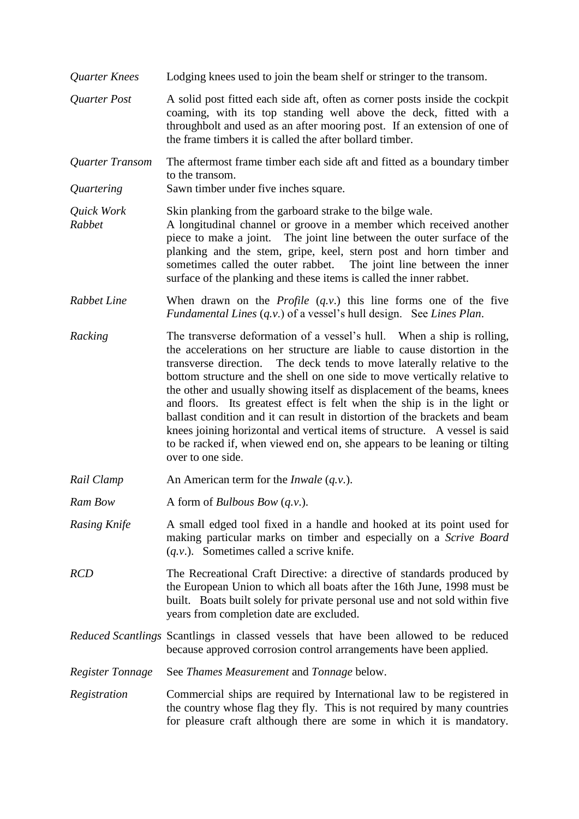- *Quarter Knees* Lodging knees used to join the beam shelf or stringer to the transom.
- *Quarter Post* A solid post fitted each side aft, often as corner posts inside the cockpit coaming, with its top standing well above the deck, fitted with a throughbolt and used as an after mooring post. If an extension of one of the frame timbers it is called the after bollard timber.
- *Quarter Transom* The aftermost frame timber each side aft and fitted as a boundary timber to the transom.
- *Quartering* Sawn timber under five inches square.

*Quick Work* Skin planking from the garboard strake to the bilge wale.

- *Rabbet* A longitudinal channel or groove in a member which received another piece to make a joint. The joint line between the outer surface of the planking and the stem, gripe, keel, stern post and horn timber and sometimes called the outer rabbet. The joint line between the inner surface of the planking and these items is called the inner rabbet.
- *Rabbet Line* When drawn on the *Profile* (*q.v*.) this line forms one of the five *Fundamental Lines* (*q.v*.) of a vessel's hull design. See *Lines Plan*.
- *Racking* The transverse deformation of a vessel's hull. When a ship is rolling, the accelerations on her structure are liable to cause distortion in the transverse direction. The deck tends to move laterally relative to the bottom structure and the shell on one side to move vertically relative to the other and usually showing itself as displacement of the beams, knees and floors. Its greatest effect is felt when the ship is in the light or ballast condition and it can result in distortion of the brackets and beam knees joining horizontal and vertical items of structure. A vessel is said to be racked if, when viewed end on, she appears to be leaning or tilting over to one side.
- *Rail Clamp* An American term for the *Inwale* (*q.v.*).
- *Ram Bow* A form of *Bulbous Bow* (*q.v.*).
- *Rasing Knife* A small edged tool fixed in a handle and hooked at its point used for making particular marks on timber and especially on a *Scrive Board* (*q.v*.). Sometimes called a scrive knife.
- *RCD* The Recreational Craft Directive: a directive of standards produced by the European Union to which all boats after the 16th June, 1998 must be built. Boats built solely for private personal use and not sold within five years from completion date are excluded.

*Reduced Scantlings* Scantlings in classed vessels that have been allowed to be reduced because approved corrosion control arrangements have been applied.

*Register Tonnage* See *Thames Measurement* and *Tonnage* below.

*Registration* Commercial ships are required by International law to be registered in the country whose flag they fly. This is not required by many countries for pleasure craft although there are some in which it is mandatory.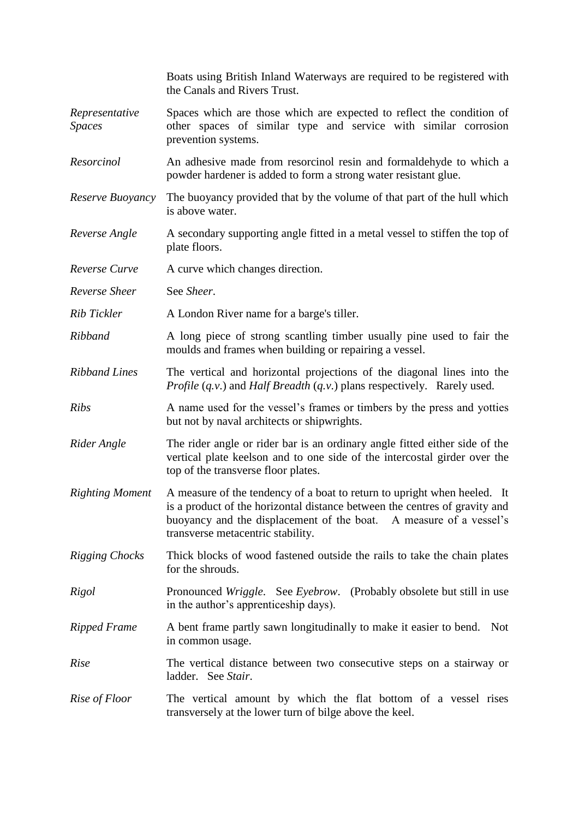|                                 | Boats using British Inland Waterways are required to be registered with<br>the Canals and Rivers Trust.                                                                                                                                                           |
|---------------------------------|-------------------------------------------------------------------------------------------------------------------------------------------------------------------------------------------------------------------------------------------------------------------|
| Representative<br><b>Spaces</b> | Spaces which are those which are expected to reflect the condition of<br>other spaces of similar type and service with similar corrosion<br>prevention systems.                                                                                                   |
| Resorcinol                      | An adhesive made from resorcinol resin and formal dehyde to which a<br>powder hardener is added to form a strong water resistant glue.                                                                                                                            |
| Reserve Buoyancy                | The buoyancy provided that by the volume of that part of the hull which<br>is above water.                                                                                                                                                                        |
| Reverse Angle                   | A secondary supporting angle fitted in a metal vessel to stiffen the top of<br>plate floors.                                                                                                                                                                      |
| Reverse Curve                   | A curve which changes direction.                                                                                                                                                                                                                                  |
| Reverse Sheer                   | See Sheer.                                                                                                                                                                                                                                                        |
| Rib Tickler                     | A London River name for a barge's tiller.                                                                                                                                                                                                                         |
| Ribband                         | A long piece of strong scantling timber usually pine used to fair the<br>moulds and frames when building or repairing a vessel.                                                                                                                                   |
| <b>Ribband Lines</b>            | The vertical and horizontal projections of the diagonal lines into the<br><i>Profile</i> (q.v.) and <i>Half Breadth</i> (q.v.) plans respectively. Rarely used.                                                                                                   |
| <b>Ribs</b>                     | A name used for the vessel's frames or timbers by the press and yotties<br>but not by naval architects or shipwrights.                                                                                                                                            |
| Rider Angle                     | The rider angle or rider bar is an ordinary angle fitted either side of the<br>vertical plate keelson and to one side of the intercostal girder over the<br>top of the transverse floor plates.                                                                   |
| <b>Righting Moment</b>          | A measure of the tendency of a boat to return to upright when heeled. It<br>is a product of the horizontal distance between the centres of gravity and<br>buoyancy and the displacement of the boat. A measure of a vessel's<br>transverse metacentric stability. |
| <b>Rigging Chocks</b>           | Thick blocks of wood fastened outside the rails to take the chain plates<br>for the shrouds.                                                                                                                                                                      |
| Rigol                           | Pronounced Wriggle. See Eyebrow. (Probably obsolete but still in use<br>in the author's apprenticeship days).                                                                                                                                                     |
| <b>Ripped Frame</b>             | A bent frame partly sawn longitudinally to make it easier to bend. Not<br>in common usage.                                                                                                                                                                        |
| Rise                            | The vertical distance between two consecutive steps on a stairway or<br>ladder. See Stair.                                                                                                                                                                        |
| Rise of Floor                   | The vertical amount by which the flat bottom of a vessel rises<br>transversely at the lower turn of bilge above the keel.                                                                                                                                         |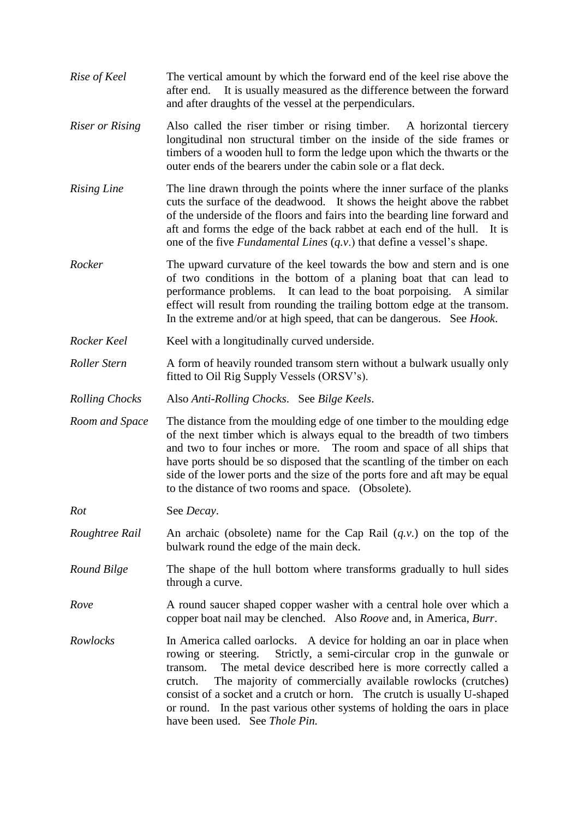- *Rise of Keel* The vertical amount by which the forward end of the keel rise above the after end. It is usually measured as the difference between the forward and after draughts of the vessel at the perpendiculars.
- *Riser or Rising* Also called the riser timber or rising timber. A horizontal tiercery longitudinal non structural timber on the inside of the side frames or timbers of a wooden hull to form the ledge upon which the thwarts or the outer ends of the bearers under the cabin sole or a flat deck.
- *Rising Line* The line drawn through the points where the inner surface of the planks cuts the surface of the deadwood. It shows the height above the rabbet of the underside of the floors and fairs into the bearding line forward and aft and forms the edge of the back rabbet at each end of the hull. It is one of the five *Fundamental Lines* (*q.v*.) that define a vessel's shape.
- *Rocker* The upward curvature of the keel towards the bow and stern and is one of two conditions in the bottom of a planing boat that can lead to performance problems. It can lead to the boat porpoising. A similar effect will result from rounding the trailing bottom edge at the transom. In the extreme and/or at high speed, that can be dangerous. See *Hook*.
- *Rocker Keel* Keel with a longitudinally curved underside.
- *Roller Stern* A form of heavily rounded transom stern without a bulwark usually only fitted to Oil Rig Supply Vessels (ORSV's).
- *Rolling Chocks* Also *Anti-Rolling Chocks*. See *Bilge Keels*.
- *Room and Space* The distance from the moulding edge of one timber to the moulding edge of the next timber which is always equal to the breadth of two timbers and two to four inches or more. The room and space of all ships that have ports should be so disposed that the scantling of the timber on each side of the lower ports and the size of the ports fore and aft may be equal to the distance of two rooms and space. (Obsolete).

*Rot* See *Decay*.

- *Roughtree Rail* An archaic (obsolete) name for the Cap Rail (*q.v*.) on the top of the bulwark round the edge of the main deck.
- *Round Bilge* The shape of the hull bottom where transforms gradually to hull sides through a curve.
- *Rove* A round saucer shaped copper washer with a central hole over which a copper boat nail may be clenched. Also *Roove* and, in America, *Burr*.
- *Rowlocks* In America called oarlocks. A device for holding an oar in place when rowing or steering. Strictly, a semi-circular crop in the gunwale or transom. The metal device described here is more correctly called a crutch. The majority of commercially available rowlocks (crutches) consist of a socket and a crutch or horn. The crutch is usually U-shaped or round. In the past various other systems of holding the oars in place have been used. See *Thole Pin.*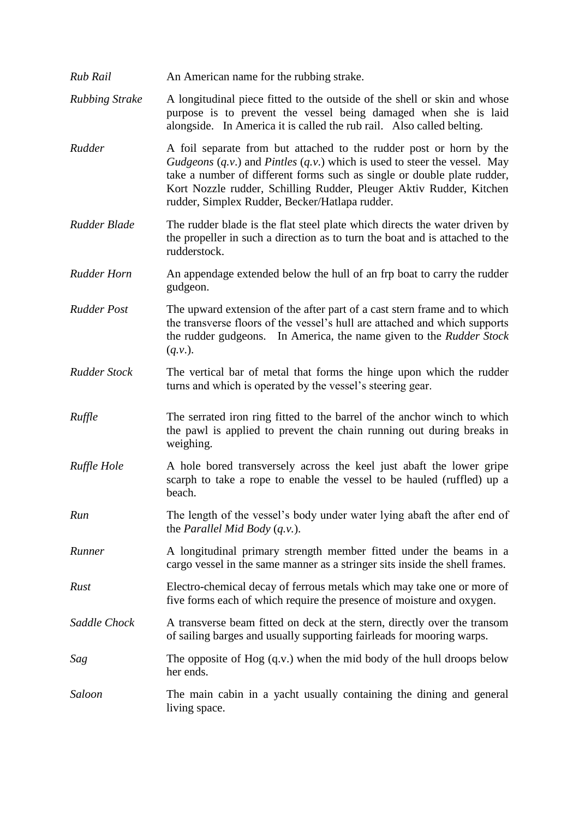*Rub Rail* An American name for the rubbing strake.

*Rubbing Strake* A longitudinal piece fitted to the outside of the shell or skin and whose purpose is to prevent the vessel being damaged when she is laid alongside. In America it is called the rub rail. Also called belting.

- *Rudder* A foil separate from but attached to the rudder post or horn by the *Gudgeons* (*q.v*.) and *Pintles* (*q.v*.) which is used to steer the vessel. May take a number of different forms such as single or double plate rudder, Kort Nozzle rudder, Schilling Rudder, Pleuger Aktiv Rudder, Kitchen rudder, Simplex Rudder, Becker/Hatlapa rudder.
- *Rudder Blade* The rudder blade is the flat steel plate which directs the water driven by the propeller in such a direction as to turn the boat and is attached to the rudderstock.
- *Rudder Horn* An appendage extended below the hull of an frp boat to carry the rudder gudgeon.
- *Rudder Post* The upward extension of the after part of a cast stern frame and to which the transverse floors of the vessel's hull are attached and which supports the rudder gudgeons. In America, the name given to the *Rudder Stock* (*q.v*.).
- *Rudder Stock* The vertical bar of metal that forms the hinge upon which the rudder turns and which is operated by the vessel's steering gear.
- *Ruffle* The serrated iron ring fitted to the barrel of the anchor winch to which the pawl is applied to prevent the chain running out during breaks in weighing.
- *Ruffle Hole* A hole bored transversely across the keel just abaft the lower gripe scarph to take a rope to enable the vessel to be hauled (ruffled) up a beach.
- *Run* The length of the vessel's body under water lying abaft the after end of the *Parallel Mid Body* (*q.v.*).
- *Runner* A longitudinal primary strength member fitted under the beams in a cargo vessel in the same manner as a stringer sits inside the shell frames.
- *Rust* Electro-chemical decay of ferrous metals which may take one or more of five forms each of which require the presence of moisture and oxygen.
- *Saddle Chock* A transverse beam fitted on deck at the stern, directly over the transom of sailing barges and usually supporting fairleads for mooring warps.
- *Sag* The opposite of Hog (q.v.) when the mid body of the hull droops below her ends.
- *Saloon* The main cabin in a yacht usually containing the dining and general living space.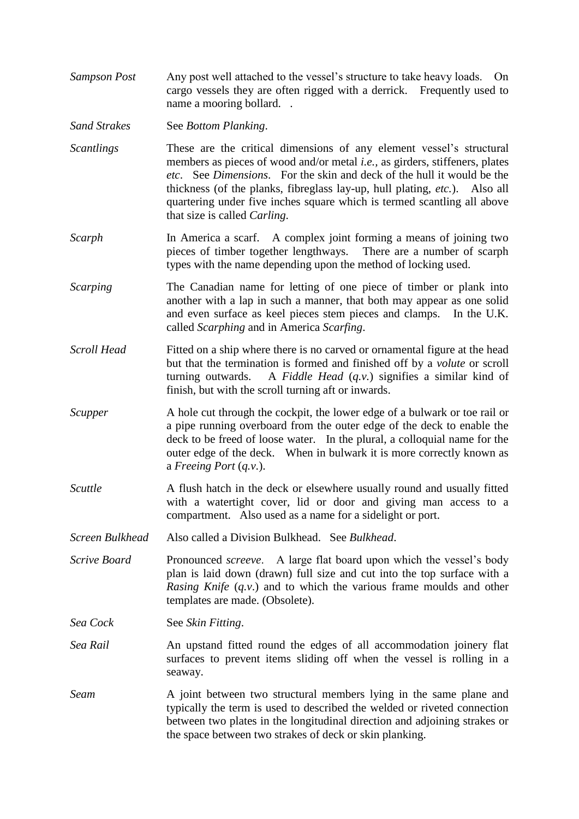*Sampson Post* Any post well attached to the vessel's structure to take heavy loads. On cargo vessels they are often rigged with a derrick. Frequently used to name a mooring bollard. .

*Sand Strakes* See *Bottom Planking*.

- *Scantlings* These are the critical dimensions of any element vessel's structural members as pieces of wood and/or metal *i.e.,* as girders, stiffeners, plates *etc*. See *Dimensions*. For the skin and deck of the hull it would be the thickness (of the planks, fibreglass lay-up, hull plating, *etc.*). Also all quartering under five inches square which is termed scantling all above that size is called *Carling*.
- *Scarph* In America a scarf. A complex joint forming a means of joining two pieces of timber together lengthways. There are a number of scarph types with the name depending upon the method of locking used.
- *Scarping* The Canadian name for letting of one piece of timber or plank into another with a lap in such a manner, that both may appear as one solid and even surface as keel pieces stem pieces and clamps. In the U.K. called *Scarphing* and in America *Scarfing*.
- *Scroll Head* Fitted on a ship where there is no carved or ornamental figure at the head but that the termination is formed and finished off by a *volute* or scroll turning outwards. A *Fiddle Head* (*q.v.*) signifies a similar kind of finish, but with the scroll turning aft or inwards.
- *Scupper* A hole cut through the cockpit, the lower edge of a bulwark or toe rail or a pipe running overboard from the outer edge of the deck to enable the deck to be freed of loose water. In the plural, a colloquial name for the outer edge of the deck. When in bulwark it is more correctly known as a *Freeing Port* (*q.v*.).
- *Scuttle* A flush hatch in the deck or elsewhere usually round and usually fitted with a watertight cover, lid or door and giving man access to a compartment. Also used as a name for a sidelight or port.
- *Screen Bulkhead* Also called a Division Bulkhead. See *Bulkhead*.
- *Scrive Board* Pronounced *screeve.* A large flat board upon which the vessel's body plan is laid down (drawn) full size and cut into the top surface with a *Rasing Knife* (*q.v*.) and to which the various frame moulds and other templates are made. (Obsolete).

*Sea Cock* See *Skin Fitting*.

- *Sea Rail* **An** upstand fitted round the edges of all accommodation joinery flat surfaces to prevent items sliding off when the vessel is rolling in a seaway.
- *Seam* A joint between two structural members lying in the same plane and typically the term is used to described the welded or riveted connection between two plates in the longitudinal direction and adjoining strakes or the space between two strakes of deck or skin planking.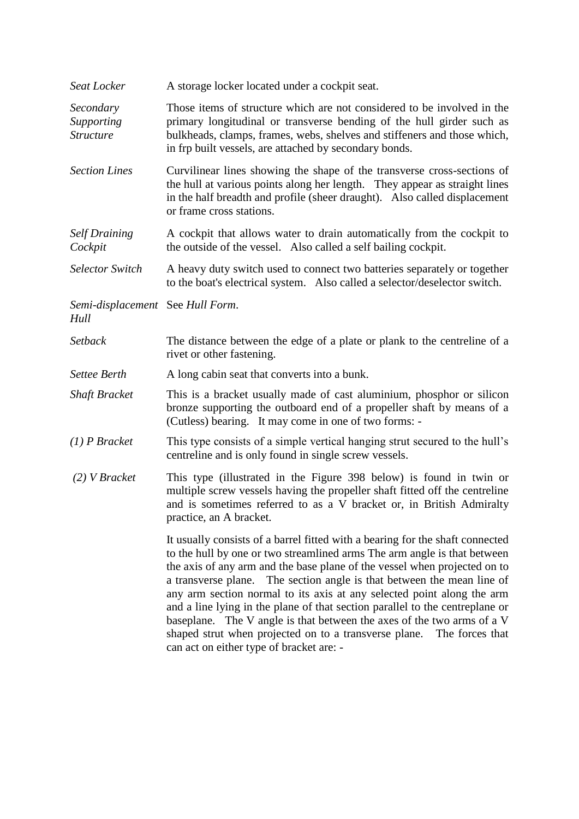| Seat Locker                                 | A storage locker located under a cockpit seat.                                                                                                                                                                                                                                                                                                                                                                                                                                                                                                                                                                                                                               |
|---------------------------------------------|------------------------------------------------------------------------------------------------------------------------------------------------------------------------------------------------------------------------------------------------------------------------------------------------------------------------------------------------------------------------------------------------------------------------------------------------------------------------------------------------------------------------------------------------------------------------------------------------------------------------------------------------------------------------------|
| Secondary<br>Supporting<br><b>Structure</b> | Those items of structure which are not considered to be involved in the<br>primary longitudinal or transverse bending of the hull girder such as<br>bulkheads, clamps, frames, webs, shelves and stiffeners and those which,<br>in frp built vessels, are attached by secondary bonds.                                                                                                                                                                                                                                                                                                                                                                                       |
| <b>Section Lines</b>                        | Curvilinear lines showing the shape of the transverse cross-sections of<br>the hull at various points along her length. They appear as straight lines<br>in the half breadth and profile (sheer draught). Also called displacement<br>or frame cross stations.                                                                                                                                                                                                                                                                                                                                                                                                               |
| <b>Self Draining</b><br>Cockpit             | A cockpit that allows water to drain automatically from the cockpit to<br>the outside of the vessel. Also called a self bailing cockpit.                                                                                                                                                                                                                                                                                                                                                                                                                                                                                                                                     |
| <b>Selector Switch</b>                      | A heavy duty switch used to connect two batteries separately or together<br>to the boat's electrical system. Also called a selector/deselector switch.                                                                                                                                                                                                                                                                                                                                                                                                                                                                                                                       |
| Semi-displacement See Hull Form.<br>Hull    |                                                                                                                                                                                                                                                                                                                                                                                                                                                                                                                                                                                                                                                                              |
| Setback                                     | The distance between the edge of a plate or plank to the centreline of a<br>rivet or other fastening.                                                                                                                                                                                                                                                                                                                                                                                                                                                                                                                                                                        |
| <b>Settee Berth</b>                         | A long cabin seat that converts into a bunk.                                                                                                                                                                                                                                                                                                                                                                                                                                                                                                                                                                                                                                 |
| <b>Shaft Bracket</b>                        | This is a bracket usually made of cast aluminium, phosphor or silicon<br>bronze supporting the outboard end of a propeller shaft by means of a<br>(Cutless) bearing. It may come in one of two forms: -                                                                                                                                                                                                                                                                                                                                                                                                                                                                      |
| $(1)$ P Bracket                             | This type consists of a simple vertical hanging strut secured to the hull's<br>centreline and is only found in single screw vessels.                                                                                                                                                                                                                                                                                                                                                                                                                                                                                                                                         |
| $(2)$ V Bracket                             | This type (illustrated in the Figure 398 below) is found in twin or<br>multiple screw vessels having the propeller shaft fitted off the centreline<br>and is sometimes referred to as a V bracket or, in British Admiralty<br>practice, an A bracket.                                                                                                                                                                                                                                                                                                                                                                                                                        |
|                                             | It usually consists of a barrel fitted with a bearing for the shaft connected<br>to the hull by one or two streamlined arms The arm angle is that between<br>the axis of any arm and the base plane of the vessel when projected on to<br>a transverse plane. The section angle is that between the mean line of<br>any arm section normal to its axis at any selected point along the arm<br>and a line lying in the plane of that section parallel to the centreplane or<br>baseplane. The V angle is that between the axes of the two arms of a V<br>shaped strut when projected on to a transverse plane.<br>The forces that<br>can act on either type of bracket are: - |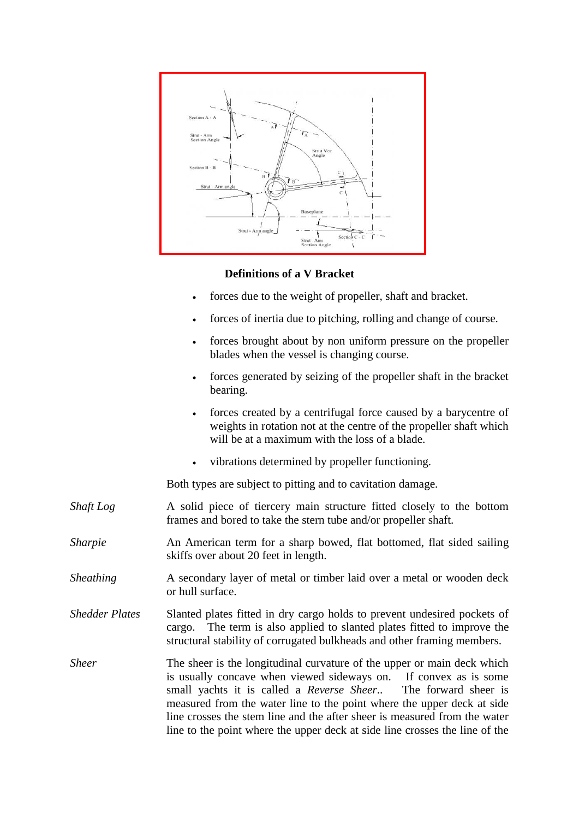

### **Definitions of a V Bracket**

- forces due to the weight of propeller, shaft and bracket.
- forces of inertia due to pitching, rolling and change of course.
- forces brought about by non uniform pressure on the propeller blades when the vessel is changing course.
- forces generated by seizing of the propeller shaft in the bracket bearing.
- forces created by a centrifugal force caused by a barycentre of weights in rotation not at the centre of the propeller shaft which will be at a maximum with the loss of a blade.
- vibrations determined by propeller functioning.

Both types are subject to pitting and to cavitation damage.

- *Shaft Log* A solid piece of tiercery main structure fitted closely to the bottom frames and bored to take the stern tube and/or propeller shaft.
- *Sharpie* An American term for a sharp bowed, flat bottomed, flat sided sailing skiffs over about 20 feet in length.
- *Sheathing* A secondary layer of metal or timber laid over a metal or wooden deck or hull surface.
- *Shedder Plates* Slanted plates fitted in dry cargo holds to prevent undesired pockets of cargo. The term is also applied to slanted plates fitted to improve the structural stability of corrugated bulkheads and other framing members.
- *Sheer* The sheer is the longitudinal curvature of the upper or main deck which is usually concave when viewed sideways on. If convex as is some small yachts it is called a *Reverse Sheer*.. The forward sheer is measured from the water line to the point where the upper deck at side line crosses the stem line and the after sheer is measured from the water line to the point where the upper deck at side line crosses the line of the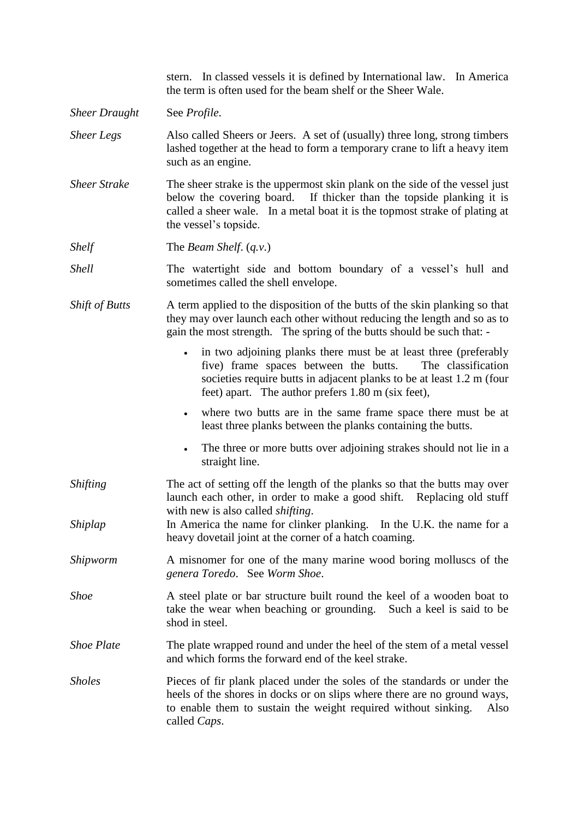stern. In classed vessels it is defined by International law. In America the term is often used for the beam shelf or the Sheer Wale.

- *Sheer Draught* See *Profile*.
- *Sheer Legs* Also called Sheers or Jeers. A set of (usually) three long, strong timbers lashed together at the head to form a temporary crane to lift a heavy item such as an engine.
- *Sheer Strake* The sheer strake is the uppermost skin plank on the side of the vessel just below the covering board. If thicker than the topside planking it is called a sheer wale. In a metal boat it is the topmost strake of plating at the vessel's topside.

*Shelf* The *Beam Shelf.* (*q.v.*)

*Shell* The watertight side and bottom boundary of a vessel's hull and sometimes called the shell envelope.

- *Shift of Butts* A term applied to the disposition of the butts of the skin planking so that they may over launch each other without reducing the length and so as to gain the most strength. The spring of the butts should be such that:
	- in two adjoining planks there must be at least three (preferably five) frame spaces between the butts. The classification societies require butts in adjacent planks to be at least 1.2 m (four feet) apart. The author prefers 1.80 m (six feet),
	- where two butts are in the same frame space there must be at least three planks between the planks containing the butts.
	- The three or more butts over adjoining strakes should not lie in a straight line.
- *Shifting* The act of setting off the length of the planks so that the butts may over launch each other, in order to make a good shift. Replacing old stuff with new is also called *shifting*.
- *Shiplap* In America the name for clinker planking. In the U.K. the name for a heavy dovetail joint at the corner of a hatch coaming.
- *Shipworm* A misnomer for one of the many marine wood boring molluscs of the *genera Toredo*. See *Worm Shoe*.
- *Shoe* A steel plate or bar structure built round the keel of a wooden boat to take the wear when beaching or grounding. Such a keel is said to be shod in steel.
- *Shoe Plate* The plate wrapped round and under the heel of the stem of a metal vessel and which forms the forward end of the keel strake.
- *Sholes* Pieces of fir plank placed under the soles of the standards or under the heels of the shores in docks or on slips where there are no ground ways, to enable them to sustain the weight required without sinking. Also called *Caps*.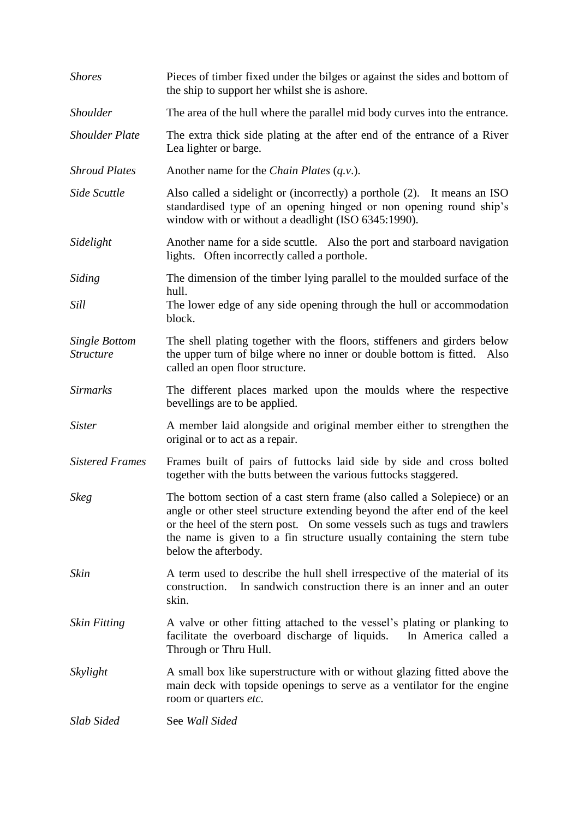| <b>Shores</b>                                          | Pieces of timber fixed under the bilges or against the sides and bottom of<br>the ship to support her whilst she is ashore.                                                                                                                                                                                                         |
|--------------------------------------------------------|-------------------------------------------------------------------------------------------------------------------------------------------------------------------------------------------------------------------------------------------------------------------------------------------------------------------------------------|
| <i>Shoulder</i>                                        | The area of the hull where the parallel mid body curves into the entrance.                                                                                                                                                                                                                                                          |
| <b>Shoulder Plate</b>                                  | The extra thick side plating at the after end of the entrance of a River<br>Lea lighter or barge.                                                                                                                                                                                                                                   |
| <b>Shroud Plates</b>                                   | Another name for the <i>Chain Plates</i> $(q.v.)$ .                                                                                                                                                                                                                                                                                 |
| Side Scuttle                                           | Also called a sidelight or (incorrectly) a porthole (2). It means an ISO<br>standardised type of an opening hinged or non opening round ship's<br>window with or without a deadlight (ISO 6345:1990).                                                                                                                               |
| Sidelight                                              | Another name for a side scuttle. Also the port and starboard navigation<br>lights. Often incorrectly called a porthole.                                                                                                                                                                                                             |
| Siding                                                 | The dimension of the timber lying parallel to the moulded surface of the                                                                                                                                                                                                                                                            |
| Sill                                                   | hull.<br>The lower edge of any side opening through the hull or accommodation<br>block.                                                                                                                                                                                                                                             |
| <b>Single Bottom</b><br><i><u><b>Structure</b></u></i> | The shell plating together with the floors, stiffeners and girders below<br>the upper turn of bilge where no inner or double bottom is fitted. Also<br>called an open floor structure.                                                                                                                                              |
| <b>Sirmarks</b>                                        | The different places marked upon the moulds where the respective<br>bevellings are to be applied.                                                                                                                                                                                                                                   |
| <i>Sister</i>                                          | A member laid alongside and original member either to strengthen the<br>original or to act as a repair.                                                                                                                                                                                                                             |
| <b>Sistered Frames</b>                                 | Frames built of pairs of futtocks laid side by side and cross bolted<br>together with the butts between the various futtocks staggered.                                                                                                                                                                                             |
| <b>Skeg</b>                                            | The bottom section of a cast stern frame (also called a Solepiece) or an<br>angle or other steel structure extending beyond the after end of the keel<br>or the heel of the stern post. On some vessels such as tugs and trawlers<br>the name is given to a fin structure usually containing the stern tube<br>below the afterbody. |
| Skin                                                   | A term used to describe the hull shell irrespective of the material of its<br>In sandwich construction there is an inner and an outer<br>construction.<br>skin.                                                                                                                                                                     |
| <b>Skin Fitting</b>                                    | A valve or other fitting attached to the vessel's plating or planking to<br>facilitate the overboard discharge of liquids. In America called a<br>Through or Thru Hull.                                                                                                                                                             |
| Skylight                                               | A small box like superstructure with or without glazing fitted above the<br>main deck with topside openings to serve as a ventilator for the engine<br>room or quarters etc.                                                                                                                                                        |
| Slab Sided                                             | See Wall Sided                                                                                                                                                                                                                                                                                                                      |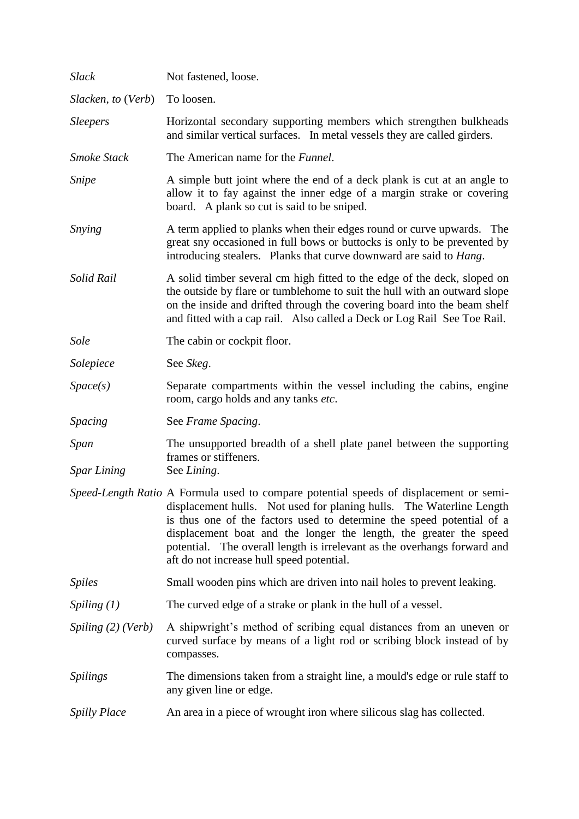| <b>Slack</b>               | Not fastened, loose.                                                                                                                                                                                                                                                                                                                                                                                                                   |
|----------------------------|----------------------------------------------------------------------------------------------------------------------------------------------------------------------------------------------------------------------------------------------------------------------------------------------------------------------------------------------------------------------------------------------------------------------------------------|
| Slacken, to (Verb)         | To loosen.                                                                                                                                                                                                                                                                                                                                                                                                                             |
| <i>Sleepers</i>            | Horizontal secondary supporting members which strengthen bulkheads<br>and similar vertical surfaces. In metal vessels they are called girders.                                                                                                                                                                                                                                                                                         |
| Smoke Stack                | The American name for the <i>Funnel</i> .                                                                                                                                                                                                                                                                                                                                                                                              |
| Snipe                      | A simple butt joint where the end of a deck plank is cut at an angle to<br>allow it to fay against the inner edge of a margin strake or covering<br>board. A plank so cut is said to be sniped.                                                                                                                                                                                                                                        |
| Snying                     | A term applied to planks when their edges round or curve upwards. The<br>great sny occasioned in full bows or buttocks is only to be prevented by<br>introducing stealers. Planks that curve downward are said to <i>Hang</i> .                                                                                                                                                                                                        |
| Solid Rail                 | A solid timber several cm high fitted to the edge of the deck, sloped on<br>the outside by flare or tumblehome to suit the hull with an outward slope<br>on the inside and drifted through the covering board into the beam shelf<br>and fitted with a cap rail. Also called a Deck or Log Rail See Toe Rail.                                                                                                                          |
| <b>Sole</b>                | The cabin or cockpit floor.                                                                                                                                                                                                                                                                                                                                                                                                            |
| Solepiece                  | See Skeg.                                                                                                                                                                                                                                                                                                                                                                                                                              |
| Space(s)                   | Separate compartments within the vessel including the cabins, engine<br>room, cargo holds and any tanks etc.                                                                                                                                                                                                                                                                                                                           |
| Spacing                    | See Frame Spacing.                                                                                                                                                                                                                                                                                                                                                                                                                     |
| Span<br><b>Spar Lining</b> | The unsupported breadth of a shell plate panel between the supporting<br>frames or stiffeners.<br>See Lining.                                                                                                                                                                                                                                                                                                                          |
|                            | Speed-Length Ratio A Formula used to compare potential speeds of displacement or semi-<br>displacement hulls. Not used for planing hulls. The Waterline Length<br>is thus one of the factors used to determine the speed potential of a<br>displacement boat and the longer the length, the greater the speed<br>potential. The overall length is irrelevant as the overhangs forward and<br>aft do not increase hull speed potential. |
| <b>Spiles</b>              | Small wooden pins which are driven into nail holes to prevent leaking.                                                                                                                                                                                                                                                                                                                                                                 |
| Spiling $(1)$              | The curved edge of a strake or plank in the hull of a vessel.                                                                                                                                                                                                                                                                                                                                                                          |
| Spiling (2) (Verb)         | A shipwright's method of scribing equal distances from an uneven or<br>curved surface by means of a light rod or scribing block instead of by<br>compasses.                                                                                                                                                                                                                                                                            |
| <b>Spilings</b>            | The dimensions taken from a straight line, a mould's edge or rule staff to<br>any given line or edge.                                                                                                                                                                                                                                                                                                                                  |
| <b>Spilly Place</b>        | An area in a piece of wrought iron where silicous slag has collected.                                                                                                                                                                                                                                                                                                                                                                  |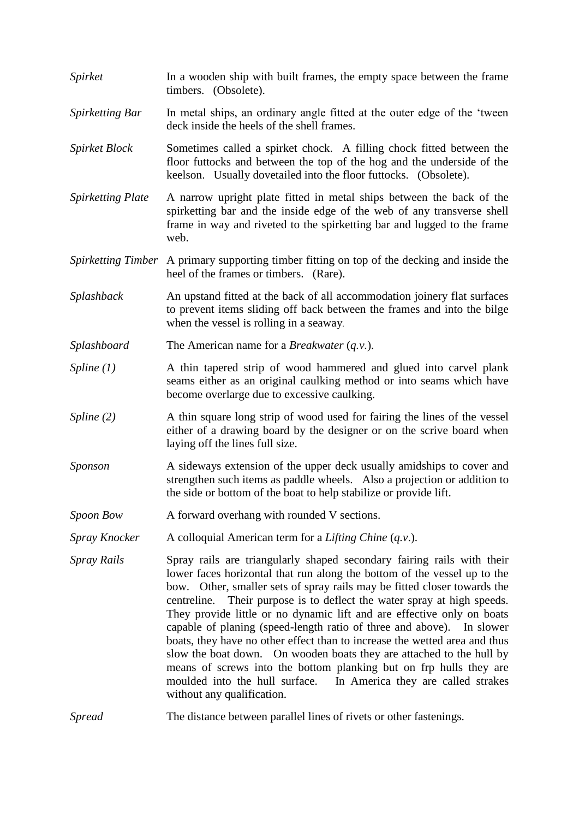*Spirket* In a wooden ship with built frames, the empty space between the frame timbers. (Obsolete). *Spirketting Bar* In metal ships, an ordinary angle fitted at the outer edge of the 'tween' deck inside the heels of the shell frames. *Spirket Block* Sometimes called a spirket chock. A filling chock fitted between the floor futtocks and between the top of the hog and the underside of the keelson. Usually dovetailed into the floor futtocks. (Obsolete). *Spirketting Plate* A narrow upright plate fitted in metal ships between the back of the spirketting bar and the inside edge of the web of any transverse shell frame in way and riveted to the spirketting bar and lugged to the frame web. *Spirketting Timber* A primary supporting timber fitting on top of the decking and inside the heel of the frames or timbers. (Rare). *Splashback* An upstand fitted at the back of all accommodation joinery flat surfaces to prevent items sliding off back between the frames and into the bilge when the vessel is rolling in a seaway. *Splashboard* The American name for a *Breakwater* (*q.v.*). *Spline (1)* A thin tapered strip of wood hammered and glued into carvel plank seams either as an original caulking method or into seams which have become overlarge due to excessive caulking. *Spline* (2) A thin square long strip of wood used for fairing the lines of the vessel either of a drawing board by the designer or on the scrive board when laying off the lines full size. *Sponson* A sideways extension of the upper deck usually amidships to cover and strengthen such items as paddle wheels. Also a projection or addition to the side or bottom of the boat to help stabilize or provide lift. *Spoon Bow* A forward overhang with rounded V sections. *Spray Knocker* A colloquial American term for a *Lifting Chine* (*q.v*.). *Spray Rails* Spray rails are triangularly shaped secondary fairing rails with their lower faces horizontal that run along the bottom of the vessel up to the bow. Other, smaller sets of spray rails may be fitted closer towards the centreline. Their purpose is to deflect the water spray at high speeds. They provide little or no dynamic lift and are effective only on boats capable of planing (speed-length ratio of three and above). In slower boats, they have no other effect than to increase the wetted area and thus slow the boat down. On wooden boats they are attached to the hull by means of screws into the bottom planking but on frp hulls they are moulded into the hull surface. In America they are called strakes without any qualification. *Spread* The distance between parallel lines of rivets or other fastenings.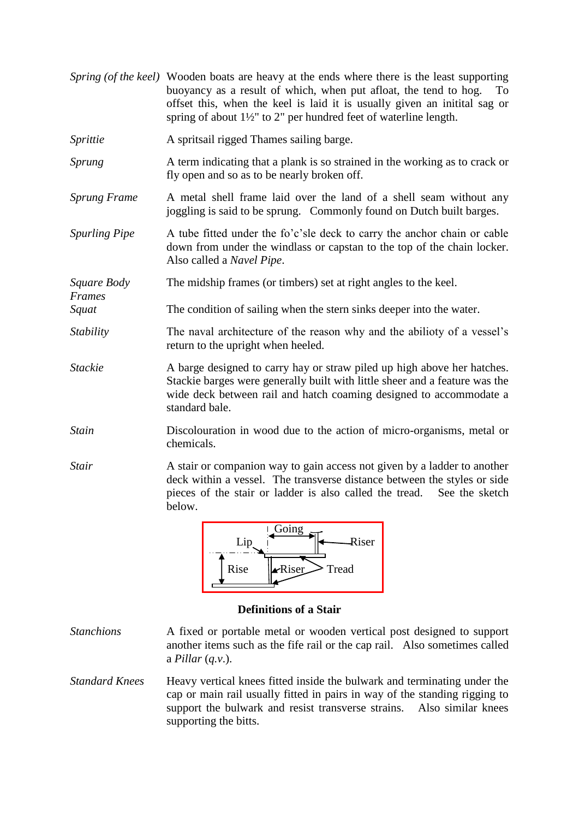|                       | Spring (of the keel) Wooden boats are heavy at the ends where there is the least supporting<br>buoyancy as a result of which, when put afloat, the tend to hog.<br>To<br>offset this, when the keel is laid it is usually given an initial sag or<br>spring of about $1\frac{1}{2}$ " to 2" per hundred feet of waterline length. |
|-----------------------|-----------------------------------------------------------------------------------------------------------------------------------------------------------------------------------------------------------------------------------------------------------------------------------------------------------------------------------|
| Sprittie              | A spritsail rigged Thames sailing barge.                                                                                                                                                                                                                                                                                          |
| <i>Sprung</i>         | A term indicating that a plank is so strained in the working as to crack or<br>fly open and so as to be nearly broken off.                                                                                                                                                                                                        |
| <b>Sprung Frame</b>   | A metal shell frame laid over the land of a shell seam without any<br>joggling is said to be sprung. Commonly found on Dutch built barges.                                                                                                                                                                                        |
| <b>Spurling Pipe</b>  | A tube fitted under the fo'c'sle deck to carry the anchor chain or cable<br>down from under the windlass or capstan to the top of the chain locker.<br>Also called a <i>Navel Pipe</i> .                                                                                                                                          |
| Square Body<br>Frames | The midship frames (or timbers) set at right angles to the keel.                                                                                                                                                                                                                                                                  |
| Squat                 | The condition of sailing when the stern sinks deeper into the water.                                                                                                                                                                                                                                                              |
| Stability             | The naval architecture of the reason why and the abilioty of a vessel's<br>return to the upright when heeled.                                                                                                                                                                                                                     |
| <b>Stackie</b>        | A barge designed to carry hay or straw piled up high above her hatches.<br>Stackie barges were generally built with little sheer and a feature was the<br>wide deck between rail and hatch coaming designed to accommodate a<br>standard bale.                                                                                    |
| <b>Stain</b>          | Discolouration in wood due to the action of micro-organisms, metal or<br>chemicals.                                                                                                                                                                                                                                               |
| Stair                 | A stair or companion way to gain access not given by a ladder to another<br>deck within a vessel. The transverse distance between the styles or side<br>pieces of the stair or ladder is also called the tread. See the sketch<br>below.                                                                                          |



## **Definitions of a Stair**

- *Stanchions* A fixed or portable metal or wooden vertical post designed to support another items such as the fife rail or the cap rail. Also sometimes called a *Pillar* (*q.v*.).
- *Standard Knees* Heavy vertical knees fitted inside the bulwark and terminating under the cap or main rail usually fitted in pairs in way of the standing rigging to support the bulwark and resist transverse strains. Also similar knees supporting the bitts.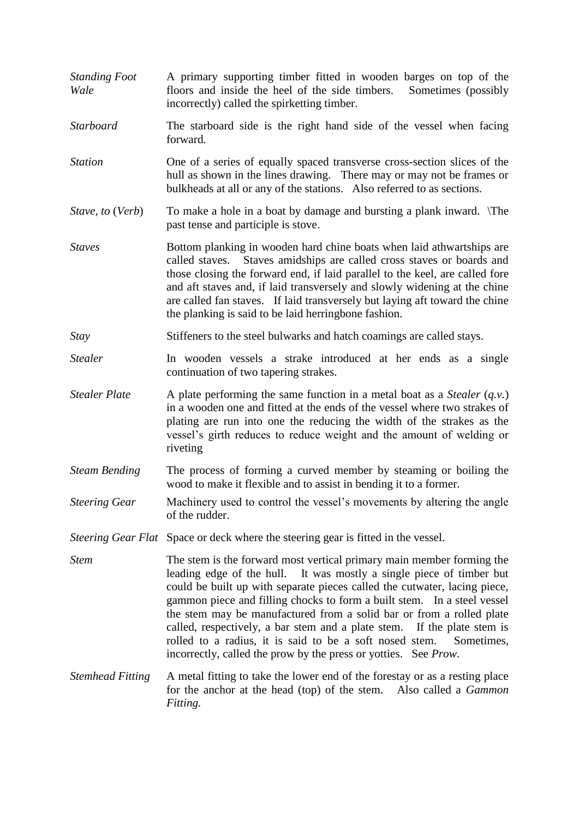- *Standing Foot* A primary supporting timber fitted in wooden barges on top of the *Wale* floors and inside the heel of the side timbers. Sometimes (possibly incorrectly) called the spirketting timber.
- *Starboard* The starboard side is the right hand side of the vessel when facing forward.
- *Station* One of a series of equally spaced transverse cross-section slices of the hull as shown in the lines drawing. There may or may not be frames or bulkheads at all or any of the stations. Also referred to as sections.
- *Stave, to (Verb)* To make a hole in a boat by damage and bursting a plank inward. \The past tense and participle is stove.
- *Staves* Bottom planking in wooden hard chine boats when laid athwartships are called staves. Staves amidships are called cross staves or boards and those closing the forward end, if laid parallel to the keel, are called fore and aft staves and, if laid transversely and slowly widening at the chine are called fan staves. If laid transversely but laying aft toward the chine the planking is said to be laid herringbone fashion.
- *Stay* Stiffeners to the steel bulwarks and hatch coamings are called stays.
- *Stealer* In wooden vessels a strake introduced at her ends as a single continuation of two tapering strakes.
- *Stealer Plate* A plate performing the same function in a metal boat as a *Stealer* (*q.v.*) in a wooden one and fitted at the ends of the vessel where two strakes of plating are run into one the reducing the width of the strakes as the vessel's girth reduces to reduce weight and the amount of welding or riveting
- *Steam Bending* The process of forming a curved member by steaming or boiling the wood to make it flexible and to assist in bending it to a former.
- *Steering Gear* Machinery used to control the vessel's movements by altering the angle of the rudder.
- *Steering Gear Flat* Space or deck where the steering gear is fitted in the vessel.
- *Stem* The stem is the forward most vertical primary main member forming the leading edge of the hull. It was mostly a single piece of timber but could be built up with separate pieces called the cutwater, lacing piece, gammon piece and filling chocks to form a built stem. In a steel vessel the stem may be manufactured from a solid bar or from a rolled plate called, respectively, a bar stem and a plate stem. If the plate stem is rolled to a radius, it is said to be a soft nosed stem. Sometimes, incorrectly, called the prow by the press or yotties. See *Prow*.
- *Stemhead Fitting* A metal fitting to take the lower end of the forestay or as a resting place for the anchor at the head (top) of the stem. Also called a *Gammon Fitting.*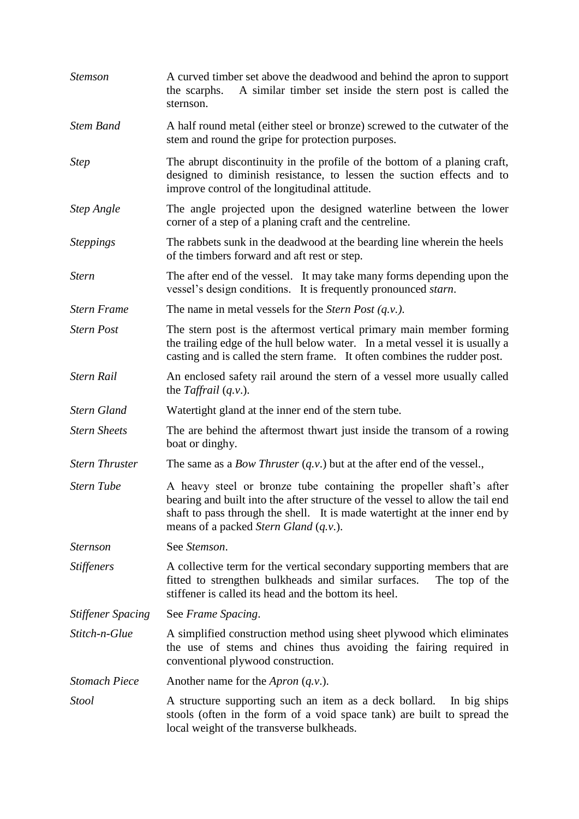| <b>Stemson</b>           | A curved timber set above the deadwood and behind the apron to support<br>A similar timber set inside the stern post is called the<br>the scarphs.<br>sternson.                                                                                                                              |
|--------------------------|----------------------------------------------------------------------------------------------------------------------------------------------------------------------------------------------------------------------------------------------------------------------------------------------|
| <b>Stem Band</b>         | A half round metal (either steel or bronze) screwed to the cutwater of the<br>stem and round the gripe for protection purposes.                                                                                                                                                              |
| <b>Step</b>              | The abrupt discontinuity in the profile of the bottom of a planing craft,<br>designed to diminish resistance, to lessen the suction effects and to<br>improve control of the longitudinal attitude.                                                                                          |
| <b>Step Angle</b>        | The angle projected upon the designed waterline between the lower<br>corner of a step of a planing craft and the centreline.                                                                                                                                                                 |
| <b>Steppings</b>         | The rabbets sunk in the deadwood at the bearding line wherein the heels<br>of the timbers forward and aft rest or step.                                                                                                                                                                      |
| <b>Stern</b>             | The after end of the vessel. It may take many forms depending upon the<br>vessel's design conditions. It is frequently pronounced <i>starn</i> .                                                                                                                                             |
| <b>Stern Frame</b>       | The name in metal vessels for the Stern Post $(q, v)$ .                                                                                                                                                                                                                                      |
| <b>Stern Post</b>        | The stern post is the aftermost vertical primary main member forming<br>the trailing edge of the hull below water. In a metal vessel it is usually a<br>casting and is called the stern frame. It often combines the rudder post.                                                            |
| <b>Stern Rail</b>        | An enclosed safety rail around the stern of a vessel more usually called<br>the Taffrail $(q.v.)$ .                                                                                                                                                                                          |
| <b>Stern Gland</b>       | Watertight gland at the inner end of the stern tube.                                                                                                                                                                                                                                         |
| <b>Stern Sheets</b>      | The are behind the aftermost thwart just inside the transom of a rowing<br>boat or dinghy.                                                                                                                                                                                                   |
| <b>Stern Thruster</b>    | The same as a <i>Bow Thruster</i> $(q.v.)$ but at the after end of the vessel.,                                                                                                                                                                                                              |
| <b>Stern Tube</b>        | A heavy steel or bronze tube containing the propeller shaft's after<br>bearing and built into the after structure of the vessel to allow the tail end<br>shaft to pass through the shell. It is made watertight at the inner end by<br>means of a packed <i>Stern Gland</i> ( <i>q.v.</i> ). |
| <i>Sternson</i>          | See Stemson.                                                                                                                                                                                                                                                                                 |
| <b>Stiffeners</b>        | A collective term for the vertical secondary supporting members that are<br>fitted to strengthen bulkheads and similar surfaces.<br>The top of the<br>stiffener is called its head and the bottom its heel.                                                                                  |
| <b>Stiffener Spacing</b> | See Frame Spacing.                                                                                                                                                                                                                                                                           |
| Stitch-n-Glue            | A simplified construction method using sheet plywood which eliminates<br>the use of stems and chines thus avoiding the fairing required in<br>conventional plywood construction.                                                                                                             |
| <b>Stomach Piece</b>     | Another name for the <i>Apron</i> $(q.v.)$ .                                                                                                                                                                                                                                                 |
| <b>Stool</b>             | A structure supporting such an item as a deck bollard.<br>In big ships<br>stools (often in the form of a void space tank) are built to spread the<br>local weight of the transverse bulkheads.                                                                                               |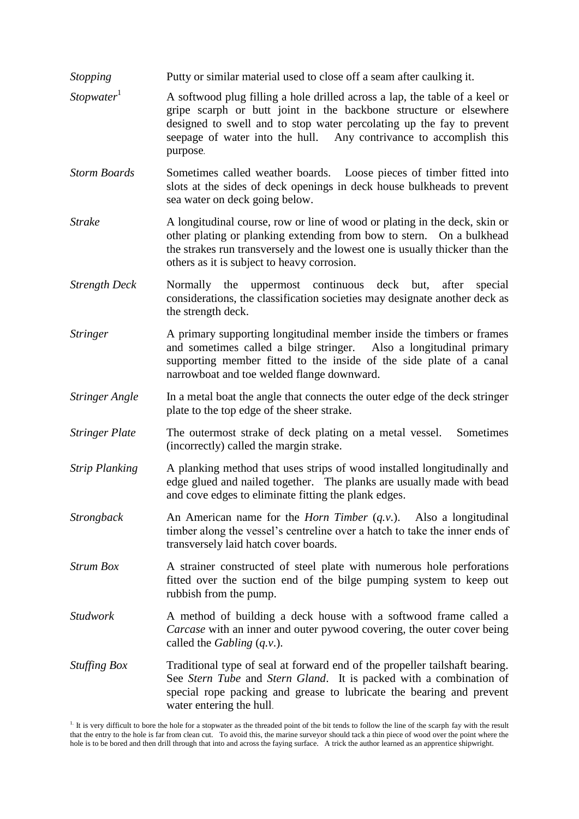- *Stopping* Putty or similar material used to close off a seam after caulking it.
- *Stopwater*<sup>1</sup> A softwood plug filling a hole drilled across a lap, the table of a keel or gripe scarph or butt joint in the backbone structure or elsewhere designed to swell and to stop water percolating up the fay to prevent seepage of water into the hull. Any contrivance to accomplish this purpose.
- *Storm Boards* Sometimes called weather boards. Loose pieces of timber fitted into slots at the sides of deck openings in deck house bulkheads to prevent sea water on deck going below.
- *Strake* A longitudinal course, row or line of wood or plating in the deck, skin or other plating or planking extending from bow to stern. On a bulkhead the strakes run transversely and the lowest one is usually thicker than the others as it is subject to heavy corrosion.
- *Strength Deck* Normally the uppermost continuous deck but, after special considerations, the classification societies may designate another deck as the strength deck.
- *Stringer* A primary supporting longitudinal member inside the timbers or frames and sometimes called a bilge stringer. Also a longitudinal primary supporting member fitted to the inside of the side plate of a canal narrowboat and toe welded flange downward.
- *Stringer Angle* In a metal boat the angle that connects the outer edge of the deck stringer plate to the top edge of the sheer strake.
- *Stringer Plate* The outermost strake of deck plating on a metal vessel. Sometimes (incorrectly) called the margin strake.
- *Strip Planking* A planking method that uses strips of wood installed longitudinally and edge glued and nailed together. The planks are usually made with bead and cove edges to eliminate fitting the plank edges.
- *Strongback* An American name for the *Horn Timber* (*q.v*.). Also a longitudinal timber along the vessel's centreline over a hatch to take the inner ends of transversely laid hatch cover boards.
- *Strum Box* A strainer constructed of steel plate with numerous hole perforations fitted over the suction end of the bilge pumping system to keep out rubbish from the pump.
- *Studwork* A method of building a deck house with a softwood frame called a *Carcase* with an inner and outer pywood covering, the outer cover being called the *Gabling* (*q.v*.).
- *Stuffing Box* Traditional type of seal at forward end of the propeller tailshaft bearing. See *Stern Tube* and *Stern Gland*. It is packed with a combination of special rope packing and grease to lubricate the bearing and prevent water entering the hull.

<sup>1.</sup> It is very difficult to bore the hole for a stopwater as the threaded point of the bit tends to follow the line of the scarph fay with the result that the entry to the hole is far from clean cut. To avoid this, the marine surveyor should tack a thin piece of wood over the point where the hole is to be bored and then drill through that into and across the faying surface. A trick the author learned as an apprentice shipwright.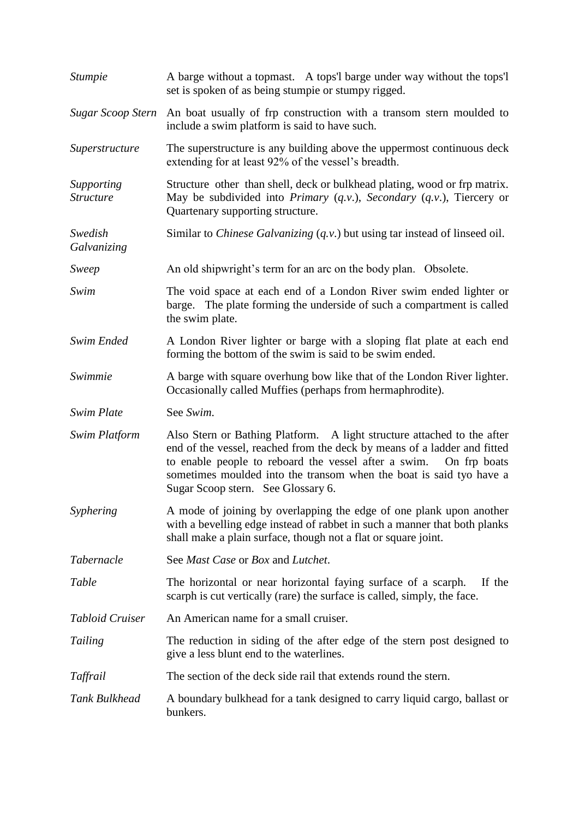| <i>Stumpie</i>                 | A barge without a topmast. A tops'l barge under way without the tops'l<br>set is spoken of as being stumple or stumpy rigged.                                                                                                                                                                                                         |
|--------------------------------|---------------------------------------------------------------------------------------------------------------------------------------------------------------------------------------------------------------------------------------------------------------------------------------------------------------------------------------|
| Sugar Scoop Stern              | An boat usually of frp construction with a transom stern moulded to<br>include a swim platform is said to have such.                                                                                                                                                                                                                  |
| Superstructure                 | The superstructure is any building above the uppermost continuous deck<br>extending for at least 92% of the vessel's breadth.                                                                                                                                                                                                         |
| Supporting<br><b>Structure</b> | Structure other than shell, deck or bulkhead plating, wood or frp matrix.<br>May be subdivided into Primary $(q.v.)$ , Secondary $(q.v.)$ , Tiercery or<br>Quartenary supporting structure.                                                                                                                                           |
| Swedish<br>Galvanizing         | Similar to <i>Chinese Galvanizing</i> $(q.v.)$ but using tar instead of linseed oil.                                                                                                                                                                                                                                                  |
| Sweep                          | An old shipwright's term for an arc on the body plan. Obsolete.                                                                                                                                                                                                                                                                       |
| Swim                           | The void space at each end of a London River swim ended lighter or<br>barge. The plate forming the underside of such a compartment is called<br>the swim plate.                                                                                                                                                                       |
| Swim Ended                     | A London River lighter or barge with a sloping flat plate at each end<br>forming the bottom of the swim is said to be swim ended.                                                                                                                                                                                                     |
| Swimmie                        | A barge with square overhung bow like that of the London River lighter.<br>Occasionally called Muffies (perhaps from hermaphrodite).                                                                                                                                                                                                  |
| Swim Plate                     | See Swim.                                                                                                                                                                                                                                                                                                                             |
| <b>Swim Platform</b>           | Also Stern or Bathing Platform. A light structure attached to the after<br>end of the vessel, reached from the deck by means of a ladder and fitted<br>to enable people to reboard the vessel after a swim. On frp boats<br>sometimes moulded into the transom when the boat is said tyo have a<br>Sugar Scoop stern. See Glossary 6. |
| Syphering                      | A mode of joining by overlapping the edge of one plank upon another<br>with a bevelling edge instead of rabbet in such a manner that both planks<br>shall make a plain surface, though not a flat or square joint.                                                                                                                    |
| <i>Tabernacle</i>              | See Mast Case or Box and Lutchet.                                                                                                                                                                                                                                                                                                     |
| Table                          | The horizontal or near horizontal faying surface of a scarph.<br>If the<br>scarph is cut vertically (rare) the surface is called, simply, the face.                                                                                                                                                                                   |
| <b>Tabloid Cruiser</b>         | An American name for a small cruiser.                                                                                                                                                                                                                                                                                                 |
| Tailing                        | The reduction in siding of the after edge of the stern post designed to<br>give a less blunt end to the waterlines.                                                                                                                                                                                                                   |
| Taffrail                       | The section of the deck side rail that extends round the stern.                                                                                                                                                                                                                                                                       |
| Tank Bulkhead                  | A boundary bulkhead for a tank designed to carry liquid cargo, ballast or<br>bunkers.                                                                                                                                                                                                                                                 |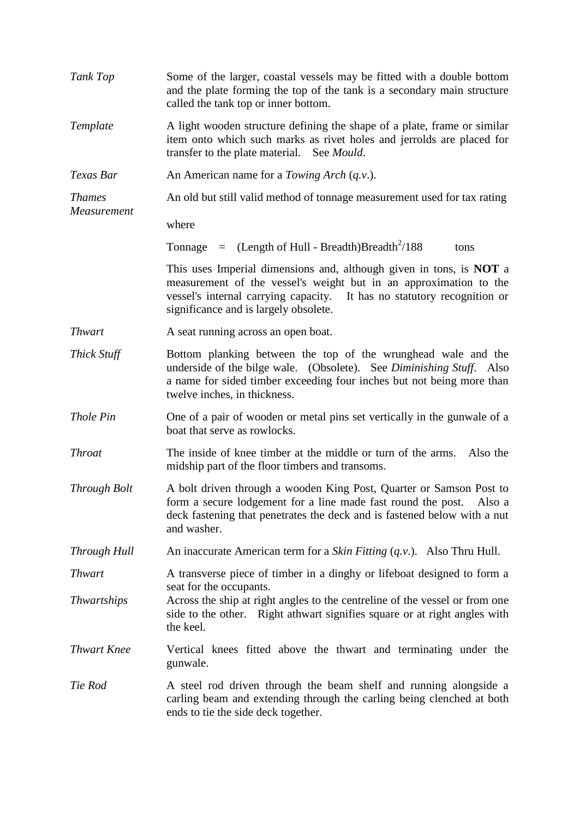| Tank Top           | Some of the larger, coastal vessels may be fitted with a double bottom<br>and the plate forming the top of the tank is a secondary main structure<br>called the tank top or inner bottom.                                                                           |
|--------------------|---------------------------------------------------------------------------------------------------------------------------------------------------------------------------------------------------------------------------------------------------------------------|
| Template           | A light wooden structure defining the shape of a plate, frame or similar<br>item onto which such marks as rivet holes and jerrolds are placed for<br>transfer to the plate material. See <i>Mould</i> .                                                             |
| Texas Bar          | An American name for a <i>Towing Arch</i> $(q.v.)$ .                                                                                                                                                                                                                |
| <b>Thames</b>      | An old but still valid method of tonnage measurement used for tax rating                                                                                                                                                                                            |
| Measurement        | where                                                                                                                                                                                                                                                               |
|                    | Tonnage = $(Length of Hull - Breadth)Breadth^2/188$<br>tons                                                                                                                                                                                                         |
|                    | This uses Imperial dimensions and, although given in tons, is <b>NOT</b> a<br>measurement of the vessel's weight but in an approximation to the<br>vessel's internal carrying capacity. It has no statutory recognition or<br>significance and is largely obsolete. |
| <b>Thwart</b>      | A seat running across an open boat.                                                                                                                                                                                                                                 |
| Thick Stuff        | Bottom planking between the top of the wrunghead wale and the<br>underside of the bilge wale. (Obsolete). See Diminishing Stuff. Also<br>a name for sided timber exceeding four inches but not being more than<br>twelve inches, in thickness.                      |
| Thole Pin          | One of a pair of wooden or metal pins set vertically in the gunwale of a<br>boat that serve as rowlocks.                                                                                                                                                            |
| <b>Throat</b>      | The inside of knee timber at the middle or turn of the arms.<br>Also the<br>midship part of the floor timbers and transoms.                                                                                                                                         |
| Through Bolt       | A bolt driven through a wooden King Post, Quarter or Samson Post to<br>form a secure lodgement for a line made fast round the post. Also a<br>deck fastening that penetrates the deck and is fastened below with a nut<br>and washer.                               |
| Through Hull       | An inaccurate American term for a <i>Skin Fitting</i> $(q.v.)$ . Also Thru Hull.                                                                                                                                                                                    |
| <b>Thwart</b>      | A transverse piece of timber in a dinghy or lifeboat designed to form a                                                                                                                                                                                             |
| <b>Thwartships</b> | seat for the occupants.<br>Across the ship at right angles to the centreline of the vessel or from one<br>side to the other. Right athwart signifies square or at right angles with<br>the keel.                                                                    |
| <b>Thwart Knee</b> | Vertical knees fitted above the thwart and terminating under the<br>gunwale.                                                                                                                                                                                        |
| Tie Rod            | A steel rod driven through the beam shelf and running alongside a<br>carling beam and extending through the carling being clenched at both<br>ends to tie the side deck together.                                                                                   |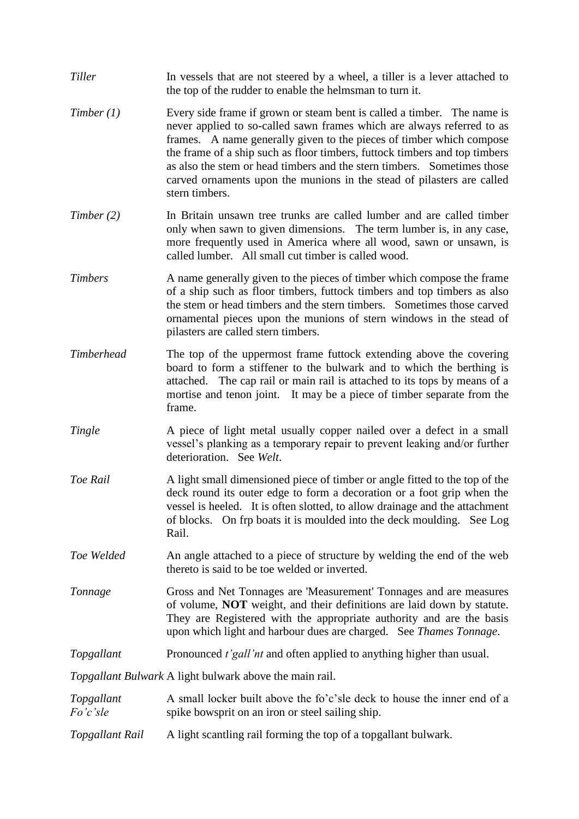| Tiller                 | In vessels that are not steered by a wheel, a tiller is a lever attached to<br>the top of the rudder to enable the helmsman to turn it.                                                                                                                                                                                                                                                                                                                                        |
|------------------------|--------------------------------------------------------------------------------------------------------------------------------------------------------------------------------------------------------------------------------------------------------------------------------------------------------------------------------------------------------------------------------------------------------------------------------------------------------------------------------|
| Timber (1)             | Every side frame if grown or steam bent is called a timber. The name is<br>never applied to so-called sawn frames which are always referred to as<br>frames. A name generally given to the pieces of timber which compose<br>the frame of a ship such as floor timbers, futtock timbers and top timbers<br>as also the stem or head timbers and the stern timbers. Sometimes those<br>carved ornaments upon the munions in the stead of pilasters are called<br>stern timbers. |
| Timber(2)              | In Britain unsawn tree trunks are called lumber and are called timber<br>only when sawn to given dimensions. The term lumber is, in any case,<br>more frequently used in America where all wood, sawn or unsawn, is<br>called lumber. All small cut timber is called wood.                                                                                                                                                                                                     |
| <b>Timbers</b>         | A name generally given to the pieces of timber which compose the frame<br>of a ship such as floor timbers, futtock timbers and top timbers as also<br>the stem or head timbers and the stern timbers. Sometimes those carved<br>ornamental pieces upon the munions of stern windows in the stead of<br>pilasters are called stern timbers.                                                                                                                                     |
| <b>Timberhead</b>      | The top of the uppermost frame futtock extending above the covering<br>board to form a stiffener to the bulwark and to which the berthing is<br>attached. The cap rail or main rail is attached to its tops by means of a<br>mortise and tenon joint. It may be a piece of timber separate from the<br>frame.                                                                                                                                                                  |
| Tingle                 | A piece of light metal usually copper nailed over a defect in a small<br>vessel's planking as a temporary repair to prevent leaking and/or further<br>deterioration. See Welt.                                                                                                                                                                                                                                                                                                 |
| Toe Rail               | A light small dimensioned piece of timber or angle fitted to the top of the<br>deck round its outer edge to form a decoration or a foot grip when the<br>vessel is heeled. It is often slotted, to allow drainage and the attachment<br>of blocks. On frp boats it is moulded into the deck moulding. See Log<br>Rail.                                                                                                                                                         |
| Toe Welded             | An angle attached to a piece of structure by welding the end of the web<br>thereto is said to be toe welded or inverted.                                                                                                                                                                                                                                                                                                                                                       |
| Tonnage                | Gross and Net Tonnages are 'Measurement' Tonnages and are measures<br>of volume, <b>NOT</b> weight, and their definitions are laid down by statute.<br>They are Registered with the appropriate authority and are the basis<br>upon which light and harbour dues are charged. See Thames Tonnage.                                                                                                                                                                              |
| Topgallant             | Pronounced <i>t'gall'nt</i> and often applied to anything higher than usual.                                                                                                                                                                                                                                                                                                                                                                                                   |
|                        | Topgallant Bulwark A light bulwark above the main rail.                                                                                                                                                                                                                                                                                                                                                                                                                        |
| Topgallant<br>Fo'c'sle | A small locker built above the fo'c'sle deck to house the inner end of a<br>spike bowsprit on an iron or steel sailing ship.                                                                                                                                                                                                                                                                                                                                                   |
| Topgallant Rail        | A light scantling rail forming the top of a topgallant bulwark.                                                                                                                                                                                                                                                                                                                                                                                                                |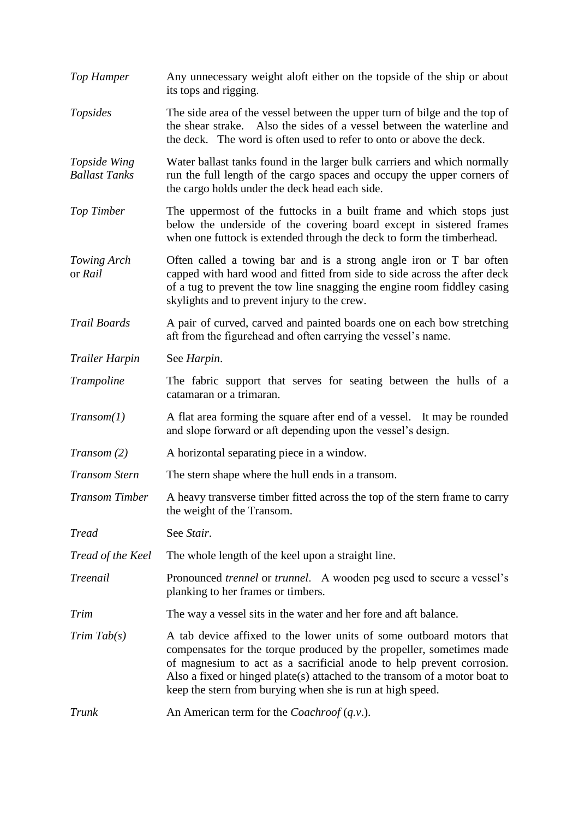*Top Hamper* Any unnecessary weight aloft either on the topside of the ship or about its tops and rigging. *Topsides* The side area of the vessel between the upper turn of bilge and the top of the shear strake. Also the sides of a vessel between the waterline and the deck. The word is often used to refer to onto or above the deck. *Topside Wing* Water ballast tanks found in the larger bulk carriers and which normally *Ballast Tanks* run the full length of the cargo spaces and occupy the upper corners of the cargo holds under the deck head each side. *Top Timber* The uppermost of the futtocks in a built frame and which stops just below the underside of the covering board except in sistered frames when one futtock is extended through the deck to form the timberhead. *Towing Arch* Often called a towing bar and is a strong angle iron or T bar often or *Rail* capped with hard wood and fitted from side to side across the after deck of a tug to prevent the tow line snagging the engine room fiddley casing skylights and to prevent injury to the crew. *Trail Boards* A pair of curved, carved and painted boards one on each bow stretching aft from the figurehead and often carrying the vessel's name. *Trailer Harpin* See *Harpin*. *Trampoline* The fabric support that serves for seating between the hulls of a catamaran or a trimaran. *Transom(1)* A flat area forming the square after end of a vessel. It may be rounded and slope forward or aft depending upon the vessel's design. *Transom (2)* A horizontal separating piece in a window. *Transom Stern* The stern shape where the hull ends in a transom. *Transom Timber* A heavy transverse timber fitted across the top of the stern frame to carry the weight of the Transom. *Tread* See *Stair*. *Tread of the Keel* The whole length of the keel upon a straight line. *Treenail* Pronounced *trennel* or *trunnel*. A wooden peg used to secure a vessel's planking to her frames or timbers. *Trim* The way a vessel sits in the water and her fore and aft balance. *Trim Tab(s)* A tab device affixed to the lower units of some outboard motors that compensates for the torque produced by the propeller, sometimes made of magnesium to act as a sacrificial anode to help prevent corrosion. Also a fixed or hinged plate(s) attached to the transom of a motor boat to keep the stern from burying when she is run at high speed. *Trunk* An American term for the *Coachroof* (*q.v.*).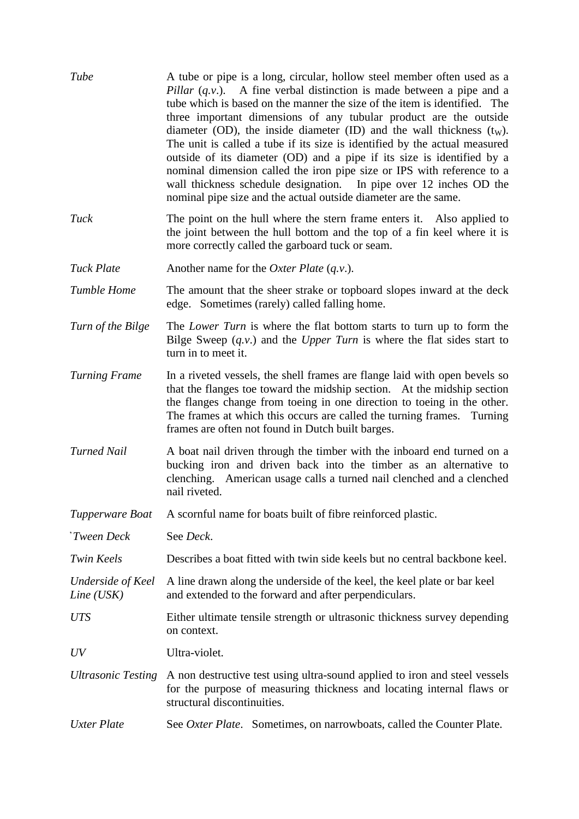| Tube                              | A tube or pipe is a long, circular, hollow steel member often used as a<br>Pillar $(q, v)$ . A fine verbal distinction is made between a pipe and a<br>tube which is based on the manner the size of the item is identified. The<br>three important dimensions of any tubular product are the outside<br>diameter (OD), the inside diameter (ID) and the wall thickness $(t_w)$ .<br>The unit is called a tube if its size is identified by the actual measured<br>outside of its diameter (OD) and a pipe if its size is identified by a<br>nominal dimension called the iron pipe size or IPS with reference to a<br>wall thickness schedule designation. In pipe over 12 inches OD the<br>nominal pipe size and the actual outside diameter are the same. |
|-----------------------------------|--------------------------------------------------------------------------------------------------------------------------------------------------------------------------------------------------------------------------------------------------------------------------------------------------------------------------------------------------------------------------------------------------------------------------------------------------------------------------------------------------------------------------------------------------------------------------------------------------------------------------------------------------------------------------------------------------------------------------------------------------------------|
| Tuck                              | The point on the hull where the stern frame enters it. Also applied to<br>the joint between the hull bottom and the top of a fin keel where it is<br>more correctly called the garboard tuck or seam.                                                                                                                                                                                                                                                                                                                                                                                                                                                                                                                                                        |
| <b>Tuck Plate</b>                 | Another name for the <i>Oxter Plate</i> $(q.v.)$ .                                                                                                                                                                                                                                                                                                                                                                                                                                                                                                                                                                                                                                                                                                           |
| <b>Tumble Home</b>                | The amount that the sheer strake or topboard slopes inward at the deck<br>edge. Sometimes (rarely) called falling home.                                                                                                                                                                                                                                                                                                                                                                                                                                                                                                                                                                                                                                      |
| Turn of the Bilge                 | The <i>Lower Turn</i> is where the flat bottom starts to turn up to form the<br>Bilge Sweep $(q.v.)$ and the <i>Upper Turn</i> is where the flat sides start to<br>turn in to meet it.                                                                                                                                                                                                                                                                                                                                                                                                                                                                                                                                                                       |
| <b>Turning Frame</b>              | In a riveted vessels, the shell frames are flange laid with open bevels so<br>that the flanges toe toward the midship section. At the midship section<br>the flanges change from toeing in one direction to toeing in the other.<br>The frames at which this occurs are called the turning frames. Turning<br>frames are often not found in Dutch built barges.                                                                                                                                                                                                                                                                                                                                                                                              |
| <b>Turned Nail</b>                | A boat nail driven through the timber with the inboard end turned on a<br>bucking iron and driven back into the timber as an alternative to<br>clenching. American usage calls a turned nail clenched and a clenched<br>nail riveted.                                                                                                                                                                                                                                                                                                                                                                                                                                                                                                                        |
| Tupperware Boat                   | A scornful name for boats built of fibre reinforced plastic.                                                                                                                                                                                                                                                                                                                                                                                                                                                                                                                                                                                                                                                                                                 |
| 'Tween Deck                       | See Deck.                                                                                                                                                                                                                                                                                                                                                                                                                                                                                                                                                                                                                                                                                                                                                    |
| <b>Twin Keels</b>                 | Describes a boat fitted with twin side keels but no central backbone keel.                                                                                                                                                                                                                                                                                                                                                                                                                                                                                                                                                                                                                                                                                   |
| Underside of Keel<br>$Line$ (USK) | A line drawn along the underside of the keel, the keel plate or bar keel<br>and extended to the forward and after perpendiculars.                                                                                                                                                                                                                                                                                                                                                                                                                                                                                                                                                                                                                            |
| <b>UTS</b>                        | Either ultimate tensile strength or ultrasonic thickness survey depending<br>on context.                                                                                                                                                                                                                                                                                                                                                                                                                                                                                                                                                                                                                                                                     |
| UV                                | Ultra-violet.                                                                                                                                                                                                                                                                                                                                                                                                                                                                                                                                                                                                                                                                                                                                                |
| <b>Ultrasonic Testing</b>         | A non destructive test using ultra-sound applied to iron and steel vessels<br>for the purpose of measuring thickness and locating internal flaws or<br>structural discontinuities.                                                                                                                                                                                                                                                                                                                                                                                                                                                                                                                                                                           |
| <b>Uxter Plate</b>                | See <i>Oxter Plate.</i> Sometimes, on narrowboats, called the Counter Plate.                                                                                                                                                                                                                                                                                                                                                                                                                                                                                                                                                                                                                                                                                 |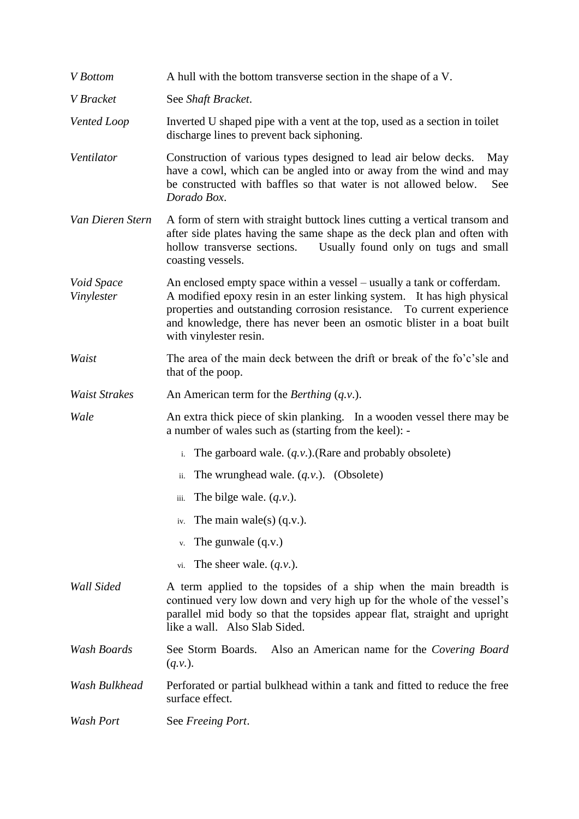| V Bottom                 | A hull with the bottom transverse section in the shape of a V.                                                                                                                                                                                                                                                                  |
|--------------------------|---------------------------------------------------------------------------------------------------------------------------------------------------------------------------------------------------------------------------------------------------------------------------------------------------------------------------------|
| V Bracket                | See Shaft Bracket.                                                                                                                                                                                                                                                                                                              |
| Vented Loop              | Inverted U shaped pipe with a vent at the top, used as a section in toilet<br>discharge lines to prevent back siphoning.                                                                                                                                                                                                        |
| Ventilator               | Construction of various types designed to lead air below decks.<br>May<br>have a cowl, which can be angled into or away from the wind and may<br>be constructed with baffles so that water is not allowed below.<br>See<br>Dorado Box.                                                                                          |
| Van Dieren Stern         | A form of stern with straight buttock lines cutting a vertical transom and<br>after side plates having the same shape as the deck plan and often with<br>hollow transverse sections.<br>Usually found only on tugs and small<br>coasting vessels.                                                                               |
| Void Space<br>Vinylester | An enclosed empty space within a vessel – usually a tank or cofferdam.<br>A modified epoxy resin in an ester linking system. It has high physical<br>properties and outstanding corrosion resistance. To current experience<br>and knowledge, there has never been an osmotic blister in a boat built<br>with vinylester resin. |
| Waist                    | The area of the main deck between the drift or break of the fo'c'sle and<br>that of the poop.                                                                                                                                                                                                                                   |
| <b>Waist Strakes</b>     | An American term for the <i>Berthing</i> $(q.v.)$ .                                                                                                                                                                                                                                                                             |
| Wale                     | An extra thick piece of skin planking. In a wooden vessel there may be<br>a number of wales such as (starting from the keel): -                                                                                                                                                                                                 |
|                          | The garboard wale. $(q.v.)$ . (Rare and probably obsolete)<br>$i$ .                                                                                                                                                                                                                                                             |
|                          | The wrunghead wale. $(q, v)$ . (Obsolete)<br>ii.                                                                                                                                                                                                                                                                                |
|                          | The bilge wale. $(q.v.)$ .<br>iii.                                                                                                                                                                                                                                                                                              |
|                          | The main wale(s) $(q.v.)$ .<br>iv.                                                                                                                                                                                                                                                                                              |
|                          | The gunwale $(q.v.)$<br>v.                                                                                                                                                                                                                                                                                                      |
|                          | The sheer wale. $(q.v.)$ .<br>vi.                                                                                                                                                                                                                                                                                               |
| Wall Sided               | A term applied to the topsides of a ship when the main breadth is<br>continued very low down and very high up for the whole of the vessel's<br>parallel mid body so that the topsides appear flat, straight and upright<br>like a wall. Also Slab Sided.                                                                        |
| Wash Boards              | See Storm Boards.<br>Also an American name for the Covering Board<br>$(q.v.)$ .                                                                                                                                                                                                                                                 |
| Wash Bulkhead            | Perforated or partial bulkhead within a tank and fitted to reduce the free<br>surface effect.                                                                                                                                                                                                                                   |
| Wash Port                | See Freeing Port.                                                                                                                                                                                                                                                                                                               |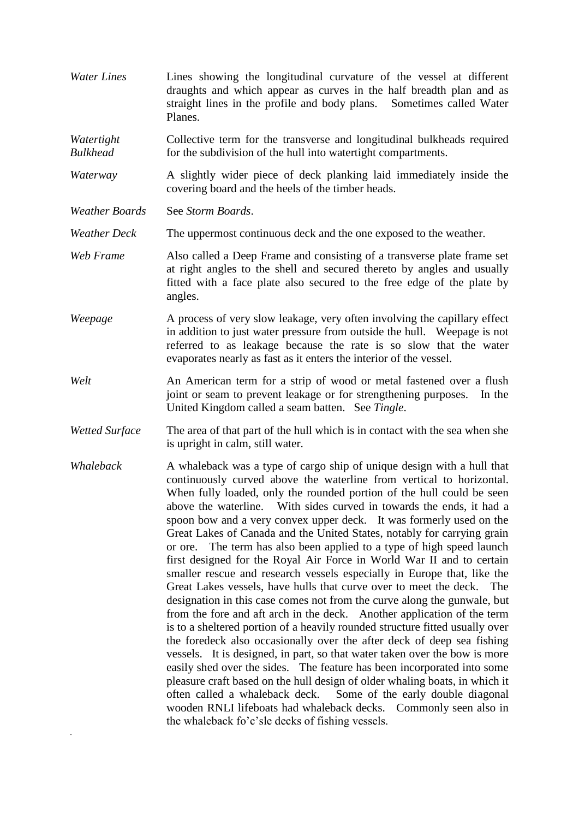*Water Lines* Lines showing the longitudinal curvature of the vessel at different draughts and which appear as curves in the half breadth plan and as straight lines in the profile and body plans. Sometimes called Water Planes.

*Watertight* Collective term for the transverse and longitudinal bulkheads required *Bulkhead* for the subdivision of the hull into watertight compartments.

*Waterway* A slightly wider piece of deck planking laid immediately inside the covering board and the heels of the timber heads.

*Weather Boards* See *Storm Boards*.

.

*Weather Deck* The uppermost continuous deck and the one exposed to the weather.

- *Web Frame* Also called a Deep Frame and consisting of a transverse plate frame set at right angles to the shell and secured thereto by angles and usually fitted with a face plate also secured to the free edge of the plate by angles.
- *Weepage* A process of very slow leakage, very often involving the capillary effect in addition to just water pressure from outside the hull. Weepage is not referred to as leakage because the rate is so slow that the water evaporates nearly as fast as it enters the interior of the vessel.
- *Welt* An American term for a strip of wood or metal fastened over a flush joint or seam to prevent leakage or for strengthening purposes. In the United Kingdom called a seam batten. See *Tingle*.
- *Wetted Surface* The area of that part of the hull which is in contact with the sea when she is upright in calm, still water.
- *Whaleback* A whaleback was a type of cargo ship of unique design with a hull that continuously curved above the waterline from vertical to horizontal. When fully loaded, only the rounded portion of the hull could be seen above the waterline. With sides curved in towards the ends, it had a spoon bow and a very convex upper deck. It was formerly used on the Great Lakes of Canada and the United States, notably for carrying grain or ore. The term has also been applied to a type of high speed launch first designed for the Royal Air Force in World War II and to certain smaller rescue and research vessels especially in Europe that, like the Great Lakes vessels, have hulls that curve over to meet the deck. The designation in this case comes not from the curve along the gunwale, but from the fore and aft arch in the deck. Another application of the term is to a sheltered portion of a heavily rounded structure fitted usually over the foredeck also occasionally over the after deck of deep sea fishing vessels. It is designed, in part, so that water taken over the bow is more easily shed over the sides. The feature has been incorporated into some pleasure craft based on the hull design of older whaling boats, in which it often called a whaleback deck. Some of the early double diagonal wooden RNLI lifeboats had whaleback decks. Commonly seen also in the whaleback fo'c'sle decks of fishing vessels.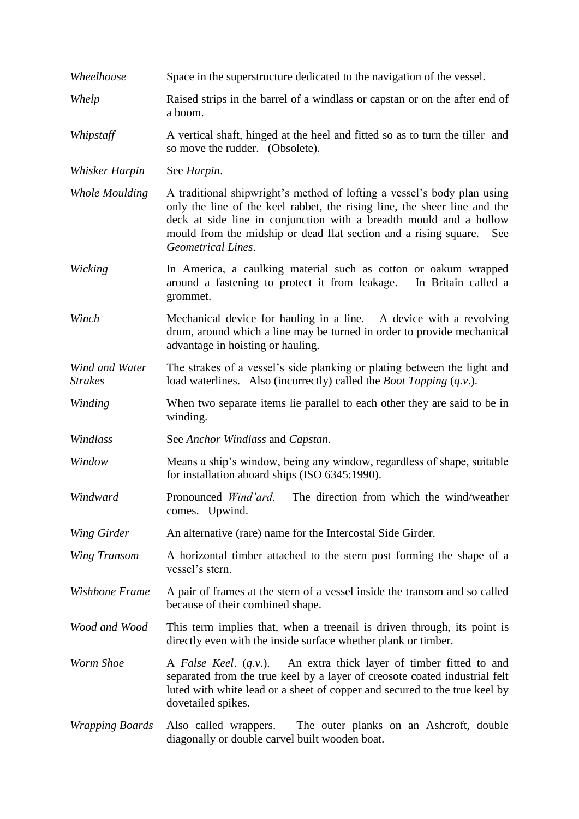| Wheelhouse                       | Space in the superstructure dedicated to the navigation of the vessel.                                                                                                                                                                                                                                                      |
|----------------------------------|-----------------------------------------------------------------------------------------------------------------------------------------------------------------------------------------------------------------------------------------------------------------------------------------------------------------------------|
| Whelp                            | Raised strips in the barrel of a windlass or capstan or on the after end of<br>a boom.                                                                                                                                                                                                                                      |
| Whipstaff                        | A vertical shaft, hinged at the heel and fitted so as to turn the tiller and<br>so move the rudder. (Obsolete).                                                                                                                                                                                                             |
| Whisker Harpin                   | See Harpin.                                                                                                                                                                                                                                                                                                                 |
| <b>Whole Moulding</b>            | A traditional shipwright's method of lofting a vessel's body plan using<br>only the line of the keel rabbet, the rising line, the sheer line and the<br>deck at side line in conjunction with a breadth mould and a hollow<br>mould from the midship or dead flat section and a rising square.<br>See<br>Geometrical Lines. |
| Wicking                          | In America, a caulking material such as cotton or oakum wrapped<br>around a fastening to protect it from leakage.<br>In Britain called a<br>grommet.                                                                                                                                                                        |
| Winch                            | Mechanical device for hauling in a line. A device with a revolving<br>drum, around which a line may be turned in order to provide mechanical<br>advantage in hoisting or hauling.                                                                                                                                           |
| Wind and Water<br><b>Strakes</b> | The strakes of a vessel's side planking or plating between the light and<br>load waterlines. Also (incorrectly) called the <i>Boot Topping</i> ( <i>q.v.</i> ).                                                                                                                                                             |
| Winding                          | When two separate items lie parallel to each other they are said to be in<br>winding.                                                                                                                                                                                                                                       |
| Windlass                         | See Anchor Windlass and Capstan.                                                                                                                                                                                                                                                                                            |
| Window                           | Means a ship's window, being any window, regardless of shape, suitable<br>for installation aboard ships (ISO 6345:1990).                                                                                                                                                                                                    |
| Windward                         | Pronounced Wind'ard.<br>The direction from which the wind/weather<br>comes. Upwind.                                                                                                                                                                                                                                         |
| Wing Girder                      | An alternative (rare) name for the Intercostal Side Girder.                                                                                                                                                                                                                                                                 |
| Wing Transom                     | A horizontal timber attached to the stern post forming the shape of a<br>vessel's stern.                                                                                                                                                                                                                                    |
| Wishbone Frame                   | A pair of frames at the stern of a vessel inside the transom and so called<br>because of their combined shape.                                                                                                                                                                                                              |
| Wood and Wood                    | This term implies that, when a treenail is driven through, its point is<br>directly even with the inside surface whether plank or timber.                                                                                                                                                                                   |
| Worm Shoe                        | An extra thick layer of timber fitted to and<br>A False Keel. $(q.v.)$ .<br>separated from the true keel by a layer of creosote coated industrial felt<br>luted with white lead or a sheet of copper and secured to the true keel by<br>dovetailed spikes.                                                                  |
| <i>Wrapping Boards</i>           | The outer planks on an Ashcroft, double<br>Also called wrappers.<br>diagonally or double carvel built wooden boat.                                                                                                                                                                                                          |